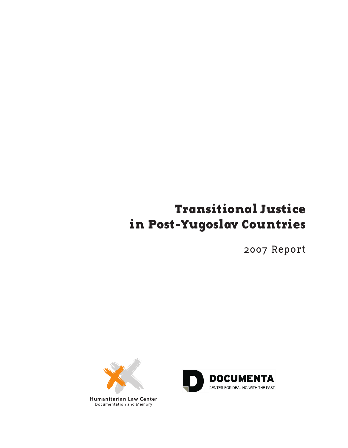# **Transitional Justice in Post-Yugoslav Countries**

2007 Report



**Humanitarian Law Center** Documentation and Memory

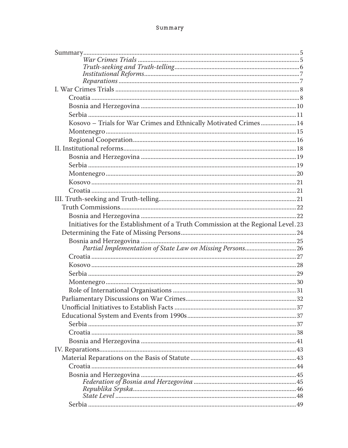## Summary

| Kosovo - Trials for War Crimes and Ethnically Motivated Crimes  14               |  |
|----------------------------------------------------------------------------------|--|
|                                                                                  |  |
|                                                                                  |  |
|                                                                                  |  |
|                                                                                  |  |
|                                                                                  |  |
|                                                                                  |  |
|                                                                                  |  |
|                                                                                  |  |
|                                                                                  |  |
|                                                                                  |  |
|                                                                                  |  |
| Initiatives for the Establishment of a Truth Commission at the Regional Level.23 |  |
|                                                                                  |  |
|                                                                                  |  |
| Partial Implementation of State Law on Missing Persons26                         |  |
|                                                                                  |  |
|                                                                                  |  |
|                                                                                  |  |
|                                                                                  |  |
|                                                                                  |  |
|                                                                                  |  |
|                                                                                  |  |
|                                                                                  |  |
|                                                                                  |  |
|                                                                                  |  |
|                                                                                  |  |
|                                                                                  |  |
|                                                                                  |  |
|                                                                                  |  |
|                                                                                  |  |
|                                                                                  |  |
|                                                                                  |  |
|                                                                                  |  |
|                                                                                  |  |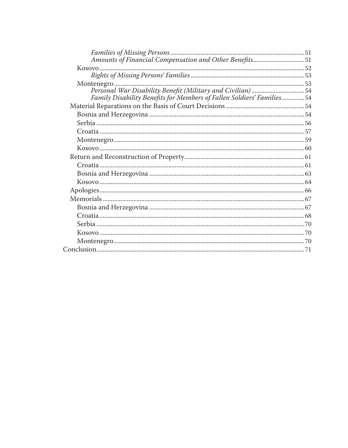| Amounts of Financial Compensation and Other Benefits51                |  |
|-----------------------------------------------------------------------|--|
|                                                                       |  |
|                                                                       |  |
|                                                                       |  |
| Personal War Disability Benefit (Military and Civilian) 54            |  |
| Family Disability Benefits for Members of Fallen Soldiers' Families54 |  |
|                                                                       |  |
|                                                                       |  |
|                                                                       |  |
|                                                                       |  |
|                                                                       |  |
|                                                                       |  |
|                                                                       |  |
|                                                                       |  |
|                                                                       |  |
|                                                                       |  |
|                                                                       |  |
|                                                                       |  |
|                                                                       |  |
|                                                                       |  |
|                                                                       |  |
|                                                                       |  |
|                                                                       |  |
|                                                                       |  |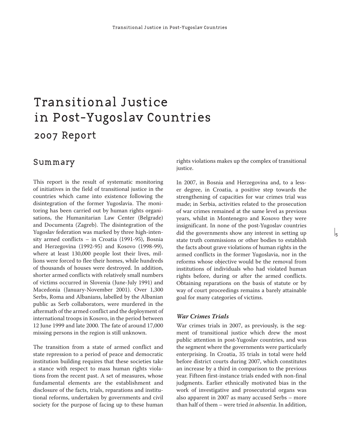# Transitional Justice in Post-Yugoslav Countries 2007 Report

## Summary

This report is the result of systematic monitoring of initiatives in the field of transitional justice in the countries which came into existence following the disintegration of the former Yugoslavia. The monitoring has been carried out by human rights organisations, the Humanitarian Law Center (Belgrade) and Documenta (Zagreb). The disintegration of the Yugoslav federation was marked by three high-intensity armed conflicts – in Croatia (1991-95), Bosnia and Herzegovina (1992-95) and Kosovo (1998-99), where at least 130,000 people lost their lives, millions were forced to flee their homes, while hundreds of thousands of houses were destroyed. In addition, shorter armed conflicts with relatively small numbers of victims occurred in Slovenia (June-July 1991) and Macedonia (January-November 2001). Over 1,300 Serbs, Roma and Albanians, labelled by the Albanian public as Serb collaborators, were murdered in the aftermath of the armed conflict and the deployment of international troops in Kosovo, in the period between 12 June 1999 and late 2000. The fate of around 17,000 missing persons in the region is still unknown.

The transition from a state of armed conflict and state repression to a period of peace and democratic institution building requires that these societies take a stance with respect to mass human rights violations from the recent past. A set of measures, whose fundamental elements are the establishment and disclosure of the facts, trials, reparations and institutional reforms, undertaken by governments and civil society for the purpose of facing up to these human rights violations makes up the complex of transitional justice.

In 2007, in Bosnia and Herzegovina and, to a lesser degree, in Croatia, a positive step towards the strengthening of capacities for war crimes trial was made; in Serbia, activities related to the prosecution of war crimes remained at the same level as previous years, whilst in Montenegro and Kosovo they were insignificant. In none of the post-Yugoslav countries did the governments show any interest in setting up state truth commissions or other bodies to establish the facts about grave violations of human rights in the armed conflicts in the former Yugoslavia, nor in the reforms whose objective would be the removal from institutions of individuals who had violated human rights before, during or after the armed conflicts. Obtaining reparations on the basis of statute or by way of court proceedings remains a barely attainable goal for many categories of victims.

 $\mathsf{L}$ 

## *War Crimes Trials*

War crimes trials in 2007, as previously, is the segment of transitional justice which drew the most public attention in post-Yugoslav countries, and was the segment where the governments were particularly enterprising. In Croatia, 35 trials in total were held before district courts during 2007, which constitutes an increase by a third in comparison to the previous year. Fifteen first-instance trials ended with non-final judgments. Earlier ethnically motivated bias in the work of investigative and prosecutorial organs was also apparent in 2007 as many accused Serbs – more than half of them – were tried *in absentia*. In addition,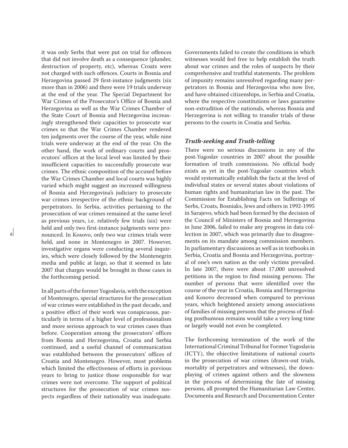it was only Serbs that were put on trial for offences that did not involve death as a consequence (plunder, destruction of property, etc), whereas Croats were not charged with such offences. Courts in Bosnia and Herzegovina passed 29 first-instance judgments (six more than in 2006) and there were 19 trials underway at the end of the year. The Special Department for War Crimes of the Prosecutor's Office of Bosnia and Herzegovina as well as the War Crimes Chamber of the State Court of Bosnia and Herzegovina increasingly strengthened their capacities to prosecute war crimes so that the War Crimes Chamber rendered ten judgments over the course of the year, while nine trials were underway at the end of the year. On the other hand, the work of ordinary courts and prosecutors' offices at the local level was limited by their insufficient capacities to successfully prosecute war crimes. The ethnic composition of the accused before the War Crimes Chamber and local courts was highly varied which might suggest an increased willingness of Bosnia and Herzegovina's judiciary to prosecute war crimes irrespective of the ethnic background of perpetrators. In Serbia, activities pertaining to the prosecution of war crimes remained at the same level as previous years, i.e. relatively few trials (six) were held and only two first-instance judgments were pronounced. In Kosovo, only two war crimes trials were held, and none in Montenegro in 2007. However, investigative organs were conducting several inquiries, which were closely followed by the Montenegrin media and public at large, so that it seemed in late 2007 that charges would be brought in those cases in the forthcoming period.

In all parts of the former Yugoslavia, with the exception of Montenegro, special structures for the prosecution of war crimes were established in the past decade, and a positive effect of their work was conspicuous, particularly in terms of a higher level of professionalism and more serious approach to war crimes cases than before. Cooperation among the prosecutors' offices from Bosnia and Herzegovina, Croatia and Serbia continued, and a useful channel of communication was established between the prosecutors' offices of Croatia and Montenegro. However, most problems which limited the effectiveness of efforts in previous years to bring to justice those responsible for war crimes were not overcome. The support of political structures for the prosecution of war crimes suspects regardless of their nationality was inadequate.

Governments failed to create the conditions in which witnesses would feel free to help establish the truth about war crimes and the roles of suspects by their comprehensive and truthful statements. The problem of impunity remains unresolved regarding many perpetrators in Bosnia and Herzegovina who now live, and have obtained citizenships, in Serbia and Croatia, where the respective constitutions or laws guarantee non-extradition of the nationals, whereas Bosnia and Herzegovina is not willing to transfer trials of these persons to the courts in Croatia and Serbia.

## *Truth-seeking and Truth-telling*

There were no serious discussions in any of the post-Yugoslav countries in 2007 about the possible formation of truth commissions. No official body exists as yet in the post-Yugoslav countries which would systematically establish the facts at the level of individual states or several states about violations of human rights and humanitarian law in the past. The Commission for Establishing Facts on Sufferings of Serbs, Croats, Bosniaks, Jews and others in 1992-1995 in Sarajevo, which had been formed by the decision of the Council of Ministers of Bosnia and Herzegovina in June 2006, failed to make any progress in data collection in 2007, which was primarily due to disagreements on its mandate among commission members. In parliamentary discussions as well as in textbooks in Serbia, Croatia and Bosnia and Herzegovina, portrayal of one's own nation as the only victims prevailed. In late 2007, there were about 17,000 unresolved petitions in the region to find missing persons. The number of persons that were identified over the course of the year in Croatia, Bosnia and Herzegovina and Kosovo decreased when compared to previous years, which heightened anxiety among associations of families of missing persons that the process of finding posthumous remains would take a very long time or largely would not even be completed.

The forthcoming termination of the work of the International Criminal Tribunal for Former Yugoslavia (ICTY), the objective limitations of national courts in the prosecution of war crimes (drawn-out trials, mortality of perpetrators and witnesses), the downplaying of crimes against others and the slowness in the process of determining the fate of missing persons, all prompted the Humanitarian Law Center, Documenta and Research and Documentation Center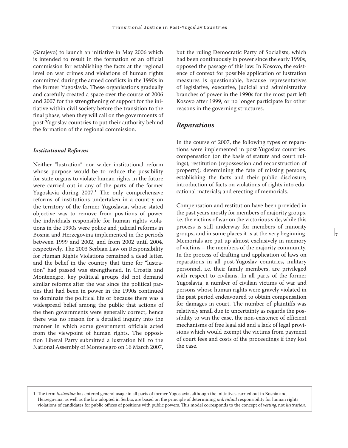(Sarajevo) to launch an initiative in May 2006 which is intended to result in the formation of an official commission for establishing the facts at the regional level on war crimes and violations of human rights committed during the armed conflicts in the 1990s in the former Yugoslavia. These organisations gradually and carefully created a space over the course of 2006 and 2007 for the strengthening of support for the initiative within civil society before the transition to the final phase, when they will call on the governments of post-Yugoslav countries to put their authority behind the formation of the regional commission.

#### *Institutional Reforms*

Neither "lustration" nor wider institutional reform whose purpose would be to reduce the possibility for state organs to violate human rights in the future were carried out in any of the parts of the former Yugoslavia during 2007.1 The only comprehensive reforms of institutions undertaken in a country on the territory of the former Yugoslavia, whose stated objective was to remove from positions of power the individuals responsible for human rights violations in the 1990s were police and judicial reforms in Bosnia and Herzegovina implemented in the periods between 1999 and 2002, and from 2002 until 2004, respectively. The 2003 Serbian Law on Responsibility for Human Rights Violations remained a dead letter, and the belief in the country that time for "lustration" had passed was strengthened. In Croatia and Montenegro, key political groups did not demand similar reforms after the war since the political parties that had been in power in the 1990s continued to dominate the political life or because there was a widespread belief among the public that actions of the then governments were generally correct, hence there was no reason for a detailed inquiry into the manner in which some government officials acted from the viewpoint of human rights. The opposition Liberal Party submitted a lustration bill to the National Assembly of Montenegro on 16 March 2007,

but the ruling Democratic Party of Socialists, which had been continuously in power since the early 1990s, opposed the passage of this law. In Kosovo, the existence of context for possible application of lustration measures is questionable, because representatives of legislative, executive, judicial and administrative branches of power in the 1990s for the most part left Kosovo after 1999, or no longer participate for other reasons in the governing structures.

## *Reparations*

In the course of 2007, the following types of reparations were implemented in post-Yugoslav countries: compensation (on the basis of statute and court rulings); restitution (repossession and reconstruction of property); determining the fate of missing persons; establishing the facts and their public disclosure; introduction of facts on violations of rights into educational materials; and erecting of memorials.

Compensation and restitution have been provided in the past years mostly for members of majority groups, i.e. the victims of war on the victorious side, while this process is still underway for members of minority groups, and in some places it is at the very beginning. Memorials are put up almost exclusively in memory of victims – the members of the majority community. In the process of drafting and application of laws on reparations in all post-Yugoslav countries, military personnel, i.e. their family members, are privileged with respect to civilians. In all parts of the former Yugoslavia, a number of civilian victims of war and persons whose human rights were gravely violated in the past period endeavoured to obtain compensation for damages in court. The number of plaintiffs was relatively small due to uncertainty as regards the possibility to win the case, the non-existence of efficient mechanisms of free legal aid and a lack of legal provisions which would exempt the victims from payment of court fees and costs of the proceedings if they lost the case.

 $\mathsf{L}$ 

1. The term *lustration* has entered general usage in all parts of former Yugoslavia, although the initiatives carried out in Bosnia and Herzegovina, as well as the law adopted in Serbia, are based on the principle of determining *individual* responsibility for human rights violations of candidates for public offices of positions with public powers. This model corresponds to the concept of *vetting*, not *lustration*.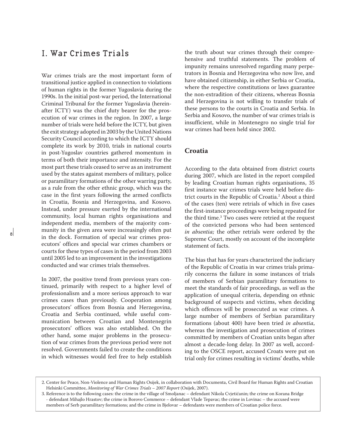## I. War Crimes Trials

War crimes trials are the most important form of transitional justice applied in connection to violations of human rights in the former Yugoslavia during the 1990s. In the initial post-war period, the International Criminal Tribunal for the former Yugoslavia (hereinafter ICTY) was the chief duty bearer for the prosecution of war crimes in the region. In 2007, a large number of trials were held before the ICTY, but given the exit strategy adopted in 2003 by the United Nations Security Council according to which the ICTY should complete its work by 2010, trials in national courts in post-Yugoslav countries gathered momentum in terms of both their importance and intensity. For the most part these trials ceased to serve as an instrument used by the states against members of military, police or paramilitary formations of the other warring party, as a rule from the other ethnic group, which was the case in the first years following the armed conflicts in Croatia, Bosnia and Herzegovina, and Kosovo. Instead, under pressure exerted by the international community, local human rights organisations and independent media, members of the majority community in the given area were increasingly often put in the dock. Formation of special war crimes prosecutors' offices and special war crimes chambers or courts for these types of cases in the period from 2003 until 2005 led to an improvement in the investigations conducted and war crimes trials themselves.

In 2007, the positive trend from previous years continued, primarily with respect to a higher level of professionalism and a more serious approach to war crimes cases than previously. Cooperation among prosecutors' offices from Bosnia and Herzegovina, Croatia and Serbia continued, while useful communication between Croatian and Montenegrin prosecutors' offices was also established. On the other hand, some major problems in the prosecution of war crimes from the previous period were not resolved. Governments failed to create the conditions in which witnesses would feel free to help establish the truth about war crimes through their comprehensive and truthful statements. The problem of impunity remains unresolved regarding many perpetrators in Bosnia and Herzegovina who now live, and have obtained citizenship, in either Serbia or Croatia, where the respective constitutions or laws guarantee the non-extradition of their citizens, whereas Bosnia and Herzegovina is not willing to transfer trials of these persons to the courts in Croatia and Serbia. In Serbia and Kosovo, the number of war crimes trials is insufficient, while in Montenegro no single trial for war crimes had been held since 2002.

## **Croatia**

According to the data obtained from district courts during 2007, which are listed in the report compiled by leading Croatian human rights organisations, 35 first instance war crimes trials were held before district courts in the Republic of Croatia.2 About a third of the cases (ten) were retrials of which in five cases the first-instance proceedings were being repeated for the third time.3 Two cases were retried at the request of the convicted persons who had been sentenced *in absentia;* the other retrials were ordered by the Supreme Court, mostly on account of the incomplete statement of facts.

The bias that has for years characterized the judiciary of the Republic of Croatia in war crimes trials primarily concerns the failure in some instances of trials of members of Serbian paramilitary formations to meet the standards of fair proceedings, as well as the application of unequal criteria, depending on ethnic background of suspects and victims, when deciding which offences will be prosecuted as war crimes. A large number of members of Serbian paramilitary formations (about 400) have been tried *in absentia*, whereas the investigation and prosecution of crimes committed by members of Croatian units began after almost a decade-long delay. In 2007 as well, according to the OSCE report, accused Croats were put on trial only for crimes resulting in victims' deaths, while

<sup>2.</sup> Center for Peace, Non-Violence and Human Rights Osijek, in collaboration with Documenta, Civil Board for Human Rights and Croatian Helsinki Committee, *Monitoring of War Crimes Trials – 2007 Report* (Osijek, 2007).

<sup>3.</sup> Reference is to the following cases: the crime in the village of Smoljanac – defendant Nikola Cvjetićanin; the crime on Korana Bridge - defendant Mihajlo Hrastov; the crime in Borovo Commerce – defendant Vlade Tepavac; the crime in Lovinac – the accused were members of Serb paramilitary formations; and the crime in Bjelovar – defendants were members of Croatian police force.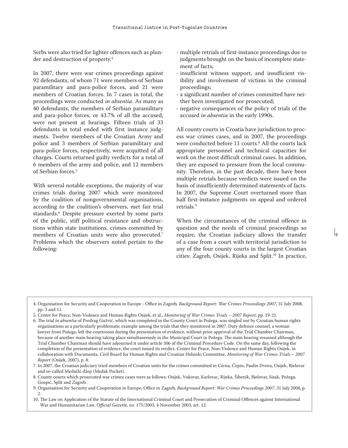Serbs were also tried for lighter offences such as plunder and destruction of property.<sup>4</sup>

In 2007, there were war crimes proceedings against 92 defendants, of whom 71 were members of Serbian paramilitary and para-police forces, and 21 were members of Croatian forces. In 7 cases in total, the proceedings were conducted *in absentia*. As many as 40 defendants, the members of Serbian paramilitary and para-police forces, or 43.7% of all the accused, were not present at hearings. Fifteen trials of 33 defendants in total ended with first instance judgments. Twelve members of the Croatian Army and police and 3 members of Serbian paramilitary and para-police forces, respectively, were acquitted of all charges. Courts returned guilty verdicts for a total of 6 members of the army and police, and 12 members of Serbian forces.5

With several notable exceptions, the majority of war crimes trials during 2007 which were monitored by the coalition of nongovernmental organisations, according to the coalition's observers, met fair trial standards.6 Despite pressure exerted by some parts of the public, stiff political resistance and obstructions within state institutions, crimes committed by members of Croatian units were also prosecuted.<sup>7</sup> Problems which the observers noted pertain to the following:

- multiple retrials of first-instance proceedings due to judgments brought on the basis of incomplete statement of facts;
- insufficient witness support, and insufficient visibility and involvement of victims in the criminal proceedings;
- a significant number of crimes committed have neither been investigated nor prosecuted;
- negative consequences of the policy of trials of the accused *in absentia* in the early 1990s.

All county courts in Croatia have jurisdiction to process war crimes cases, and in 2007, the proceedings were conducted before 11 courts.<sup>8</sup> All the courts lack appropriate personnel and technical capacities for work on the most difficult criminal cases. In addition, they are exposed to pressure from the local community. Therefore, in the past decade, there have been multiple retrials because verdicts were issued on the basis of insufficiently determined statements of facts. In 2007, the Supreme Court overturned more than half first-instance judgments on appeal and ordered retrials.9

When the circumstances of the criminal offence in question and the needs of criminal proceedings so require, the Croatian judiciary allows the transfer of a case from a court with territorial jurisdiction to any of the four county courts in the largest Croatian cities: Zagreb, Osijek, Rijeka and Split.<sup>10</sup> In practice,

 $\mathsf{I}_\mathsf{0}$ 

5. Center for Peace, Non-Violence and Human Rights Osijek, et al., *Monitoring of War Crimes Trials – 2007 Report*, pp. 19-21. 6. The trial *in absentia* of Predrag Gužvić, which was completed in the County Court in Požega, was singled out by Croatian human rights organisations as a particularly problematic example among the trials that they monitored in 2007. Duty defence counsel, a woman lawyer from Požega, left the courtroom during the presentation of evidence, without prior approval of the Trial Chamber Chairman, because of another main hearing taking place simultaneously in the Municipal Court in Požega. The main hearing resumed although the Trial Chamber Chairman should have adjourned it under article 306 of the Criminal Procedure Code. On the same day, following the completion of the presentation of evidence, the court issued its verdict. Center for Peace, Non-Violence and Human Rights Osijek, in collaboration with Documenta, Civil Board for Human Rights and Croatian Helsinki Committee, *Monitoring of War Crimes Trials – 2007 Report* (Osijek, 2007), p. 8.

7. In 2007, the Croatian judiciary tried members of Croatian units for the crimes committed in Cerna, Čepin, Paulin Dvoru, Osijek, Bjelovar and so-called Medački džep (Medak Pocket).

8. County courts which prosecuted war crimes cases were as follows: Osijek, Vukovar, Karlovac, Rijeka, Šibenik, Bjelovar, Sisak, Požega, Gospić, Split and Zagreb.

<sup>4.</sup> Organisation for Security and Cooperation in Europe - Office in Zagreb*, Background Report: War Crimes Proceedings 2007*, 31 July 2008, pp. 3 and 11.

<sup>9.</sup> Organisation for Security and Cooperation in Europe, Office in Zagreb*, Background Report: War Crimes Proceedings 2007*, 31 July 2008, p. 2.

<sup>10.</sup> The Law on Application of the Statute of the International Criminal Court and Prosecution of Criminal Offences against International War and Humanitarian Law, *Official Gazette, no.* 175/2003, 4 November 2003, art. 12.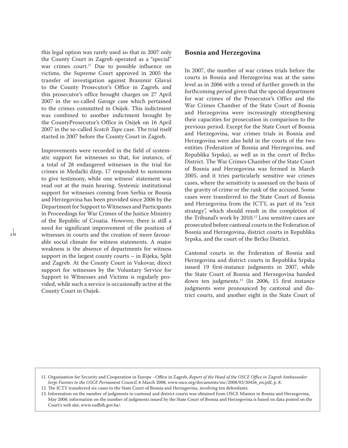this legal option was rarely used so that in 2007 only the County Court in Zagreb operated as a "special" war crimes court.<sup>11</sup> Due to possible influence on victims, the Supreme Court approved in 2005 the transfer of investigation against Branimir Glavaš to the County Prosecutor's Office in Zagreb, and this prosecutor's office brought charges on 27 April 2007 in the so-called *Garage* case which pertained to the crimes committed in Osijek. This indictment was combined to another indictment brought by the CountyProsecutor's Office in Osijek on 16 April 2007 in the so-called *Scotch Tape* case. The trial itself started in 2007 before the County Court in Zagreb.

Improvements were recorded in the field of systematic support for witnesses so that, for instance, of a total of 28 endangered witnesses in the trial for crimes in Medački džep, 17 responded to summons to give testimony, while one witness' statement was read out at the main hearing. Systemic institutional support for witnesses coming from Serbia or Bosnia and Herzegovina has been provided since 2006 by the Department for Support to Witnesses and Participants in Proceedings for War Crimes of the Justice Ministry of the Republic of Croatia. However, there is still a need for significant improvement of the position of witnesses in courts and the creation of more favourable social climate for witness statements. A major weakness is the absence of departments for witness support in the largest county courts – in Rijeka, Split and Zagreb. At the County Court in Vukovar, direct support for witnesses by the Voluntary Service for Support to Witnesses and Victims is regularly provided, while such a service is occasionally active at the County Court in Osijek.

 $\frac{1}{10}$ 

## **Bosnia and Herzegovina**

In 2007, the number of war crimes trials before the courts in Bosnia and Herzegovina was at the same level as in 2006 with a trend of further growth in the forthcoming period given that the special department for war crimes of the Prosecutor's Office and the War Crimes Chamber of the State Court of Bosnia and Herzegovina were increasingly strengthening their capacities for prosecution in comparison to the previous period. Except for the State Court of Bosnia and Herzegovina, war crimes trials in Bosnia and Herzegovina were also held in the courts of the two entities (Federation of Bosnia and Herzegovina, and Republika Srpska), as well as in the court of Brčko District. The War Crimes Chamber of the State Court of Bosnia and Herzegovina was formed in March 2005, and it tries particularly sensitive war crimes cases, where the sensitivity is assessed on the basis of the gravity of crime or the rank of the accused. Some cases were transferred to the State Court of Bosnia and Herzegovina from the ICTY, as part of its "exit strategy", which should result in the completion of the Tribunal's work by 2010.12 Less sensitive cases are prosecuted before cantonal courts in the Federation of Bosnia and Herzegovina, district courts in Republika Srpska, and the court of the Brčko District.

Cantonal courts in the Federation of Bosnia and Herzegovina and district courts in Republika Srpska issued 19 first-instance judgments in 2007, while the State Court of Bosnia and Herzegovina handed down ten judgments.13 (In 2006, 15 first instance judgments were pronounced by cantonal and district courts, and another eight in the State Court of

<sup>11.</sup> Organisation for Security and Cooperation in Europe - Office in Zagreb, *Report of the Head of the OSCE Office in Zagreb Ambassador Jorge Fuentes to the OSCE Permanent Council*, 6 March 2008, www.osce.org/documents/mc/2008/03/30456\_en.pdf, p. 8.

<sup>12.</sup> The ICTY transferred six cases to the State Court of Bosnia and Herzegovina, involving ten defendants.

<sup>13.</sup> Information on the number of judgments in cantonal and district courts was obtained from OSCE Mission in Bosnia and Herzegovina, May 2008; information on the number of judgments issued by the State Court of Bosnia and Herzegovina is based on data posted on the Court's web site, www.sudbih.gov.ba/.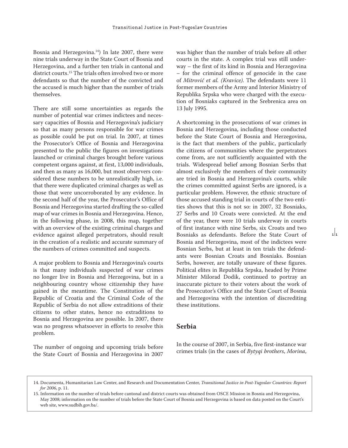Bosnia and Herzegovina. $14$ ) In late 2007, there were nine trials underway in the State Court of Bosnia and Herzegovina, and a further ten trials in cantonal and district courts.<sup>15</sup> The trials often involved two or more defendants so that the number of the convicted and the accused is much higher than the number of trials themselves.

There are still some uncertainties as regards the number of potential war crimes indictees and necessary capacities of Bosnia and Herzegovina's judiciary so that as many persons responsible for war crimes as possible could be put on trial. In 2007, at times the Prosecutor's Office of Bosnia and Herzegovina presented to the public the figures on investigations launched or criminal charges brought before various competent organs against, at first, 13,000 individuals, and then as many as 16,000, but most observers considered these numbers to be unrealistically high, i.e. that there were duplicated criminal charges as well as those that were uncorroborated by any evidence. In the second half of the year, the Prosecutor's Office of Bosnia and Herzegovina started drafting the so-called map of war crimes in Bosnia and Herzegovina. Hence, in the following phase, in 2008, this map, together with an overview of the existing criminal charges and evidence against alleged perpetrators, should result in the creation of a realistic and accurate summary of the numbers of crimes committed and suspects.

A major problem to Bosnia and Herzegovina's courts is that many individuals suspected of war crimes no longer live in Bosnia and Herzegovina, but in a neighbouring country whose citizenship they have gained in the meantime. The Constitution of the Republic of Croatia and the Criminal Code of the Republic of Serbia do not allow extraditions of their citizens to other states, hence no extraditions to Bosnia and Herzegovina are possible. In 2007, there was no progress whatsoever in efforts to resolve this problem.

The number of ongoing and upcoming trials before the State Court of Bosnia and Herzegovina in 2007

was higher than the number of trials before all other courts in the state. A complex trial was still underway – the first of its kind in Bosnia and Herzegovina – for the criminal offence of genocide in the case of *Mitrović et al. (Kravice)*. The defendants were 11 former members of the Army and Interior Ministry of Republika Srpska who were charged with the execution of Bosniaks captured in the Srebrenica area on 13 July 1995.

A shortcoming in the prosecutions of war crimes in Bosnia and Herzegovina, including those conducted before the State Court of Bosnia and Herzegovina, is the fact that members of the public, particularly the citizens of communities where the perpetrators come from, are not sufficiently acquainted with the trials. Widespread belief among Bosnian Serbs that almost exclusively the members of their community are tried in Bosnia and Herzegovina's courts, while the crimes committed against Serbs are ignored, is a particular problem. However, the ethnic structure of those accused standing trial in courts of the two entities shows that this is not so: in 2007, 32 Bosniaks, 27 Serbs and 10 Croats were convicted. At the end of the year, there were 10 trials underway in courts of first instance with nine Serbs, six Croats and two Bosniaks as defendants. Before the State Court of Bosnia and Herzegovina, most of the indictees were Bosnian Serbs, but at least in ten trials the defendants were Bosnian Croats and Bosniaks. Bosnian Serbs, however, are totally unaware of these figures. Political elites in Republika Srpska, headed by Prime Minister Milorad Dodik, continued to portray an inaccurate picture to their voters about the work of the Prosecutor's Office and the State Court of Bosnia and Herzegovina with the intention of discrediting these institutions.

 $\frac{1}{11}$ 

## **Serbia**

In the course of 2007, in Serbia, five first-instance war crimes trials (in the cases of *Bytyqi brothers*, *Morina*,

<sup>14.</sup> Documenta, Humanitarian Law Center, and Research and Documentation Center, *Transitional Justice in Post-Yugoslav Countries: Report for 2006*, p. 11.

<sup>15.</sup> Information on the number of trials before cantonal and district courts was obtained from OSCE Mission in Bosnia and Herzegovina, May 2008; information on the number of trials before the State Court of Bosnia and Herzegovina is based on data posted on the Court's web site, www.sudbih.gov.ba/.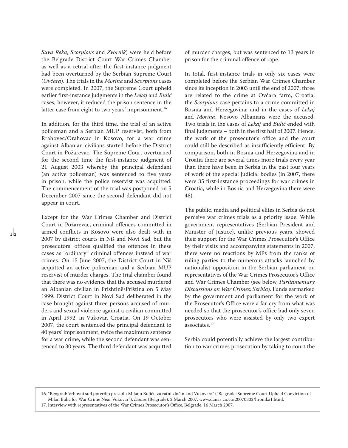*Suva Reka*, *Scorpions* and *Zvornik*) were held before the Belgrade District Court War Crimes Chamber as well as a retrial after the first-instance judgment had been overturned by the Serbian Supreme Court (*Ovčara*). The trials in the *Morina* and *Scorpions* cases were completed. In 2007, the Supreme Court upheld earlier first-instance judgments in the *Lekaj* and *Bulić*  cases, however, it reduced the prison sentence in the latter case from eight to two years' imprisonment.<sup>16</sup>

In addition, for the third time, the trial of an active policeman and a Serbian MUP reservist, both from Rrahovec/Orahovac in Kosovo, for a war crime against Albanian civilians started before the District Court in Požarevac. The Supreme Court overturned for the second time the first-instance judgment of 21 August 2003 whereby the principal defendant (an active policeman) was sentenced to five years in prison, while the police reservist was acquitted. The commencement of the trial was postponed on 5 December 2007 since the second defendant did not appear in court.

Except for the War Crimes Chamber and District Court in Požarevac, criminal offences committed in armed conflicts in Kosovo were also dealt with in 2007 by district courts in Niš and Novi Sad, but the prosecutors' offices qualified the offences in these cases as "ordinary" criminal offences instead of war crimes. On 15 June 2007, the District Court in Niš acquitted an active policeman and a Serbian MUP reservist of murder charges. The trial chamber found that there was no evidence that the accused murdered an Albanian civilian in Prishtinë/Priština on 5 May 1999. District Court in Novi Sad deliberated in the case brought against three persons accused of murders and sexual violence against a civilian committed in April 1992, in Vukovar, Croatia. On 19 October 2007, the court sentenced the principal defendant to 40 years' imprisonment, twice the maximum sentence for a war crime, while the second defendant was sentenced to 30 years. The third defendant was acquitted

 $\vert$ <sub>2</sub>

of murder charges, but was sentenced to 13 years in prison for the criminal offence of rape.

In total, first-instance trials in only six cases were completed before the Serbian War Crimes Chamber since its inception in 2003 until the end of 2007; three are related to the crime at Ovčara farm, Croatia; the *Scorpions* case pertains to a crime committed in Bosnia and Herzegovina; and in the cases of *Lekaj*  and *Morina*, Kosovo Albanians were the accused. Two trials in the cases of *Lekaj* and *Bulić* ended with final judgments – both in the first half of 2007. Hence, the work of the prosecutor's office and the court could still be described as insufficiently efficient. By comparison, both in Bosnia and Herzegovina and in Croatia there are several times more trials every year than there have been in Serbia in the past four years of work of the special judicial bodies (in 2007, there were 35 first-instance proceedings for war crimes in Croatia, while in Bosnia and Herzegovina there were 48).

The public, media and political elites in Serbia do not perceive war crimes trials as a priority issue. While government representatives (Serbian President and Minister of Justice), unlike previous years, showed their support for the War Crimes Prosecutor's Office by their visits and accompanying statements in 2007, there were no reactions by MPs from the ranks of ruling parties to the numerous attacks launched by nationalist opposition in the Serbian parliament on representatives of the War Crimes Prosecutor's Office and War Crimes Chamber (see below, *Parliamentary Discussions on War Crimes: Serbia*). Funds earmarked by the government and parliament for the work of the Prosecutor's Office were a far cry from what was needed so that the prosecutor's office had only seven prosecutors who were assisted by only two expert associates.17

Serbia could potentially achieve the largest contribution to war crimes prosecution by taking to court the

16. "Beograd: Vrhovni sud potvrdio presudu Milanu Buliću za ratni zločin kod Vukovara" ("Belgrade: Supreme Court Upheld Conviction of Milan Bulić for War Crime Near Vukovar"), *Danas* (Belgrade), 2 March 2007, www.danas.co.yu/20070302/hronika1.html. 17. Interview with representatives of the War Crimes Prosecutor's Office, Belgrade, 16 March 2007.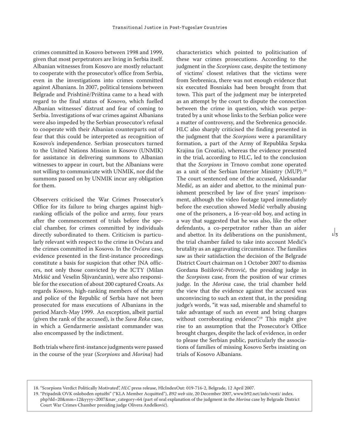crimes committed in Kosovo between 1998 and 1999, given that most perpetrators are living in Serbia itself. Albanian witnesses from Kosovo are mostly reluctant to cooperate with the prosecutor's office from Serbia, even in the investigations into crimes committed against Albanians. In 2007, political tensions between Belgrade and Prishtinë/Priština came to a head with regard to the final status of Kosovo, which fuelled Albanian witnesses' distrust and fear of coming to Serbia. Investigations of war crimes against Albanians were also impeded by the Serbian prosecutor's refusal to cooperate with their Albanian counterparts out of fear that this could be interpreted as recognition of Kosovo's independence. Serbian prosecutors turned to the United Nations Mission in Kosovo (UNMIK) for assistance in delivering summons to Albanian witnesses to appear in court, but the Albanians were not willing to communicate with UNMIK, nor did the summons passed on by UNMIK incur any obligation for them.

Observers criticised the War Crimes Prosecutor's Office for its failure to bring charges against highranking officials of the police and army, four years after the commencement of trials before the special chamber, for crimes committed by individuals directly subordinated to them. Criticism is particularly relevant with respect to the crime in Ovčara and the crimes committed in Kosovo. In the *Ovčara* case, evidence presented in the first-instance proceedings constitute a basis for suspicion that other JNA officers, not only those convicted by the ICTY (Milan Mrkšić and Veselin Šljivančanin), were also responsible for the execution of about 200 captured Croats. As regards Kosovo, high-ranking members of the army and police of the Republic of Serbia have not been prosecuted for mass executions of Albanians in the period March-May 1999. An exception, albeit partial (given the rank of the accused), is the *Suva Reka* case, in which a Gendarmerie assistant commander was also encompassed by the indictment.

Both trials where first-instance judgments were passed in the course of the year (*Scorpions* and *Morina*) had characteristics which pointed to politicisation of these war crimes prosecutions. According to the judgment in the *Scorpions* case, despite the testimony of victims' closest relatives that the victims were from Srebrenica, there was not enough evidence that six executed Bosniaks had been brought from that town. This part of the judgment may be interpreted as an attempt by the court to dispute the connection between the crime in question, which was perpetrated by a unit whose links to the Serbian police were a matter of controversy, and the Srebrenica genocide. HLC also sharply criticised the finding presented in the judgment that the *Scorpions* were a paramilitary formation, a part of the Army of Republika Srpska Krajina (in Croatia), whereas the evidence presented in the trial, according to HLC, led to the conclusion that the *Scorpions* in Trnovo combat zone operated as a unit of the Serbian Interior Ministry (MUP).<sup>18</sup> The court sentenced one of the accused, Aleksandar Medić, as an aider and abettor, to the minimal punishment prescribed by law of five years' imprisonment, although the video footage taped immediately before the execution showed Medić verbally abusing one of the prisoners, a 16-year-old boy, and acting in a way that suggested that he was also, like the other defendants, a co-perpetrator rather than an aider and abettor. In its deliberations on the punishment, the trial chamber failed to take into account Medić's brutality as an aggravating circumstance. The families saw as their satisfaction the decision of the Belgrade District Court chairman on 1 October 2007 to dismiss Gordana Božilović-Petrović, the presiding judge in the *Scorpions* case, from the position of war crimes judge. In the *Morina* case, the trial chamber held the view that the evidence against the accused was unconvincing to such an extent that, in the presiding judge's words, "it was sad, miserable and shameful to take advantage of such an event and bring charges without corroborating evidence".<sup>19</sup> This might give rise to an assumption that the Prosecutor's Office brought charges, despite the lack of evidence, in order to please the Serbian public, particularly the associations of families of missing Kosovo Serbs insisting on trials of Kosovo Albanians.

 $\frac{1}{3}$ 

<sup>18. &</sup>quot;Scorpions Verdict Politically Motivated", *HLC* press release, HlcIndexOut: 019-716-2, Belgrade, 12 April 2007.

<sup>19. &</sup>quot;Pripadnik OVK oslobođen optužbi" ("KLA Member Acquitted"), *B92 web site*, 20 December 2007, www.b92.net/info/vesti/ index. php?dd=20&mm=12&yyyy=2007&nav\_category=64 (part of oral explanation of the judgment in the *Morina* case by Belgrade District Court War Crimes Chamber presiding judge Olivera Anđelković).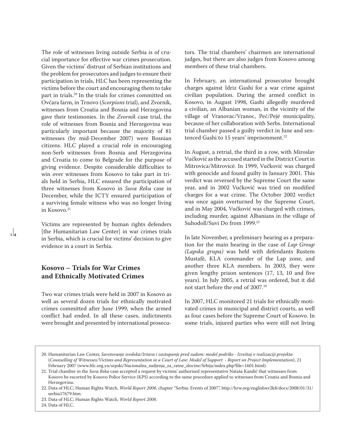The role of witnesses living outside Serbia is of crucial importance for effective war crimes prosecution. Given the victims' distrust of Serbian institutions and the problem for prosecutors and judges to ensure their participation in trials, HLC has been representing the victims before the court and encouraging them to take part in trials.20 In the trials for crimes committed on Ovčara farm, in Trnovo (*Scorpions* trial), and Zvornik, witnesses from Croatia and Bosnia and Herzegovina gave their testimonies. In the *Zvornik* case trial, the role of witnesses from Bosnia and Herzegovina was particularly important because the majority of 81 witnesses (by mid-December 2007) were Bosnian citizens. HLC played a crucial role in encouraging non-Serb witnesses from Bosnia and Herzegovina and Croatia to come to Belgrade for the purpose of giving evidence. Despite considerable difficulties to win over witnesses from Kosovo to take part in trials held in Serbia, HLC ensured the participation of three witnesses from Kosovo in *Suva Reka* case in December, while the ICTY ensured participation of a surviving female witness who was no longer living in Kosovo.<sup>21</sup>

Victims are represented by human rights defenders [the Humanitarian Law Center] in war crimes trials in Serbia, which is crucial for victims' decision to give evidence in a court in Serbia.

## **Kosovo – Trials for War Crimes and Ethnically Motivated Crimes**

Two war crimes trials were held in 2007 in Kosovo as well as several dozen trials for ethnically motivated crimes committed after June 1999, when the armed conflict had ended. In all these cases, indictments were brought and presented by international prosecutors. The trial chambers' chairmen are international judges, but there are also judges from Kosovo among members of these trial chambers.

In February, an international prosecutor brought charges against Idriz Gashi for a war crime against civilian population. During the armed conflict in Kosovo, in August 1998, Gashi allegedly murdered a civilian, an Albanian woman, in the vicinity of the village of Vranovac/Vranoc, Peć/Pejë municipality, because of her collaboration with Serbs. International trial chamber passed a guilty verdict in June and sentenced Gashi to 15 years' imprisonment.<sup>22</sup>

In August, a retrial, the third in a row, with Miroslav Vučković as the accused started in the District Court in Mitrovica/Mitrovicë. In 1999, Vučković was charged with genocide and found guilty in January 2001. This verdict was reversed by the Supreme Court the same year, and in 2002 Vučković was tried on modified charges for a war crime. The October 2002 verdict was once again overturned by the Supreme Court, and in May 2004, Vučković was charged with crimes, including murder, against Albanians in the village of Suhodoll/Suvi Do from 1999.<sup>23</sup>

In late November, a preliminary hearing as a preparation for the main hearing in the case of *Lap Group (Lapska grupa)* was held with defendants Rustem Mustafë, KLA commander of the Lap zone, and another three KLA members. In 2003, they were given lengthy prison sentences (17, 13, 10 and five years). In July 2005, a retrial was ordered, but it did not start before the end of 2007.24

In 2007, HLC monitored 21 trials for ethnically motivated crimes in municipal and district courts, as well as four cases before the Supreme Court of Kosovo. In some trials, injured parties who were still not living

24. Data of HLC.

<sup>20.</sup> Humanitarian Law Center, *Savetovanje svedoka/žrtava i zastupanje pred sudom: model podrške - Izveštaj o realizaciji projekta* (*Counselling of Witnesses/Victims and Representation in a Court of Law: Model of Support - Report on Project Implementation*), 21 February 2007 (www.hlc.org.yu/srpski/Nacionalna\_sudjenja\_za\_ratne\_zlocine/Srbija/index.php?file=1601.html).

<sup>21.</sup> Trial chamber in the *Suva Reka* case accepted a request by victims' authorised representative Nataša Kandić that witnesses from Kosovo be escorted by Kosovo Police Service (KPS) according to the same procedure applied to witnesses from Croatia and Bosnia and Herzegovina.

<sup>22.</sup> Data of HLC; Human Rights Watch, *World Report 2008*, chapter "Serbia: Events of 2007", http://hrw.org/englishwr2k8/docs/2008/01/31/ serbia17679.htm.

<sup>23.</sup> Data of HLC; Human Rights Watch, *World Report 2008*.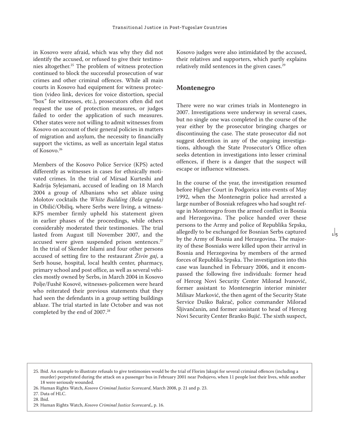in Kosovo were afraid, which was why they did not identify the accused, or refused to give their testimonies altogether.25 The problem of witness protection continued to block the successful prosecution of war crimes and other criminal offences. While all main courts in Kosovo had equipment for witness protection (video link, devices for voice distortion, special "box" for witnesses, etc.), prosecutors often did not request the use of protection measures, or judges failed to order the application of such measures. Other states were not willing to admit witnesses from Kosovo on account of their general policies in matters of migration and asylum, the necessity to financially support the victims, as well as uncertain legal status of Kosovo.26

Members of the Kosovo Police Service (KPS) acted differently as witnesses in cases for ethnically motivated crimes. In the trial of Mirsad Kurteshi and Kadrija Sylejamani, accused of leading on 18 March 2004 a group of Albanians who set ablaze using Molotov cocktails the *White Building (Bela zgrada)*  in Obilić/Obiliq, where Serbs were living, a witness-KPS member firmly upheld his statement given in earlier phases of the proceedings, while others considerably moderated their testimonies. The trial lasted from August till November 2007, and the accused were given suspended prison sentences.<sup>27</sup> In the trial of Skender Islami and four other persons accused of setting fire to the restaurant *Živin gaj*, a Serb house, hospital, local health center, pharmacy, primary school and post office, as well as several vehicles mostly owned by Serbs, in March 2004 in Kosovo Polje/Fushë Kosovë, witnesses-policemen were heard who reiterated their previous statements that they had seen the defendants in a group setting buildings ablaze. The trial started in late October and was not completed by the end of 2007.28

Kosovo judges were also intimidated by the accused, their relatives and supporters, which partly explains relatively mild sentences in the given cases.<sup>29</sup>

#### **Montenegro**

There were no war crimes trials in Montenegro in 2007. Investigations were underway in several cases, but no single one was completed in the course of the year either by the prosecutor bringing charges or discontinuing the case. The state prosecutor did not suggest detention in any of the ongoing investigations, although the State Prosecutor's Office often seeks detention in investigations into lesser criminal offences, if there is a danger that the suspect will escape or influence witnesses.

In the course of the year, the investigation resumed before Higher Court in Podgorica into events of May 1992, when the Montenegrin police had arrested a large number of Bosniak refugees who had sought refuge in Montenegro from the armed conflict in Bosnia and Herzegovina. The police handed over these persons to the Army and police of Republika Srpska, allegedly to be exchanged for Bosnian Serbs captured by the Army of Bosnia and Herzegovina. The majority of these Bosniaks were killed upon their arrival in Bosnia and Herzegovina by members of the armed forces of Republika Srpska. The investigation into this case was launched in February 2006, and it encompassed the following five individuals: former head of Herceg Novi Security Center Milorad Ivanović, former assistant to Montenegrin interior minister Milisav Marković, the then agent of the Security State Service Duško Bakrač, police commander Milorad Šljivančanin, and former assistant to head of Herceg Novi Security Center Branko Bujić. The sixth suspect,

 $\frac{1}{5}$ 

<sup>25.</sup> Ibid. An example to illustrate refusals to give testimonies would be the trial of Florim Jakupi for several criminal offences (including a murder) perpetrated during the attack on a passenger bus in February 2001 near Podujevo, when 11 people lost their lives, while another 18 were seriously wounded.

<sup>26.</sup> Human Rights Watch, *Kosovo Criminal Justice Scorecard*, March 2008, p. 21 and p. 23.

<sup>27.</sup> Data of HLC.

<sup>28.</sup> Ibid.

<sup>29.</sup> Human Rights Watch, *Kosovo Criminal Justice Scorecard*,, p. 16.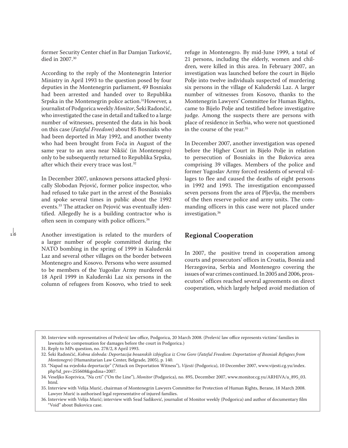former Security Center chief in Bar Damjan Turković, died in 2007.30

According to the reply of the Montenegrin Interior Ministry in April 1993 to the question posed by four deputies in the Montenegrin parliament, 49 Bosniaks had been arrested and handed over to Republika Srpska in the Montenegrin police action.<sup>31</sup>However, a journalist of Podgorica weekly *Monitor*, Šeki Radončić, who investigated the case in detail and talked to a large number of witnesses, presented the data in his book on this case (*Fateful Freedom*) about 85 Bosniaks who had been deported in May 1992, and another twenty who had been brought from Foča in August of the same year to an area near Nikšić (in Montenegro) only to be subsequently returned to Republika Srpska, after which their every trace was lost.32

In December 2007, unknown persons attacked physically Slobodan Pejović, former police inspector, who had refused to take part in the arrest of the Bosniaks and spoke several times in public about the 1992 events.33 The attacker on Pejović was eventually identified. Allegedly he is a building contractor who is often seen in company with police officers.34

Another investigation is related to the murders of a larger number of people committed during the NATO bombing in the spring of 1999 in Kaluđerski Laz and several other villages on the border between Montenegro and Kosovo. Persons who were assumed to be members of the Yugoslav Army murdered on 18 April 1999 in Kaluđerski Laz six persons in the column of refugees from Kosovo, who tried to seek

 $\frac{1}{6}$ 

refuge in Montenegro. By mid-June 1999, a total of 21 persons, including the elderly, women and children, were killed in this area. In February 2007, an investigation was launched before the court in Bijelo Polje into twelve individuals suspected of murdering six persons in the village of Kaluđerski Laz. A larger number of witnesses from Kosovo, thanks to the Montenegrin Lawyers' Committee for Human Rights, came to Bijelo Polje and testified before investigative judge. Among the suspects there are persons with place of residence in Serbia, who were not questioned in the course of the year.35

In December 2007, another investigation was opened before the Higher Court in Bijelo Polje in relation to persecution of Bosniaks in the Bukovica area comprising 39 villages. Members of the police and former Yugoslav Army forced residents of several villages to flee and caused the deaths of eight persons in 1992 and 1993. The investigation encompassed seven persons from the area of Pljevlja, the members of the then reserve police and army units. The commanding officers in this case were not placed under investigation.36

## **Regional Cooperation**

In 2007, the positive trend in cooperation among courts and prosecutors' offices in Croatia, Bosnia and Herzegovina, Serbia and Montenegro covering the issues of war crimes continued. In 2005 and 2006, prosecutors' offices reached several agreements on direct cooperation, which largely helped avoid mediation of

<sup>30.</sup> Interview with representatives of Prelević law office, Podgorica, 20 March 2008. (Prelević law office represents victims' families in lawsuits for compensation for damages before the court in Podgorica.)

<sup>31.</sup> Reply to MPs question, no. 278/2, 8 April 1993.

<sup>32.</sup> Šeki Radončić, *Kobna sloboda: Deportacija bosanskih izbjeglica iz Crne Gore* (*Fateful Freedom: Deportation of Bosniak Refugees from Montenegro*) (Humanitarian Law Center, Belgrade, 2005), p. 140.

<sup>33. &</sup>quot;Napad na svjedoka deportacije" ("Attack on Deportation Witness"), *Vijesti* (Podgorica), 10 December 2007, www.vijesti.cg.yu/index. php?id\_pre=255608&godina=2007.

<sup>34.</sup> Veseljko Koprivica, "Na crti" ("On the Line"), *Monitor* (Podgorica), no. 895, December 2007, www.monitor.cg.yu/ARHIVA/a\_895\_03. html.

<sup>35.</sup> Interview with Velija Murić, chairman of Montenegrin Lawyers Committee for Protection of Human Rights, Berane, 18 March 2008. Lawyer Murić is authorised legal representative of injured families.

<sup>36.</sup> Interview with Velija Murić; interview with Sead Sadiković, journalist of Monitor weekly (Podgorica) and author of documentary film "Void" about Bukovica case.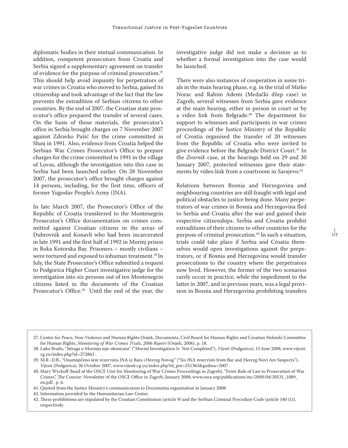diplomatic bodies in their mutual communication. In addition, competent prosecutors from Croatia and Serbia signed a supplementary agreement on transfer of evidence for the purpose of criminal prosecution.37 This should help avoid impunity for perpetrators of war crimes in Croatia who moved to Serbia, gained its citizenship and took advantage of the fact that the law prevents the extradition of Serbian citizens to other countries. By the end of 2007, the Croatian state prosecutor's office prepared the transfer of several cases. On the basis of those materials, the prosecutor's office in Serbia brought charges on 7 November 2007 against Zdravko Pašić for the crime committed in Slunj in 1991. Also, evidence from Croatia helped the Serbian War Crimes Prosecutor's Office to prepare charges for the crime committed in 1991 in the village of Lovas, although the investigation into this case in Serbia had been launched earlier. On 28 November 2007, the prosecutor's office brought charges against 14 persons, including, for the first time, officers of former Yugoslav People's Army (JNA).

In late March 2007, the Prosecutor's Office of the Republic of Croatia transferred to the Montenegrin Prosecutor's Office documentation on crimes committed against Croatian citizens in the areas of Dubrovnik and Konavli who had been incarcerated in late 1991 and the first half of 1992 in Morinj prison in Boka Kotorska Bay. Prisoners – mostly civilians – were tortured and exposed to inhuman treatment.38 In July, the State Prosecutor's Office submitted a request to Podgorica Higher Court investigative judge for the investigation into six persons out of ten Montenegrin citizens listed in the documents of the Croatian Prosecutor's Office.<sup>39</sup> Until the end of the year, the

investigative judge did not make a decision as to whether a formal investigation into the case would be launched.

There were also instances of cooperation in some trials in the main hearing phase, e.g. in the trial of Mirko Norac and Rahim Ademi (Medački džep case) in Zagreb, several witnesses from Serbia gave evidence at the main hearing, either in person in court or by a video link from Belgrade.40 The department for support to witnesses and participants in war crimes proceedings of the Justice Ministry of the Republic of Croatia organised the transfer of 20 witnesses from the Republic of Croatia who were invited to give evidence before the Belgrade District Court.<sup>41</sup> In the *Zvornik* case, at the hearings held on 29 and 30 January 2007, protected witnesses gave their statements by video link from a courtroom in Sarajevo.<sup>42</sup>

Relations between Bosnia and Herzegovina and neighbouring countries are still fraught with legal and political obstacles to justice being done. Many perpetrators of war crimes in Bosnia and Herzegovina fled to Serbia and Croatia after the war and gained their respective citizenships. Serbia and Croatia prohibit extraditions of their citizens to other countries for the purpose of criminal prosecution.<sup>43</sup> In such a situation, trials could take place if Serbia and Croatia themselves would open investigations against the perpetrators, or if Bosnia and Herzegovina would transfer prosecutions to the country where the perpetrators now lived. However, the former of the two scenarios rarely occur in practice, while the impediment to the latter in 2007, and in previous years, was a legal provision in Bosnia and Herzegovina prohibiting transfers

 $17$ 

- 41. Quoted from the Justice Ministry's communication to Documenta organisation in January 2008.
- 42. Information provided by the Humanitarian Law Center.
- 43. These prohibitions are stipulated by the Croatian Constitution (article 9) and the Serbian Criminal Procedure Code (article 540 (1)), respectively.

<sup>37.</sup> Center for Peace, Non-Violence and Human Rights Osijek, Documenta, Civil Board for Human Rights and Croatian Helsinki Committee for Human Rights, *Monitoring of War Crimes Trials, 2006 Report* (Osijek, 2006), p. 18.

<sup>38.</sup> Luko Brailo, "Istraga o Morinju nije okončana" ("Morinj Investigation Is Not Completed"), *Vijesti* (Podgorica), 15 June 2008, www.vijesti. cg.yu/index.php?id=272863 .

<sup>39.</sup> M.R.-D.B., "Osumnjičeno šest rezervista JNA iz Bara i Herceg Novog" ("Six JNA reservists from Bar and Herceg Novi Are Suspects"), *Vijesti* (Podgorica), 26 October 2007, www.vijesti.cg.yu/index.php?id\_pre=251365&godina=2007 .

<sup>40.</sup> Mary Wyckoff (head of the OSCE Unit for Monitoring of War Crimes Proceedings in Zagreb), "From Rule of Law to Prosecution of War Crimes", The Courier: Newsletter of the OSCE Office in Zagreb, January 2008, www.osce.org/publications/mc/2008/04/30531\_1089\_ en.pdf , p. 6.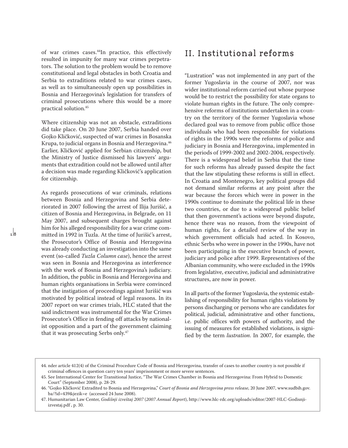of war crimes cases.44In practice, this effectively resulted in impunity for many war crimes perpetrators. The solution to the problem would be to remove constitutional and legal obstacles in both Croatia and Serbia to extraditions related to war crimes cases, as well as to simultaneously open up possibilities in Bosnia and Herzegovina's legislation for transfers of criminal prosecutions where this would be a more practical solution.45

Where citizenship was not an obstacle, extraditions did take place. On 20 June 2007, Serbia handed over Gojko Kličković, suspected of war crimes in Bosanska Krupa, to judicial organs in Bosnia and Herzegovina.46 Earlier, Kličković applied for Serbian citizenship, but the Ministry of Justice dismissed his lawyers' arguments that extradition could not be allowed until after a decision was made regarding Kličković's application for citizenship.

As regards prosecutions of war criminals, relations between Bosnia and Herzegovina and Serbia deteriorated in 2007 following the arrest of Ilija Jurišić, a citizen of Bosnia and Herzegovina, in Belgrade, on 11 May 2007, and subsequent charges brought against him for his alleged responsibility for a war crime committed in 1992 in Tuzla. At the time of Jurišić's arrest, the Prosecutor's Office of Bosnia and Herzegovina was already conducting an investigation into the same event (so-called *Tuzla Column case*), hence the arrest was seen in Bosnia and Herzegovina as interference with the work of Bosnia and Herzegovina's judiciary. In addition, the public in Bosnia and Herzegovina and human rights organisations in Serbia were convinced that the instigation of proceedings against Jurišić was motivated by political instead of legal reasons. In its 2007 report on war crimes trials, HLC stated that the said indictment was instrumental for the War Crimes Prosecutor's Office in fending off attacks by nationalist opposition and a part of the government claiming that it was prosecuting Serbs only.47

## II. Institutional reforms

"Lustration" was not implemented in any part of the former Yugoslavia in the course of 2007, nor was wider institutional reform carried out whose purpose would be to restrict the possibility for state organs to violate human rights in the future. The only comprehensive reforms of institutions undertaken in a country on the territory of the former Yugoslavia whose declared goal was to remove from public office those individuals who had been responsible for violations of rights in the 1990s were the reforms of police and judiciary in Bosnia and Herzegovina, implemented in the periods of 1999-2002 and 2002-2004, respectively. There is a widespread belief in Serbia that the time for such reforms has already passed despite the fact that the law stipulating these reforms is still in effect. In Croatia and Montenegro, key political groups did not demand similar reforms at any point after the war because the forces which were in power in the 1990s continue to dominate the political life in these two countries, or due to a widespread public belief that then government's actions were beyond dispute, hence there was no reason, from the viewpoint of human rights, for a detailed review of the way in which government officials had acted. In Kosovo, ethnic Serbs who were in power in the 1990s, have not been participating in the executive branch of power, judiciary and police after 1999. Representatives of the Albanian community, who were excluded in the 1990s from legislative, executive, judicial and administrative structures, are now in power.

In all parts of the former Yugoslavia, the systemic establishing of responsibility for human rights violations by persons discharging or persons who are candidates for political, judicial, administrative and other functions, i.e. public offices with powers of authority, and the issuing of measures for established violations, is signified by the term *lustration*. In 2007, for example, the

<sup>44.</sup> nder article 412(4) of the Criminal Procedure Code of Bosnia and Herzegovina, transfer of cases to another country is not possible if criminal offences in question carry ten years' imprisonment or more severe sentences.

<sup>45.</sup> See International Center for Transitional Justice, "The War Crimes Chamber in Bosnia and Herzegovina: From Hybrid to Domestic Court" (September 2008), p. 28-29.

<sup>46. &</sup>quot;Gojko Kličković Extradited to Bosnia and Herzegovina," *Court of Bosnia and Herzegovina press release*, 20 June 2007, www.sudbih.gov. ba/?id=439&jezik=e (accessed 24 June 2008).

<sup>47.</sup> Humanitarian Law Center, *Godišnji izveštaj 2007* (*2007 Annual Report*), http://www.hlc-rdc.org/uploads/editor/2007-HLC-Godisnjiizvestaj.pdf , p. 30.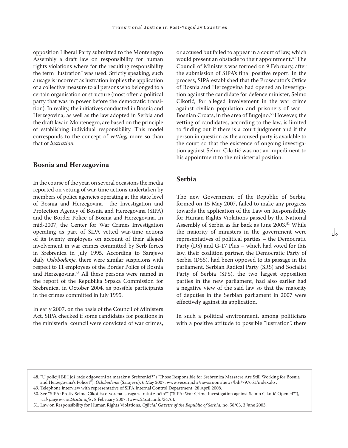opposition Liberal Party submitted to the Montenegro Assembly a draft law on responsibility for human rights violations where for the resulting responsibility the term "lustration" was used. Strictly speaking, such a usage is incorrect as lustration implies the application of a collective measure to all persons who belonged to a certain organisation or structure (most often a political party that was in power before the democratic transition). In reality, the initiatives conducted in Bosnia and Herzegovina, as well as the law adopted in Serbia and the draft law in Montenegro, are based on the principle of establishing individual responsibility. This model corresponds to the concept of *vetting,* more so than that of *lustration.* 

## **Bosnia and Herzegovina**

In the course of the year, on several occasions the media reported on vetting of war-time actions undertaken by members of police agencies operating at the state level of Bosnia and Herzegovina –the Investigation and Protection Agency of Bosnia and Herzegovina (SIPA) and the Border Police of Bosnia and Herzegovina. In mid-2007, the Center for War Crimes Investigation operating as part of SIPA vetted war-time actions of its twenty employees on account of their alleged involvement in war crimes committed by Serb forces in Srebrenica in July 1995. According to Sarajevo daily *Oslobođenje*, there were similar suspicions with respect to 11 employees of the Border Police of Bosnia and Herzegovina.<sup>48</sup> All these persons were named in the report of the Republika Srpska Commission for Srebrenica, in October 2004, as possible participants in the crimes committed in July 1995.

In early 2007, on the basis of the Council of Ministers Act, SIPA checked if some candidates for positions in the ministerial council were convicted of war crimes,

or accused but failed to appear in a court of law, which would present an obstacle to their appointment.<sup>49</sup> The Council of Ministers was formed on 9 February, after the submission of SIPA's final positive report. In the process, SIPA established that the Prosecutor's Office of Bosnia and Herzegovina had opened an investigation against the candidate for defence minister, Selmo Cikotić, for alleged involvement in the war crime against civilian population and prisoners of war – Bosnian Croats, in the area of Bugojno.<sup>50</sup> However, the vetting of candidates, according to the law, is limited to finding out if there is a court judgment and if the person in question as the accused party is available to the court so that the existence of ongoing investigation against Selmo Cikotić was not an impediment to his appointment to the ministerial position.

### **Serbia**

The new Government of the Republic of Serbia, formed on 15 May 2007, failed to make any progress towards the application of the Law on Responsibility for Human Rights Violations passed by the National Assembly of Serbia as far back as June 2003.<sup>51</sup> While the majority of ministers in the government were representatives of political parties – the Democratic Party (DS) and G-17 Plus – which had voted for this law, their coalition partner, the Democratic Party of Serbia (DSS), had been opposed to its passage in the parliament. Serbian Radical Party (SRS) and Socialist Party of Serbia (SPS), the two largest opposition parties in the new parliament, had also earlier had a negative view of the said law so that the majority of deputies in the Serbian parliament in 2007 were effectively against its application.

In such a political environment, among politicians with a positive attitude to possible "lustration", there

<sup>48. &</sup>quot;U policiji BiH još rade odgovorni za masakr u Srebrenici?" ("Those Responsible for Srebrenica Massacre Are Still Working for Bosnia and Herzegovina's Police?"), *Oslobođenje* (Sarajevo), 6 May 2007, www.vecernji.hr/newsroom/news/bih/797651/index.do .

<sup>49.</sup> Telephone interview with representative of SIPA Internal Control Department, 28 April 2008.

<sup>50.</sup> See "SIPA: Protiv Selme Cikotića otvorena istraga za ratni zločin?" ("SIPA: War Crime Investigation against Selmo Cikotić Opened?"), *web page www.24sata.info* , 8 February 2007. (www.24sata.info/3476).

<sup>51.</sup> Law on Responsibility for Human Rights Violations, *Official Gazette of the Republic of Serbia,* no. 58/03, 3 June 2003.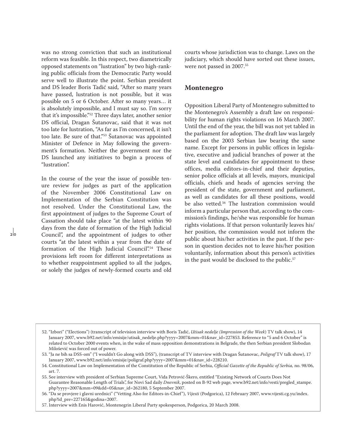was no strong conviction that such an institutional reform was feasible. In this respect, two diametrically opposed statements on "lustration" by two high-ranking public officials from the Democratic Party would serve well to illustrate the point. Serbian president and DS leader Boris Tadić said, "After so many years have passed, lustration is not possible, but it was possible on 5 or 6 October. After so many years… it is absolutely impossible, and I must say so. I'm sorry that it's impossible."52 Three days later, another senior DS official, Dragan Šutanovac, said that it was not too late for lustration, "As far as I'm concerned, it isn't too late. Be sure of that."<sup>53</sup> Šutanovac was appointed Minister of Defence in May following the government's formation. Neither the government nor the DS launched any initiatives to begin a process of "lustration".

In the course of the year the issue of possible tenure review for judges as part of the application of the November 2006 Constitutional Law on Implementation of the Serbian Constitution was not resolved. Under the Constitutional Law, the first appointment of judges to the Supreme Court of Cassation should take place "at the latest within 90 days from the date of formation of the High Judicial Council", and the appointment of judges to other courts "at the latest within a year from the date of formation of the High Judicial Council".<sup>54</sup> These provisions left room for different interpretations as to whether reappointment applied to all the judges, or solely the judges of newly-formed courts and old courts whose jurisdiction was to change. Laws on the judiciary, which should have sorted out these issues, were not passed in 2007.55

#### **Montenegro**

Opposition Liberal Party of Montenegro submitted to the Montenegro's Assembly a draft law on responsibility for human rights violations on 16 March 2007. Until the end of the year, the bill was not yet tabled in the parliament for adoption. The draft law was largely based on the 2003 Serbian law bearing the same name. Except for persons in public offices in legislative, executive and judicial branches of power at the state level and candidates for appointment to these offices, media editors-in-chief and their deputies, senior police officials at all levels, mayors, municipal officials, chiefs and heads of agencies serving the president of the state, government and parliament, as well as candidates for all these positions, would be also vetted.<sup>56</sup> The lustration commission would inform a particular person that, according to the commission's findings, he/she was responsible for human rights violations. If that person voluntarily leaves his/ her position, the commission would not inform the public about his/her activities in the past. If the person in question decides not to leave his/her position voluntarily, information about this person's activities in the past would be disclosed to the public.<sup>57</sup>

<sup>52. &</sup>quot;Izbori" ("Elections") (transcript of television interview with Boris Tadić, *Utisak nedelje (Impression of the Week*) TV talk show), 14 January 2007, www.b92.net/info/emisije/utisak\_nedelje.php?yyyy=2007&mm=01&nav\_id=227853. Reference to "5 and 6 October" is related to October 2000 events when, in the wake of mass opposition demonstrations in Belgrade, the then Serbian president Slobodan Milošević was forced out of power.

<sup>53. &</sup>quot;Ja ne bih sa DSS-om" ("I wouldn't Go along with DSS"), (transcript of TV interview with Dragan Šutanovac, *Poligraf* TV talk show), 17 January 2007, www.b92.net/info/emisije/poligraf.php?yyyy=2007&mm=01&nav\_id=228210.

<sup>54.</sup> Constitutional Law on Implementation of the Constitution of the Republic of Serbia, *Official Gazette of the Republic of Serbia,* no. 98/06, art. 7.

<sup>55.</sup> See interview with president of Serbian Supreme Court, Vida Petrović-Škero, entitled "Existing Network of Courts Does Not Guarantee Reasonable Length of Trials", for Novi Sad daily *Dnevnik*, posted on B-92 web page, www.b92.net/info/vesti/pregled\_stampe. php?yyyy=2007&mm=09&dd=05&nav\_id=262180, 5 September 2007.

<sup>56. &</sup>quot;Da se provjere i glavni urednici" ("Vetting Also for Editors-in-Chief"), *Vijesti* (Podgorica), 12 February 2007, www.vijesti.cg.yu/index. php?id\_pre=227165&godina=2007.

<sup>57.</sup> Interview with Enis Harović, Montenegrin Liberal Party spokesperson, Podgorica, 20 March 2008.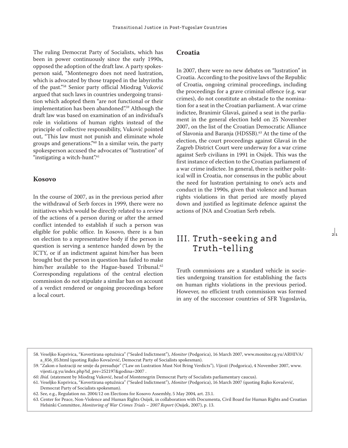The ruling Democrat Party of Socialists, which has been in power continuously since the early 1990s, opposed the adoption of the draft law. A party spokesperson said, "Montenegro does not need lustration, which is advocated by those trapped in the labyrinths of the past."58 Senior party official Miodrag Vuković argued that such laws in countries undergoing transition which adopted them "are not functional or their implementation has been abandoned".<sup>59</sup> Although the draft law was based on examination of an individual's role in violations of human rights instead of the principle of collective responsibility, Vuković pointed out, "This law must not punish and eliminate whole groups and generations."60 In a similar vein, the party spokesperson accused the advocates of "lustration" of "instigating a witch-hunt".<sup>61</sup>

### **Kosovo**

In the course of 2007, as in the previous period after the withdrawal of Serb forces in 1999, there were no initiatives which would be directly related to a review of the actions of a person during or after the armed conflict intended to establish if such a person was eligible for public office. In Kosovo, there is a ban on election to a representative body if the person in question is serving a sentence handed down by the ICTY, or if an indictment against him/her has been brought but the person in question has failed to make him/her available to the Hague-based Tribunal.<sup>62</sup> Corresponding regulations of the central election commission do not stipulate a similar ban on account of a verdict rendered or ongoing proceedings before a local court.

### **Croatia**

In 2007, there were no new debates on "lustration" in Croatia. According to the positive laws of the Republic of Croatia, ongoing criminal proceedings, including the proceedings for a grave criminal offence (e.g. war crimes), do not constitute an obstacle to the nomination for a seat in the Croatian parliament. A war crime indictee, Branimir Glavaš, gained a seat in the parliament in the general election held on 25 November 2007, on the list of the Croatian Democratic Alliance of Slavonia and Baranja (HDSSB).<sup>63</sup> At the time of the election, the court proceedings against Glavaš in the Zagreb District Court were underway for a war crime against Serb civilians in 1991 in Osijek. This was the first instance of election to the Croatian parliament of a war crime indictee. In general, there is neither political will in Croatia, nor consensus in the public about the need for lustration pertaining to one's acts and conduct in the 1990s, given that violence and human rights violations in that period are mostly played down and justified as legitimate defence against the actions of JNA and Croatian Serb rebels.

# III. Truth-seeking and Truth-telling

Truth commissions are a standard vehicle in societies undergoing transition for establishing the facts on human rights violations in the previous period. However, no efficient truth commission was formed in any of the successor countries of SFR Yugoslavia,  $\frac{1}{2}$ 

<sup>58.</sup> Veseljko Koprivica, "Kovertirana optužnica" ("Sealed Indictment"), *Monitor* (Podgorica), 16 March 2007, www.monitor.cg.yu/ARHIVA/ a\_856\_05.html (quoting Rajko Kovačević, Democrat Party of Socialists spokesman).

<sup>59. &</sup>quot;Zakon o lustraciji ne smije da presuđuje" ("Law on Lustration Must Not Bring Verdicts"), *Vijesti* (Podgorica), 4 November 2007, www. vijesti.cg.yu/index.php?id\_pre=252197&godina=2007 .

*<sup>60.</sup> Ibid.* (statement by Miodrag Vuković, head of Montenegrin Democrat Party of Socialists parliamentary caucus).

<sup>61.</sup> Veseljko Koprivica, "Kovertirana optužnica" ("Sealed Indictment"), *Monitor* (Podgorica), 16 March 2007 (quoting Rajko Kovačević, Democrat Party of Socialists spokesman).

<sup>62.</sup> See, e.g., Regulation no. 2004/12 on Elections for Kosovo Assembly, 5 May 2004, art. 23.1.

<sup>63.</sup> Center for Peace, Non-Violence and Human Rights Osijek, in collaboration with Documenta, Civil Board for Human Rights and Croatian Helsinki Committee, *Monitoring of War Crimes Trials – 2007 Report* (Osijek, 2007), p. 13.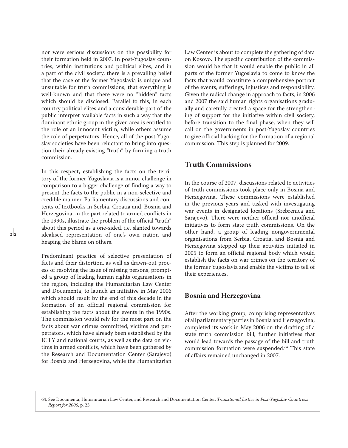nor were serious discussions on the possibility for their formation held in 2007. In post-Yugoslav countries, within institutions and political elites, and in a part of the civil society, there is a prevailing belief that the case of the former Yugoslavia is unique and unsuitable for truth commissions, that everything is well-known and that there were no "hidden" facts which should be disclosed. Parallel to this, in each country political elites and a considerable part of the public interpret available facts in such a way that the dominant ethnic group in the given area is entitled to the role of an innocent victim, while others assume the role of perpetrators. Hence, all of the post-Yugoslav societies have been reluctant to bring into question their already existing "truth" by forming a truth commission.

In this respect, establishing the facts on the territory of the former Yugoslavia is a minor challenge in comparison to a bigger challenge of finding a way to present the facts to the public in a non-selective and credible manner. Parliamentary discussions and contents of textbooks in Serbia, Croatia and, Bosnia and Herzegovina, in the part related to armed conflicts in the 1990s, illustrate the problem of the official "truth" about this period as a one-sided, i.e. slanted towards idealised representation of one's own nation and heaping the blame on others.

 $\frac{1}{2}$ 

Predominant practice of selective presentation of facts and their distortion, as well as drawn-out process of resolving the issue of missing persons, prompted a group of leading human rights organisations in the region, including the Humanitarian Law Center and Documenta, to launch an initiative in May 2006 which should result by the end of this decade in the formation of an official regional commission for establishing the facts about the events in the 1990s. The commission would rely for the most part on the facts about war crimes committed, victims and perpetrators, which have already been established by the ICTY and national courts, as well as the data on victims in armed conflicts, which have been gathered by the Research and Documentation Center (Sarajevo) for Bosnia and Herzegovina, while the Humanitarian Law Center is about to complete the gathering of data on Kosovo. The specific contribution of the commission would be that it would enable the public in all parts of the former Yugoslavia to come to know the facts that would constitute a comprehensive portrait of the events, sufferings, injustices and responsibility. Given the radical change in approach to facts, in 2006 and 2007 the said human rights organisations gradually and carefully created a space for the strengthening of support for the initiative within civil society, before transition to the final phase, when they will call on the governments in post-Yugoslav countries to give official backing for the formation of a regional commission. This step is planned for 2009.

## **Truth Commissions**

In the course of 2007, discussions related to activities of truth commissions took place only in Bosnia and Herzegovina. These commissions were established in the previous years and tasked with investigating war events in designated locations (Srebrenica and Sarajevo). There were neither official nor unofficial initiatives to form state truth commissions. On the other hand, a group of leading nongovernmental organisations from Serbia, Croatia, and Bosnia and Herzegovina stepped up their activities initiated in 2005 to form an official regional body which would establish the facts on war crimes on the territory of the former Yugoslavia and enable the victims to tell of their experiences.

## **Bosnia and Herzegovina**

After the working group, comprising representatives of all parliamentary parties in Bosnia and Herzegovina, completed its work in May 2006 on the drafting of a state truth commission bill, further initiatives that would lead towards the passage of the bill and truth commission formation were suspended.64 This state of affairs remained unchanged in 2007.

64. See Documenta, Humanitarian Law Center, and Research and Documentation Center, *Transitional Justice in Post-Yugoslav Countries: Report for 2006*, p. 23.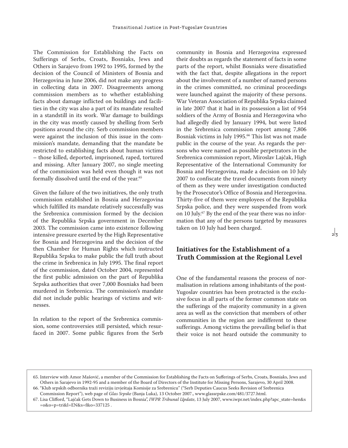The Commission for Establishing the Facts on Sufferings of Serbs, Croats, Bosniaks, Jews and Others in Sarajevo from 1992 to 1995, formed by the decision of the Council of Ministers of Bosnia and Herzegovina in June 2006, did not make any progress in collecting data in 2007. Disagreements among commission members as to whether establishing facts about damage inflicted on buildings and facilities in the city was also a part of its mandate resulted in a standstill in its work. War damage to buildings in the city was mostly caused by shelling from Serb positions around the city. Serb commission members were against the inclusion of this issue in the commission's mandate, demanding that the mandate be restricted to establishing facts about human victims – those killed, deported, imprisoned, raped, tortured and missing. After January 2007, no single meeting of the commission was held even though it was not formally dissolved until the end of the year.<sup>65</sup>

Given the failure of the two initiatives, the only truth commission established in Bosnia and Herzegovina which fulfilled its mandate relatively successfully was the Srebrenica commission formed by the decision of the Republika Srpska government in December 2003. The commission came into existence following intensive pressure exerted by the High Representative for Bosnia and Herzegovina and the decision of the then Chamber for Human Rights which instructed Republika Srpska to make public the full truth about the crime in Srebrenica in July 1995. The final report of the commission, dated October 2004, represented the first public admission on the part of Republika Srpska authorities that over 7,000 Bosniaks had been murdered in Srebrenica. The commission's mandate did not include public hearings of victims and witnesses.

In relation to the report of the Srebrenica commission, some controversies still persisted, which resurfaced in 2007. Some public figures from the Serb community in Bosnia and Herzegovina expressed their doubts as regards the statement of facts in some parts of the report, whilst Bosniaks were dissatisfied with the fact that, despite allegations in the report about the involvement of a number of named persons in the crimes committed, no criminal proceedings were launched against the majority of these persons. War Veteran Association of Republika Srpska claimed in late 2007 that it had in its possession a list of 954 soldiers of the Army of Bosnia and Herzegovina who had allegedly died by January 1994, but were listed in the Srebrenica commission report among 7,806 Bosniak victims in July 1995.66 This list was not made public in the course of the year. As regards the persons who were named as possible perpetrators in the Srebrenica commission report, Miroslav Lajčak, High Representative of the International Community for Bosnia and Herzegovina, made a decision on 10 July 2007 to confiscate the travel documents from ninety of them as they were under investigation conducted by the Prosecutor's Office of Bosnia and Herzegovina. Thirty-five of them were employees of the Republika Srpska police, and they were suspended from work on 10 July.<sup>67</sup> By the end of the year there was no information that any of the persons targeted by measures taken on 10 July had been charged.

## **Initiatives for the Establishment of a Truth Commission at the Regional Level**

One of the fundamental reasons the process of normalisation in relations among inhabitants of the post-Yugoslav countries has been protracted is the exclusive focus in all parts of the former common state on the sufferings of the majority community in a given area as well as the conviction that members of other communities in the region are indifferent to these sufferings. Among victims the prevailing belief is that their voice is not heard outside the community to

<sup>65.</sup> Interview with Amor Mašović, a member of the Commission for Establishing the Facts on Sufferings of Serbs, Croats, Bosniaks, Jews and Others in Sarajevo in 1992-95 and a member of the Board of Directors of the Institute for Missing Persons, Sarajevo, 30 April 2008. 66. "Klub srpskih odbornika traži reviziju izvještaja Komisije za Srebrenicu" ("Serb Deputies Caucus Seeks Revision of Srebrenica

Commission Report"), web page of *Glas Srpske* (Banja Luka), 13 October 2007., www.glassrpske.com/481/3727.html.

<sup>67.</sup> Lisa Clifford, "Lajčak Gets Down to Business in Bosnia", *IWPR Tribunal Update*, 13 July 2007, www.iwpr.net/index.php?apc\_state=hen&s =o&o=p=tri&l=EN&s=f&o=337125 .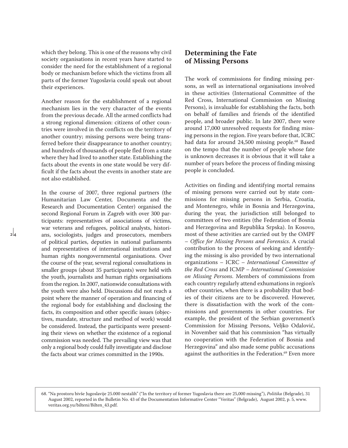which they belong. This is one of the reasons why civil society organisations in recent years have started to consider the need for the establishment of a regional body or mechanism before which the victims from all parts of the former Yugoslavia could speak out about their experiences.

Another reason for the establishment of a regional mechanism lies in the very character of the events from the previous decade. All the armed conflicts had a strong regional dimension: citizens of other countries were involved in the conflicts on the territory of another country; missing persons were being transferred before their disappearance to another country; and hundreds of thousands of people fled from a state where they had lived to another state. Establishing the facts about the events in one state would be very difficult if the facts about the events in another state are not also established.

In the course of 2007, three regional partners (the Humanitarian Law Center, Documenta and the Research and Documentation Center) organised the second Regional Forum in Zagreb with over 300 participants: representatives of associations of victims, war veterans and refugees, political analysts, historians, sociologists, judges and prosecutors, members of political parties, deputies in national parliaments and representatives of international institutions and human rights nongovernmental organisations. Over the course of the year, several regional consultations in smaller groups (about 35 participants) were held with the youth, journalists and human rights organisations from the region. In 2007, nationwide consultations with the youth were also held. Discussions did not reach a point where the manner of operation and financing of the regional body for establishing and disclosing the facts, its composition and other specific issues (objectives, mandate, structure and method of work) would be considered. Instead, the participants were presenting their views on whether the existence of a regional commission was needed. The prevailing view was that only a regional body could fully investigate and disclose the facts about war crimes committed in the 1990s.

 $\overline{2}$   $\overline{4}$ 

## **Determining the Fate of Missing Persons**

The work of commissions for finding missing persons, as well as international organisations involved in these activities (International Committee of the Red Cross, International Commission on Missing Persons), is invaluable for establishing the facts, both on behalf of families and friends of the identified people, and broader public. In late 2007, there were around 17,000 unresolved requests for finding missing persons in the region. Five years before that, ICRC had data for around 24,500 missing people.<sup>68</sup> Based on the tempo that the number of people whose fate is unknown decreases it is obvious that it will take a number of years before the process of finding missing people is concluded.

Activities on finding and identifying mortal remains of missing persons were carried out by state commissions for missing persons in Serbia, Croatia, and Montenegro, while in Bosnia and Herzegovina, during the year, the jurisdiction still belonged to committees of two entities (the Federation of Bosnia and Herzegovina and Republika Srpska). In Kosovo, most of these activities are carried out by the OMPF – *Office for Missing Persons and Forensics*. A crucial contribution to the process of seeking and identifying the missing is also provided by two international organizations – ICRC – *International Committee of the Red Cross* and ICMP – *International Commission on Missing Persons*. Members of commissions from each country regularly attend exhumations in region's other countries, when there is a probability that bodies of their citizens are to be discovered. However, there is dissatisfaction with the work of the commissions and governments in other countries. For example, the president of the Serbian government's Commission for Missing Persons, Veljko Odalović, in November said that his commission "has virtually no cooperation with the Federation of Bosnia and Herzegovina" and also made some public accusations against the authorities in the Federation.<sup>69</sup> Even more

68. "Na prostoru bivše Jugoslavije 25.000 nestalih" ("In the territory of former Yugoslavia there are 25,000 missing"), *Politika* (Belgrade), 31 August 2002, reported in the Bulletin No. 43 of the Documentation Informative Center "Veritas" (Belgrade), August 2002, p. 5, www. veritas.org.yu/bilteni/Bilten\_43.pdf.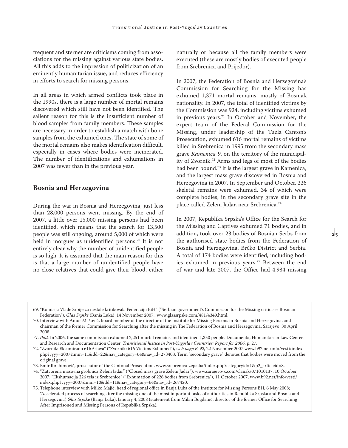frequent and sterner are criticisms coming from associations for the missing against various state bodies. All this adds to the impression of politicization of an eminently humanitarian issue, and reduces efficiency in efforts to search for missing persons.

In all areas in which armed conflicts took place in the 1990s, there is a large number of mortal remains discovered which still have not been identified. The salient reason for this is the insufficient number of blood samples from family members. These samples are necessary in order to establish a match with bone samples from the exhumed ones. The state of some of the mortal remains also makes identification difficult, especially in cases where bodies were incinerated. The number of identifications and exhumations in 2007 was fewer than in the previous year.

## **Bosnia and Herzegovina**

During the war in Bosnia and Herzegovina, just less than 28,000 persons went missing. By the end of 2007, a little over 15,000 missing persons had been identified, which means that the search for 13,500 people was still ongoing, around 5,000 of which were held in morgues as unidentified persons.<sup>70</sup> It is not entirely clear why the number of unidentified people is so high. It is assumed that the main reason for this is that a large number of unidentified people have no close relatives that could give their blood, either

naturally or because all the family members were executed (these are mostly bodies of executed people from Srebrenica and Prijedor).

In 2007, the Federation of Bosnia and Herzegovina's Commission for Searching for the Missing has exhumed 1,371 mortal remains, mostly of Bosniak nationality. In 2007, the total of identified victims by the Commission was 924, including victims exhumed in previous years.71 In October and November, the expert team of the Federal Commission for the Missing, under leadership of the Tuzla Canton's Prosecution, exhumed 616 mortal remains of victims killed in Srebrenica in 1995 from the secondary mass grave *Kamenica 9*, on the territory of the municipality of Zvornik.72 Arms and legs of most of the bodies had been bound.73 It is the largest grave in Kamenica, and the largest mass grave discovered in Bosnia and Herzegovina in 2007. In September and October, 226 skeletal remains were exhumed, 34 of which were complete bodies, in the secondary grave site in the place called Zeleni Jadar, near Srebrenica.74

In 2007, Republika Srpska's Office for the Search for the Missing and Captives exhumed 71 bodies, and in addition, took over 23 bodies of Bosnian Serbs from the authorised state bodies from the Federation of Bosnia and Herzegovina, Brčko District and Serbia. A total of 174 bodies were identified, including bodies exhumed in previous years.75 Between the end of war and late 2007, the Office had 4,934 missing

 $2<sub>5</sub>$ 

<sup>69. &</sup>quot;Komisija Vlade Srbije za nestale kritikovala Federaciju BiH" ("Serbian government's Commission for the Missing criticises Bosnian Federation"), *Glas Srpske* (Banja Luka), 14 November 2007., www.glassrpske.com/481/4349.html.

<sup>70.</sup> Interview with Amor Mašović, board member of the director of the Institute for Missing Persons in Bosnia and Herzegovina, and chairman of the former Commission for Searching after the missing in The Federation of Bosnia and Herzegovina, Sarajevo, 30 April 2008

*<sup>71.</sup> Ibid.* In 2006, the same commission exhumed 2,251 mortal remains and identified 1,350 people. Documenta, Humanitarian Law Center, and Research and Documentation Center, *Transitional Justice in Post-Yugoslav Countries: Report for 2006*, p. 27.

<sup>72. &</sup>quot;Zvornik: Eksumirano 616 žrtava" ("Zvornik: 616 Victims Exhumed"), *web page B-92*, 22 November 2007 www.b92.net/info/vesti/index. php?yyyy=2007&mm=11&dd=22&nav\_category=64&nav\_id=273403. Term "secondary grave" denotes that bodies were moved from the original grave.

<sup>73.</sup> Emir Ibrahimović, prosecutor of the Cantonal Prosecution, www.srebrenica-zepa.ba/index.php?categoryid=1&p2\_articleid=8.

<sup>74. &</sup>quot;Zatvorena masovna grobnica Zeleni Jadar" ("Closed mass grave Zeleni Jadar"), www.sarajevo-x.com/clanak/071010137, 10 October 2007; "Ekshumacija 226 tela iz Srebrenice" ("Exhumation of 226 bodies from Srebrenica"), 11 October 2007, www.b92.net/info/vesti/ index.php?yyyy=2007&mm=10&dd=11&nav\_category=64&nav\_id=267420.

<sup>75.</sup> Telephone interview with Milko Majić, head of regional office in Banja Luka of the Institute for Missing Persons BH, 6 May 2008; "Accelerated process of searching after the missing one of the most important tasks of authorities in Republika Srpska and Bosnia and Herzegovina", *Glas Srpske* (Banja Luka), January 4, 2008 (statement from Milan Bogdanić, director of the former Office for Searching After Imprisoned and Missing Persons of Republika Srpska).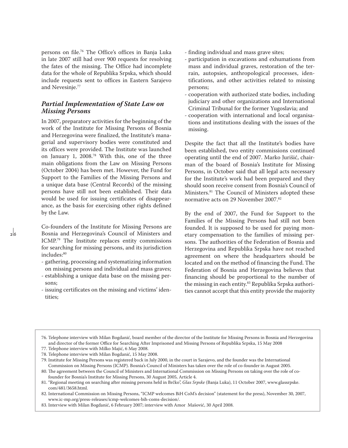persons on file.76 The Office's offices in Banja Luka in late 2007 still had over 900 requests for resolving the fates of the missing. The Office had incomplete data for the whole of Republika Srpska, which should include requests sent to offices in Eastern Sarajevo and Nevesinje.77

## *Partial Implementation of State Law on Missing Persons*

In 2007, preparatory activities for the beginning of the work of the Institute for Missing Persons of Bosnia and Herzegovina were finalized, the Institute's managerial and supervisory bodies were constituted and its offices were provided. The Institute was launched on January 1, 2008.78 With this, one of the three main obligations from the Law on Missing Persons (October 2004) has been met. However, the Fund for Support to the Families of the Missing Persons and a unique data base (Central Records) of the missing persons have still not been established. Their data would be used for issuing certificates of disappearance, as the basis for exercising other rights defined by the Law.

Co-founders of the Institute for Missing Persons are Bosnia and Herzegovina's Council of Ministers and ICMP.79 The Institute replaces entity commissions for searching for missing persons, and its jurisdiction includes:<sup>80</sup>

- gathering, processing and systematizing information on missing persons and individual and mass graves;
- establishing a unique data base on the missing persons;
- issuing certificates on the missing and victims' identities;
- finding individual and mass grave sites;
- participation in excavations and exhumations from mass and individual graves, restoration of the terrain, autopsies, anthropological processes, identifications, and other activities related to missing persons;
- cooperation with authorized state bodies, including judiciary and other organizations and International Criminal Tribunal for the former Yugoslavia; and
- cooperation with international and local organisations and institutions dealing with the issues of the missing.

Despite the fact that all the Institute's bodies have been established, two entity commissions continued operating until the end of 2007. Marko Jurišić, chairman of the board of Bosnia's Institute for Missing Persons, in October said that all legal acts necessary for the Institute's work had been prepared and they should soon receive consent from Bosnia's Council of Ministers.81 The Council of Ministers adopted these normative acts on 29 November 2007.82

By the end of 2007, the Fund for Support to the Families of the Missing Persons had still not been founded. It is supposed to be used for paying monetary compensation to the families of missing persons. The authorities of the Federation of Bosnia and Herzegovina and Republika Srpska have not reached agreement on where the headquarters should be located and on the method of financing the Fund. The Federation of Bosnia and Herzegovina believes that financing should be proportional to the number of the missing in each entity.83 Republika Srpska authorities cannot accept that this entity provide the majority

76. Telephone interview with Milan Bogdanić, board member of the director of the Institute for Missing Persons in Bosnia and Herzegovina and director of the former Office for Searching After Imprisoned and Missing Persons of Republika Srpska, 15 May 2008

78. Telephone interview with Milan Bogdanić, 15 May 2008.

<sup>77.</sup> Telephone interview with Milko Majić, 6 May 2008.

<sup>79.</sup> Institute for Missing Persons was registered back in July 2000, in the court in Sarajevo, and the founder was the International Commission on Missing Persons (ICMP). Bosnia's Council of Ministers has taken over the role of co-founder in August 2005.

<sup>80.</sup> The agreement between the Council of Ministers and International Commission on Missing Persons on taking over the role of cofounder for Bosnia's Institute for Missing Persons, 30 August 2005, Article 4.

<sup>81. &</sup>quot;Regional meeting on searching after missing persons held in Brčko", *Glas Srpske* (Banja Luka), 11 October 2007, www.glassrpske. com/481/3658.html.

<sup>82.</sup> International Commission on Missing Persons, "ICMP welcomes BiH CoM's decision" (statement for the press), November 30, 2007, www.ic-mp.org/press-releases/icmp-welcomes-bih-coms-decision/.

<sup>83.</sup> Interview with Milan Bogdanić, 6 February 2007; interview with Amor Mašović, 30 April 2008.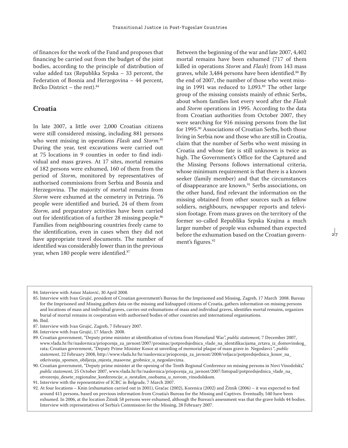of finances for the work of the Fund and proposes that financing be carried out from the budget of the joint bodies, according to the principle of distribution of value added tax (Republika Srpska – 33 percent, the Federation of Bosnia and Herzegovina – 44 percent, Brčko District – the rest).84

## **Croatia**

In late 2007, a little over 2,000 Croatian citizens were still considered missing, including 881 persons who went missing in operations *Flash* and *Storm.*<sup>85</sup> During the year, test excavations were carried out at 75 locations in 9 counties in order to find individual and mass graves. At 17 sites, mortal remains of 182 persons were exhumed, 160 of them from the period of *Storm*, monitored by representatives of authorised commissions from Serbia and Bosnia and Herzegovina. The majority of mortal remains from *Storm* were exhumed at the cemetery in Petrinja. 76 people were identified and buried, 24 of them from *Storm*, and preparatory activities have been carried out for identification of a further 28 missing people.<sup>86</sup> Families from neighbouring countries freely came to the identification, even in cases when they did not have appropriate travel documents. The number of identified was considerably lower than in the previous year, when 180 people were identified.<sup>87</sup>

Between the beginning of the war and late 2007, 4,402 mortal remains have been exhumed (717 of them killed in operations *Storm* and *Flash*) from 143 mass graves, while 3,484 persons have been identified.88 By the end of 2007, the number of those who went missing in 1991 was reduced to 1,093.<sup>89</sup> The other large group of the missing consists mainly of ethnic Serbs, about whom families lost every word after the *Flash*  and *Storm* operations in 1995. According to the data from Croatian authorities from October 2007, they were searching for 916 missing persons from the list for 1995.90 Associations of Croatian Serbs, both those living in Serbia now and those who are still in Croatia, claim that the number of Serbs who went missing in Croatia and whose fate is still unknown is twice as high. The Government's Office for the Captured and the Missing Persons follows international criteria, whose minimum requirement is that there is a known seeker (family member) and that the circumstances of disappearance are known.<sup>91</sup> Serbs associations, on the other hand, find relevant the information on the missing obtained from other sources such as fellow soldiers, neighbours, newspaper reports and television footage. From mass graves on the territory of the former so-called Republika Srpska Krajina a much larger number of people was exhumed than expected before the exhumation based on the Croatian government's figures.<sup>92</sup>

 $27$ 

<sup>84.</sup> Interview with Amor Mašović, 30 April 2008.

<sup>85.</sup> Interview with Ivan Grujić, president of Croatian government's Bureau for the Imprisoned and Missing, Zagreb, 17 March 2008. Bureau for the Imprisoned and Missing gathers data on the missing and kidnapped citizens of Croatia, gathers information on missing persons and locations of mass and individual graves, carries out exhumations of mass and individual graves, identifies mortal remains, organizes burial of mortal remains in cooperation with authorised bodies of other countries and international organisations. 86. Ibid.

<sup>87.</sup> Interview with Ivan Grujić, Zagreb, 7 February 2007.

<sup>88.</sup> Interview with Ivan Grujić, 17 March 2008.

<sup>89.</sup> Croatian government, "Deputy prime minister at identification of victims from Homeland War", *public statement,* 7 December 2007, www.vlada.hr/hr/naslovnica/priopcenja\_za\_javnost/2007/prosinac/potpredsjednica\_vlade\_na\_identifikacijama\_zrtava\_iz\_domovinskog\_ rata; Croatian government, "Deputy Prime Minister Kosor at unveiling of memorial plaque of mass grave in Negoslavci ", *public statement*, 22 February 2008, http://www.vlada.hr/hr/naslovnica/priopcenja\_za\_javnost/2008/veljaca/potpredsjednica\_kosor\_na\_ otkrivanju\_spomen\_obiljezja\_mjesta\_masovne\_grobnice\_u\_negoslavcima.

<sup>90.</sup> Croatian government, "Deputy prime minister at the opening of the Tenth Regional Conference on missing persons in Novi Vinodolski," *public statement,* 25 October 2007, www.vlada.hr/hr/naslovnica/priopcenja\_za\_javnost/2007/listopad/potpredsjednica\_vlade\_na\_ otvorenju\_desete\_regionalne\_konferencije\_o\_nestalim\_osobama\_u\_novom\_vinodolskom.

<sup>91.</sup> Interview with the representative of ICRC in Belgrade, 7 March 2007.

<sup>92.</sup> At four locations – Knin (exhumation carried out in 2001), Gračac (2002), Korenica (2002) and Žitnik (2006) – it was expected to find around 415 persons, based on previous information from Croatia's Bureau for the Missing and Captives. Eventually, 540 have been exhumed. In 2006, at the location Žitnik 58 persons were exhumed, although the Bureau's assessment was that the grave holds 44 bodies. Interview with representatives of Serbia's Commission for the Missing, 28 February 2007.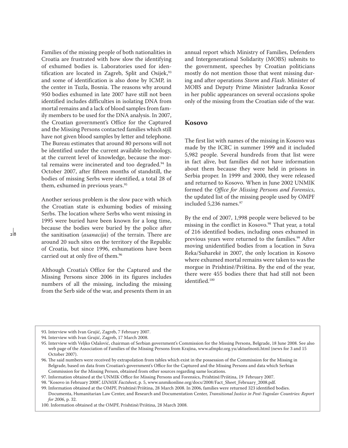Families of the missing people of both nationalities in Croatia are frustrated with how slow the identifying of exhumed bodies is. Laboratories used for identification are located in Zagreb, Split and Osijek,<sup>93</sup> and some of identification is also done by ICMP, in the center in Tuzla, Bosnia. The reasons why around 950 bodies exhumed in late 2007 have still not been identified includes difficulties in isolating DNA from mortal remains and a lack of blood samples from family members to be used for the DNA analysis. In 2007, the Croatian government's Office for the Captured and the Missing Persons contacted families which still have not given blood samples by letter and telephone. The Bureau estimates that around 80 persons will not be identified under the current available technology, at the current level of knowledge, because the mortal remains were incinerated and too degraded.<sup>94</sup> In October 2007, after fifteen months of standstill, the bodies of missing Serbs were identified, a total 28 of them, exhumed in previous years.<sup>95</sup>

Another serious problem is the slow pace with which the Croatian state is exhuming bodies of missing Serbs. The location where Serbs who went missing in 1995 were buried have been known for a long time, because the bodies were buried by the police after the sanitisation (*asanacija*) of the terrain. There are around 20 such sites on the territory of the Republic of Croatia, but since 1996, exhumations have been carried out at only five of them.96

Although Croatia's Office for the Captured and the Missing Persons since 2006 in its figures includes numbers of all the missing, including the missing from the Serb side of the war, and presents them in an annual report which Ministry of Families, Defenders and Intergenerational Solidarity (MOBS) submits to the government, speeches by Croatian politicians mostly do not mention those that went missing during and after operations *Storm* and *Flash*. Minister of MOBS and Deputy Prime Minister Jadranka Kosor in her public appearances on several occasions spoke only of the missing from the Croatian side of the war.

## **Kosovo**

The first list with names of the missing in Kosovo was made by the ICRC in summer 1999 and it included 5,982 people. Several hundreds from that list were in fact alive, but families did not have information about them because they were held in prisons in Serbia proper. In 1999 and 2000, they were released and returned to Kosovo. When in June 2002 UNMIK formed the *Office for Missing Persons and Forensics*, the updated list of the missing people used by OMPF included 5,236 names.<sup>97</sup>

By the end of 2007, 1,998 people were believed to be missing in the conflict in Kosovo.<sup>98</sup> That year, a total of 216 identified bodies, including ones exhumed in previous years were returned to the families.<sup>99</sup> After moving unidentified bodies from a location in Suva Reka/Suharekë in 2007, the only location in Kosovo where exhumed mortal remains were taken to was the morgue in Prishtinë/Priština. By the end of the year, there were 455 bodies there that had still not been identified.100

<sup>93.</sup> Interview with Ivan Grujić, Zagreb, 7 February 2007.

<sup>94.</sup> Interview with Ivan Grujić, Zagreb, 17 March 2008.

<sup>95.</sup> Interview with Veljko Odalović, chairman of Serbian government's Commission for the Missing Persons, Belgrade, 18 June 2008. See also web page of the Association of Families of the Missing Persons from Krajina, www.afmpkr.org.yu/aktuelnosti.html (news for 3 and 15 October 2007).

<sup>96.</sup> The said numbers were received by extrapolation from tables which exist in the possession of the Commission for the Missing in Belgrade, based on data from Croatian's government's Office for the Captured and the Missing Persons and data which Serbian Commission for the Missing Person, obtained from other sources regarding same locations.

<sup>97.</sup> Information obtained at the UNMIK Office for Missing Persons and Forensics, Prishtinë/Priština, 19 February 2007.

<sup>98. &</sup>quot;Kosovo in February 2008", *UNMIK Factsheet*, p. 5, www.unmikonline.org/docs/2008/Fact\_Sheet\_February\_2008.pdf.

<sup>99.</sup> Information obtained at the OMPF, Prishtinë/Priština, 28 March 2008. In 2006, families were returned 323 identified bodies. Documenta, Humanitarian Law Center, and Research and Documentation Center, *Transitional Justice in Post-Yugoslav Countries: Report for 2006*, p. 32.

<sup>100.</sup> Information obtained at the OMPF, Prishtinë/Priština, 28 March 2008.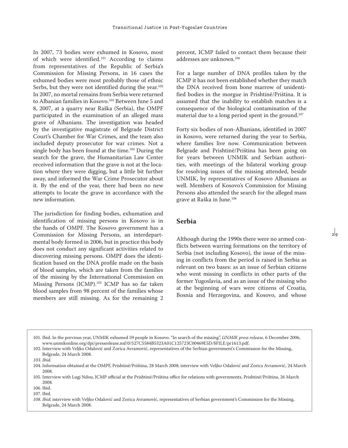In 2007, 73 bodies were exhumed in Kosovo, most of which were identified.101 According to claims from representatives of the Republic of Serbia's Commission for Missing Persons, in 16 cases the exhumed bodies were most probably those of ethnic Serbs, but they were not identified during the year.<sup>102</sup> In 2007, no mortal remains from Serbia were returned to Albanian families in Kosovo.103 Between June 5 and 8, 2007, at a quarry near Raška (Serbia), the OMPF participated in the examination of an alleged mass grave of Albanians. The investigation was headed by the investigative magistrate of Belgrade District Court's Chamber for War Crimes, and the team also included deputy prosecutor for war crimes. Not a single body has been found at the time.<sup>104</sup> During the search for the grave, the Humanitarian Law Center received information that the grave is not at the location where they were digging, but a little bit further away, and informed the War Crime Prosecutor about it. By the end of the year, there had been no new attempts to locate the grave in accordance with the new information.

The jurisdiction for finding bodies, exhumation and identification of missing persons in Kosovo is in the hands of OMPF. The Kosovo government has a Commission for Missing Persons, an interdepartmental body formed in 2006, but in practice this body does not conduct any significant activities related to discovering missing persons. OMPF does the identification based on the DNA profile made on the basis of blood samples, which are taken from the families of the missing by the International Commission on Missing Persons (ICMP).105 ICMP has so far taken blood samples from 98 percent of the families whose members are still missing. As for the remaining 2

percent, ICMP failed to contact them because their addresses are unknown.106

For a large number of DNA profiles taken by the ICMP it has not been established whether they match the DNA received from bone marrow of unidentified bodies in the morgue in Prishtinë/Priština. It is assumed that the inability to establish matches is a consequence of the biological contamination of the material due to a long period spent in the ground.107

Forty six bodies of non-Albanians, identified in 2007 in Kosovo, were returned during the year to Serbia, where families live now. Communication between Belgrade and Prishtinë/Priština has been going on for years between UNMIK and Serbian authorities, with meetings of the bilateral working group for resolving issues of the missing attended, beside UNMIK, by representatives of Kosovo Albanians as well. Members of Kosovo's Commission for Missing Persons also attended the search for the alleged mass grave at Raška in June.108

#### **Serbia**

Although during the 1990s there were no armed conflicts between warring formations on the territory of Serbia (not including Kosovo), the issue of the missing in conflicts from the period is raised in Serbia as relevant on two bases: as an issue of Serbian citizens who went missing in conflicts in other parts of the former Yugoslavia, and as an issue of the missing who at the beginning of wars were citizens of Croatia, Bosnia and Herzegovina, and Kosovo, and whose

<sup>101.</sup> Ibid. In the previous year, UNMIK exhumed 59 people in Kosovo. "In search of the missing", *UNMIK press release,* 6 December 2006, www.unmikonline.org/dpi/pressrelease.nsf/0/527C5584B5323A01C125723C00469E5D/\$FILE/pr1613.pdf.

<sup>102.</sup> Interview with Veljko Odalović and Zorica Avramović, representatives of the Serbian government's Commission for the Missing, Belgrade, 24 March 2008.

*<sup>103.</sup> Ibid.*

<sup>104.</sup> Information obtained at the OMPF, Prishtinë/Priština, 28 March 2008; interview with Veljko Odalović and Zorica Avramović, 24 March 2008.

<sup>105.</sup> Interview with Lugj Ndou, ICMP official at the Prishtinë/Priština office for relations with governments, Prishtinë/Priština, 26 March 2008.

<sup>106.</sup> Ibid.

<sup>107.</sup> Ibid.

*<sup>108.</sup> Ibid*; interview with Veljko Odalović and Zorica Avramović, representatives of Serbian government's Commission for the Missing, Belgrade, 24 March 2008.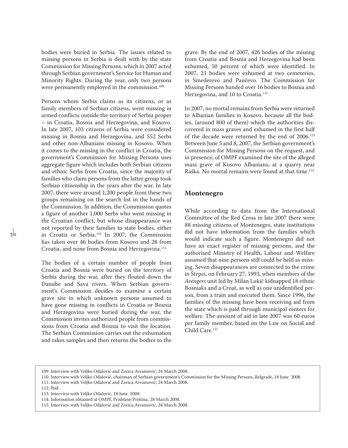bodies were buried in Serbia. The issues related to missing persons in Serbia is dealt with by the state Commission for Missing Persons, which in 2007 acted through Serbian government's Service for Human and Minority Rights. During the year, only two persons were permanently employed in the commission.<sup>109</sup>

Persons whom Serbia claims as its citizens, or as family members of Serbian citizens, went missing in armed conflicts outside the territory of Serbia proper – in Croatia, Bosnia and Herzegovina, and Kosovo. In late 2007, 103 citizens of Serbia were considered missing in Bosnia and Herzegovina, and 552 Serbs and other non-Albanians missing in Kosovo. When it comes to the missing in the conflict in Croatia, the government's Commission for Missing Persons uses aggregate figure which includes both Serbian citizens and ethnic Serbs from Croatia, since the majority of families who claim persons from the latter group took Serbian citizenship in the years after the war. In late 2007, there were around 1,200 people from these two groups remaining on the search list in the hands of the Commission. In addition, the Commission quotes a figure of another 1,000 Serbs who went missing in the Croatian conflict, but whose disappearance was not reported by their families to state bodies, either in Croatia or Serbia.110 In 2007, the Commission has taken over 46 bodies from Kosovo and 28 from Croatia, and none from Bosnia and Herzegovina.111

The bodies of a certain number of people from Croatia and Bosnia were buried on the territory of Serbia during the war, after they floated down the Danube and Sava rivers. When Serbian government's Commission decides to examine a certain grave site in which unknown persons assumed to have gone missing in conflicts in Croatia or Bosnia and Herzegovina were buried during the war, the Commission invites authorized people from commissions from Croatia and Bosnia to visit the location. The Serbian Commission carries out the exhumation and takes samples and then returns the bodies to the grave. By the end of 2007, 426 bodies of the missing from Croatia and Bosnia and Herzegovina had been exhumed, 50 percent of which were identified. In 2007, 23 bodies were exhumed at two cemeteries, in Smederevo and Pančevo. The Commission for Missing Persons handed over 16 bodies to Bosnia and Herzegovina, and 10 to Croatia.<sup>112</sup>

In 2007, no mortal remains from Serbia were returned to Albanian families in Kosovo, because all the bodies, (around 800 of them) which the authorities discovered in mass graves and exhumed in the first half of the decade were returned by the end of 2006.113 Between June 5 and 8, 2007, the Serbian government's Commission for Missing Persons on the request, and in presence, of OMPF examined the site of the alleged mass grave of Kosovo Albanians, at a quarry near Raška. No mortal remains were found at that time.114

## **Montenegro**

While according to data from the International Committee of the Red Cross in late 2007 there were 88 missing citizens of Montenegro, state institutions did not have information from the families which would indicate such a figure. Montenegro did not have an exact register of missing persons, and the authorised Ministry of Health, Labour and Welfare assumed that nine persons still could be held as missing. Seven disappearances are connected to the crime in Štrpci, on February 27, 1993, when members of the *Avengers* unit led by Milan Lukić kidnapped 18 ethnic Bosniaks and a Croat, as well as one unidentified person, from a train and executed them. Since 1996, the families of the missing have been receiving aid from the state which is paid through municipal centers for welfare. The amount of aid in late 2007 was 60 euros per family member, based on the Law on Social and Child Care.<sup>115</sup>

- 110. Interview with Veljko Odalović, chairman of Serbian government's Commission for the Missing Persons, Belgrade, 18 June 2008.
- 111. Interview with Veljko Odalović and Zorica Avramović, 24 March 2008.
- 112. Ibid.

<sup>109.</sup> Interview with Veljko Odalović and Zorica Avramović, 24 March 2008.

<sup>113.</sup> Interview with Veljko Odalović, 18 June 2008.

<sup>114.</sup> Information obtained at OMPF, Prishtinë/Priština, 28 March 2008.

<sup>115.</sup> Interview with Veljko Odalović and Zorica Avramović, 24 March 2008.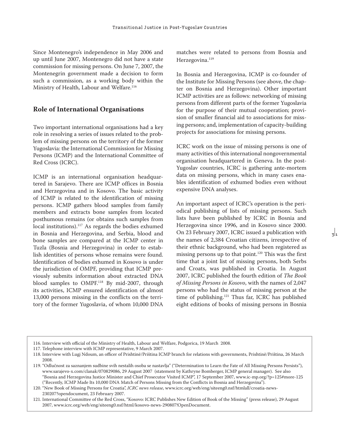Since Montenegro's independence in May 2006 and up until June 2007, Montenegro did not have a state commission for missing persons. On June 7, 2007, the Montenegrin government made a decision to form such a commission, as a working body within the Ministry of Health, Labour and Welfare.<sup>116</sup>

### **Role of International Organisations**

Two important international organisations had a key role in resolving a series of issues related to the problem of missing persons on the territory of the former Yugoslavia: the International Commission for Missing Persons (ICMP) and the International Committee of Red Cross (ICRC).

ICMP is an international organisation headquartered in Sarajevo. There are ICMP offices in Bosnia and Herzegovina and in Kosovo. The basic activity of ICMP is related to the identification of missing persons. ICMP gathers blood samples from family members and extracts bone samples from located posthumous remains (or obtains such samples from local institutions).<sup>117</sup> As regards the bodies exhumed in Bosnia and Herzegovina, and Serbia, blood and bone samples are compared at the ICMP center in Tuzla (Bosnia and Herzegovina) in order to establish identities of persons whose remains were found. Identification of bodies exhumed in Kosovo is under the jurisdiction of OMPF, providing that ICMP previously submits information about extracted DNA blood samples to OMPF.<sup>118</sup> By mid-2007, through its activities, ICMP ensured identification of almost 13,000 persons missing in the conflicts on the territory of the former Yugoslavia, of whom 10,000 DNA

matches were related to persons from Bosnia and Herzegovina.<sup>119</sup>

In Bosnia and Herzegovina, ICMP is co-founder of the Institute for Missing Persons (see above, the chapter on Bosnia and Herzegovina). Other important ICMP activities are as follows: networking of missing persons from different parts of the former Yugoslavia for the purpose of their mutual cooperation; provision of smaller financial aid to associations for missing persons; and, implementation of capacity-building projects for associations for missing persons.

ICRC work on the issue of missing persons is one of many activities of this international nongovernmental organisation headquartered in Geneva. In the post-Yugoslav countries, ICRC is gathering ante-mortem data on missing persons, which in many cases enables identification of exhumed bodies even without expensive DNA analyses.

An important aspect of ICRC's operation is the periodical publishing of lists of missing persons. Such lists have been published by ICRC in Bosnia and Herzegovina since 1996, and in Kosovo since 2000. On 23 February 2007, ICRC issued a publication with the names of 2,384 Croatian citizens, irrespective of their ethnic background, who had been registered as missing persons up to that point.120 This was the first time that a joint list of missing persons, both Serbs and Croats, was published in Croatia. In August 2007, ICRC published the fourth edition of *The Book of Missing Persons in Kosovo*, with the names of 2,047 persons who had the status of missing person at the time of publishing.<sup>121</sup> Thus far, ICRC has published eight editions of books of missing persons in Bosnia

 $\frac{1}{3}$ 

<sup>116.</sup> Interview with official of the Ministry of Health, Labour and Welfare, Podgorica, 19 March 2008.

<sup>117.</sup> Telephone interview with ICMP representative, 9 March 2007.

<sup>118.</sup> Interview with Lugj Ndoum, an officer of Prishtinë/Priština ICMP branch for relations with governments, Prishtinë/Priština, 26 March 2008.

<sup>119. &</sup>quot;Odlučnost za saznanjem sudbine svih nestalih osoba se nastavlja" ("Determination to Learn the Fate of All Missing Persons Persists"), www.sarajevo-x.com/clanak/070829086, 29 August 2007 (statement by Kathryne Bomberger, ICMP general manager). See also "Bosnia and Herzegovina Justice Minister and Chief Prosecutor Visited ICMP", 17 September 2007, www.ic-mp.org/?p=125#more-125 ("Recently, ICMP Made Its 10,000 DNA Match of Persons Missing from the Conflicts in Bosnia and Herzegovina").

<sup>120. &</sup>quot;New Book of Missing Persons for Croatia", *ICRC news release*, www.icrc.org/web/eng/siteeng0.nsf/htmlall/croatia-news-230207?opendocument, 23 February 2007.

<sup>121.</sup> International Committee of the Red Cross, "Kosovo: ICRC Publishes New Edition of Book of the Missing" (press release), 29 August 2007, www.icrc.org/web/eng/siteeng0.nsf/html/kosovo-news-290807!OpenDocument.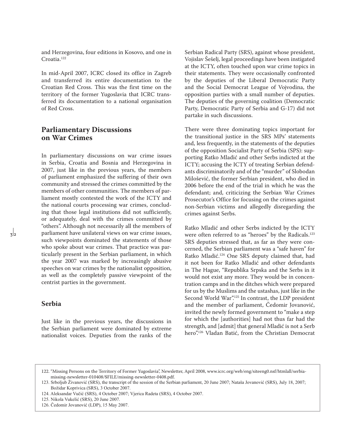and Herzegovina, four editions in Kosovo, and one in Croatia.122

In mid-April 2007, ICRC closed its office in Zagreb and transferred its entire documentation to the Croatian Red Cross. This was the first time on the territory of the former Yugoslavia that ICRC transferred its documentation to a national organisation of Red Cross.

## **Parliamentary Discussions on War Crimes**

In parliamentary discussions on war crime issues in Serbia, Croatia and Bosnia and Herzegovina in 2007, just like in the previous years, the members of parliament emphasized the suffering of their own community and stressed the crimes committed by the members of other communities. The members of parliament mostly contested the work of the ICTY and the national courts processing war crimes, concluding that those legal institutions did not sufficiently, or adequately, deal with the crimes committed by "others". Although not necessarily all the members of parliament have unilateral views on war crime issues, such viewpoints dominated the statements of those who spoke about war crimes. That practice was particularly present in the Serbian parliament, in which the year 2007 was marked by increasingly abusive speeches on war crimes by the nationalist opposition, as well as the completely passive viewpoint of the centrist parties in the government.

## **Serbia**

Just like in the previous years, the discussions in the Serbian parliament were dominated by extreme nationalist voices. Deputies from the ranks of the Serbian Radical Party (SRS), against whose president, Vojislav Šešelj, legal proceedings have been instigated at the ICTY, often touched upon war crime topics in their statements. They were occasionally confronted by the deputies of the Liberal Democratic Party and the Social Democrat League of Vojvodina, the opposition parties with a small number of deputies. The deputies of the governing coalition (Democratic Party, Democratic Party of Serbia and G-17) did not partake in such discussions.

There were three dominating topics important for the transitional justice in the SRS MPs' statements and, less frequently, in the statements of the deputies of the opposition Socialist Party of Serbia (SPS): supporting Ratko Mladić and other Serbs indicted at the ICTY; accusing the ICTY of treating Serbian defendants discriminatorily and of the "murder" of Slobodan Milošević, the former Serbian president, who died in 2006 before the end of the trial in which he was the defendant; and, criticizing the Serbian War Crimes Prosecutor's Office for focusing on the crimes against non-Serbian victims and allegedly disregarding the crimes against Serbs.

Ratko Mladić and other Serbs indicted by the ICTY were often referred to as "heroes" by the Radicals.<sup>123</sup> SRS deputies stressed that, as far as they were concerned, the Serbian parliament was a "safe haven" for Ratko Mladić.124 One SRS deputy claimed that, had it not been for Ratko Mladić and other defendants in The Hague, "Republika Srpska and the Serbs in it would not exist any more. They would be in concentration camps and in the ditches which were prepared for us by the Muslims and the ustashas, just like in the Second World War".125 In contrast, the LDP president and the member of parliament, Čedomir Jovanović, invited the newly formed government to "make a step for which the [authorities] had not thus far had the strength, and [admit] that general Mladić is not a Serb hero".126 Vladan Batić, from the Christian Democrat

<sup>122. &</sup>quot;Missing Persons on the Territory of Former Yugoslavia", Newsletter, April 2008, www.icrc.org/web/eng/siteeng0.nsf/htmlall/serbiamissing-newsletter-010408/\$FILE/missing-newsletter-0408.pdf.

<sup>123.</sup> Srboljub Živanović (SRS), the transcript of the session of the Serbian parliament, 20 June 2007; Nataša Jovanović (SRS), July 18, 2007; Božidar Koprivica (SRS), 3 October 2007.

<sup>124.</sup> Aleksandar Vučić (SRS), 4 October 2007; Vjerica Radeta (SRS), 4 October 2007.

<sup>125.</sup> Nikola Vukelić (SRS), 20 June 2007.

<sup>126.</sup> Čedomir Jovanović (LDP), 15 May 2007.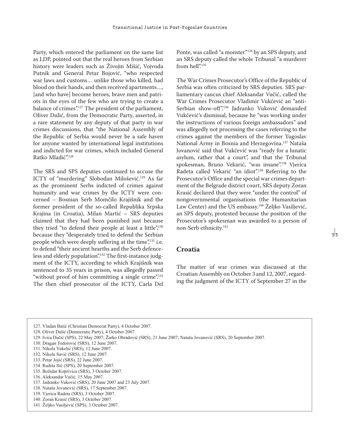Party, which entered the parliament on the same list as LDP, pointed out that the real heroes from Serbian history were leaders such as Živojin Mišić, Vojvoda Putnik and General Petar Bojović, "who respected war laws and customs… unlike those who killed, had blood on their hands, and then received apartments…, [and who have] become heroes, brave men and patriots in the eyes of the few who are trying to create a balance of crimes".127 The president of the parliament, Oliver Dulić, from the Democratic Party, asserted, in a rare statement by any deputy of that party in war crimes discussions, that "the National Assembly of the Republic of Serbia would never be a safe haven for anyone wanted by international legal institutions and indicted for war crimes, which included General Ratko Mladić"<sup>128</sup>

The SRS and SPS deputies continued to accuse the ICTY of "murdering" Slobodan Milošević.<sup>129</sup> As far as the prominent Serbs indicted of crimes against humanity and war crimes by the ICTY were concerned – Bosnian Serb Momčilo Krajišnik and the former president of the so-called Republika Srpska Krajina (in Croatia), Milan Martić – SRS deputies claimed that they had been punished just because they tried "to defend their people at least a little",<sup>130</sup> because they "desperately tried to defend the Serbian people which were deeply suffering at the time",<sup>131</sup> i.e. to defend "their ancient hearths and the Serb defenceless and elderly population".<sup>132</sup> The first-instance judgment of the ICTY, according to which Krajišnik was sentenced to 35 years in prison, was allegedly passed "without proof of him committing a single crime".<sup>133</sup> The then chief prosecutor of the ICTY, Carla Del

Ponte, was called "a monster"134 by an SPS deputy, and an SRS deputy called the whole Tribunal "a murderer from hell"<sup>135</sup>

The War Crimes Prosecutor's Office of the Republic of Serbia was often criticized by SRS deputies. SRS parliamentary caucus chief Aleksandar Vučić, called the War Crimes Prosecutor Vladimir Vukčević an "anti-Serbian show-off".136 Jadranko Vuković demanded Vukčević's dismissal, because he "was working under the instructions of various foreign ambassadors" and was allegedly not processing the cases referring to the crimes against the members of the former Yugoslav National Army in Bosnia and Herzegovina.137 Nataša Jovanović said that Vukčević was "ready for a lunatic asylum, rather that a court", and that the Tribunal spokesman, Bruno Vekarić, "was insane".<sup>138</sup> Vjerica Radeta called Vekarić "an idiot".139 Referring to the Prosecutor's Office and the special war crimes department of the Belgrade district court, SRS deputy Zoran Krasić declared that they were "under the control" of nongovernmental organisations (the Humanitarian Law Center) and the US embassy.140 Željko Vasiljević, an SPS deputy, protested because the position of the Prosecutor's spokesman was awarded to a person of non-Serb ethnicity.141

## **Croatia**

The matter of war crimes was discussed at the Croatian Assembly on October 3 and 12, 2007, regarding the judgment of the ICTY of September 27 in the

- 133. Petar Jojić (SRS), 22 June 2007.
- 134. Radiša Ilić (SPS), 20 September 2007.
- 135. Božidar Koprivica (SRS), 3 October 2007.

- 137. Jadranko Vuković (SRS), 20 June 2007 and 23 July 2007.
- 138. Nataša Jovanović (SRS), 17 September 2007.
- 139. Vjerica Radeta (SRS), 3 October 2007.
- 140. Zoran Krasić (SRS), 3 October 2007.
- 141. Željko Vasiljević (SPS), 3 October 2007.

<sup>127.</sup> Vladan Batić (Christian Democrat Party), 4 October 2007.

<sup>128.</sup> Oliver Dulić (Democratic Party), 4 October 2007.

<sup>129.</sup> Ivica Dačić (SPS), 22 May 2007; Žarko Obradović (SRS), 21 June 2007; Nataša Jovanović (SRS), 20 September 2007.

<sup>130.</sup> Dragan Todorović (SRS), 12 June 2007.

<sup>131.</sup> Nikola Vukelić (SRS), 12 June 2007.

<sup>132.</sup> Nikola Savić (SRS), 12 June 2007.

<sup>136.</sup> Aleksandar Vučić. 15 May 2007.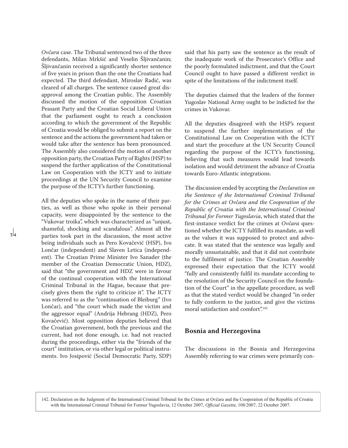*Ovčara* case. The Tribunal sentenced two of the three defendants, Milan Mrkšić and Veselin Šljivančanin; Šljivančanin received a significantly shorter sentence of five years in prison than the one the Croatians had expected. The third defendant, Miroslav Radić, was cleared of all charges. The sentence caused great disapproval among the Croatian public. The Assembly discussed the motion of the opposition Croatian Peasant Party and the Croatian Social Liberal Union that the parliament ought to reach a conclusion according to which the government of the Republic of Croatia would be obliged to submit a report on the sentence and the actions the government had taken or would take after the sentence has been pronounced. The Assembly also considered the motion of another opposition party, the Croatian Party of Rights (HSP) to suspend the further application of the Constitutional Law on Cooperation with the ICTY and to initiate proceedings at the UN Security Council to examine the purpose of the ICTY's further functioning.

All the deputies who spoke in the name of their parties, as well as those who spoke in their personal capacity, were disappointed by the sentence to the "Vukovar troika", which was characterized as "unjust, shameful, shocking and scandalous". Almost all the parties took part in the discussion, the most active being individuals such as Pero Kovačević (HSP), Ivo Lončar (independent) and Slaven Letica (independent). The Croatian Prime Minister Ivo Sanader (the member of the Croatian Democratic Union, HDZ), said that "the government and HDZ were in favour of the continual cooperation with the International Criminal Tribunal in the Hague, because that precisely gives them the right to criticize it". The ICTY was referred to as the "continuation of Bleiburg" (Ivo Lončar), and "the court which made the victim and the aggressor equal" (Andrija Hebrang (HDZ), Pero Kovačević). Most opposition deputies believed that the Croatian government, both the previous and the current, had not done enough, i.e. had not reacted during the proceedings, either via the "friends of the court" institution, or via other legal or political instruments. Ivo Josipović (Social Democratic Party, SDP) said that his party saw the sentence as the result of the inadequate work of the Prosecutor's Office and the poorly formulated indictment, and that the Court Council ought to have passed a different verdict in spite of the limitations of the indictment itself.

The deputies claimed that the leaders of the former Yugoslav National Army ought to be indicted for the crimes in Vukovar.

All the deputies disagreed with the HSP's request to suspend the further implementation of the Constitutional Law on Cooperation with the ICTY and start the procedure at the UN Security Council regarding the purpose of the ICTY's functioning, believing that such measures would lead towards isolation and would detriment the advance of Croatia towards Euro-Atlantic integrations.

The discussion ended by accepting the *Declaration on the Sentence of the International Criminal Tribunal for the Crimes at Ovčara and the Cooperation of the Republic of Croatia with the International Criminal Tribunal for Former Yugoslavia*, which stated that the first-instance verdict for the crimes at *Ovčara* questioned whether the ICTY fulfilled its mandate, as well as the values it was supposed to protect and advocate. It was stated that the sentence was legally and morally unsustainable, and that it did not contribute to the fulfilment of justice. The Croatian Assembly expressed their expectation that the ICTY would "fully and consistently fulfil its mandate according to the resolution of the Security Council on the foundation of the Court" in the appellate procedure, as well as that the stated verdict would be changed "in order to fully conform to the justice, and give the victims moral satisfaction and comfort"<sup>142</sup>

#### **Bosnia and Herzegovina**

The discussions in the Bosnia and Herzegovina Assembly referring to war crimes were primarily con-

142. Declaration on the Judgment of the International Criminal Tribunal for the Crimes at Ovčara and the Cooperation of the Republic of Croatia with the International Criminal Tribunal for Former Yugoslavia, 12 October 2007, *Official Gazette,* 108/2007, 22 October 2007.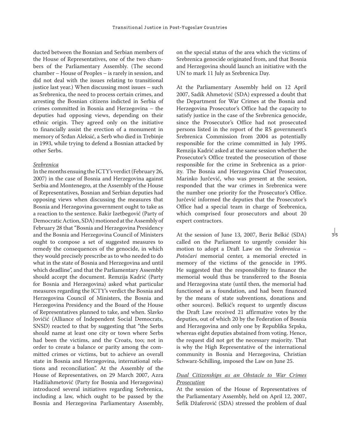ducted between the Bosnian and Serbian members of the House of Representatives, one of the two chambers of the Parliamentary Assembly. (The second chamber – House of Peoples – is rarely in session, and did not deal with the issues relating to transitional justice last year.) When discussing most issues – such as Srebrenica, the need to process certain crimes, and arresting the Bosnian citizens indicted in Serbia of crimes committed in Bosnia and Herzegovina – the deputies had opposing views, depending on their ethnic origin. They agreed only on the initiative to financially assist the erection of a monument in memory of Srđan Aleksić, a Serb who died in Trebinje in 1993, while trying to defend a Bosnian attacked by other Serbs.

#### *Srebrenica*

In the months ensuing the ICTY's verdict (February 26, 2007) in the case of Bosnia and Herzegovina against Serbia and Montenegro, at the Assembly of the House of Representatives, Bosnian and Serbian deputies had opposing views when discussing the measures that Bosnia and Herzegovina government ought to take as a reaction to the sentence. Bakir Izetbegović (Party of Democratic Action, SDA) motioned at the Assembly of February 28 that "Bosnia and Herzegovina Presidency and the Bosnia and Herzegovina Council of Ministers ought to compose a set of suggested measures to remedy the consequences of the genocide, in which they would precisely prescribe as to who needed to do what in the state of Bosnia and Herzegovina and until which deadline", and that the Parliamentary Assembly should accept the document. Remzija Kadrić (Party for Bosnia and Herzegovina) asked what particular measures regarding the ICTY's verdict the Bosnia and Herzegovina Council of Ministers, the Bosnia and Herzegovina Presidency and the Board of the House of Representatives planned to take, and when. Slavko Jovičić (Alliance of Independent Social Democrats, SNSD) reacted to that by suggesting that "the Serbs should name at least one city or town where Serbs had been the victims, and the Croats, too; not in order to create a balance or parity among the committed crimes or victims, but to achieve an overall state in Bosnia and Herzegovina, international relations and reconciliation". At the Assembly of the House of Representatives, on 29 March 2007, Azra Hadžiahmetović (Party for Bosnia and Herzegovina) introduced several initiatives regarding Srebrenica, including a law, which ought to be passed by the Bosnia and Herzegovina Parliamentary Assembly,

on the special status of the area which the victims of Srebrenica genocide originated from, and that Bosnia and Herzegovina should launch an initiative with the UN to mark 11 July as Srebrenica Day.

At the Parliamentary Assembly held on 12 April 2007, Sadik Ahmetović (SDA) expressed a doubt that the Department for War Crimes at the Bosnia and Herzegovina Prosecutor's Office had the capacity to satisfy justice in the case of the Srebrenica genocide, since the Prosecutor's Office had not prosecuted persons listed in the report of the RS government's Srebrenica Commission from 2004 as potentially responsible for the crime committed in July 1995. Remzija Kadrić asked at the same session whether the Prosecutor's Office treated the prosecution of those responsible for the crime in Srebrenica as a priority. The Bosnia and Herzegovina Chief Prosecutor, Marinko Jurčević, who was present at the session, responded that the war crimes in Srebrenica were the number one priority for the Prosecutor's Office. Jurčević informed the deputies that the Prosecutor's Office had a special team in charge of Srebrenica, which comprised four prosecutors and about 20 expert contractors.

At the session of June 13, 2007, Beriz Belkić (SDA) called on the Parliament to urgently consider his motion to adopt a Draft Law on the *Srebrenica – Potočari* memorial center, a memorial erected in memory of the victims of the genocide in 1995. He suggested that the responsibility to finance the memorial would thus be transferred to the Bosnia and Herzegovina state (until then, the memorial had functioned as a foundation, and had been financed by the means of state subventions, donations and other sources). Belkić's request to urgently discuss the Draft Law received 21 affirmative votes by the deputies, out of which 20 by the Federation of Bosnia and Herzegovina and only one by Republika Srpska, whereas eight deputies abstained from voting. Hence, the request did not get the necessary majority. That is why the High Representative of the international community in Bosnia and Herzegovina, Christian Schwarz-Schilling, imposed the Law on June 25.

## *Dual Citizenships as an Obstacle to War Crimes Prosecution*

At the session of the House of Representatives of the Parliamentary Assembly, held on April 12, 2007, Šefik Džaferović (SDA) stressed the problem of dual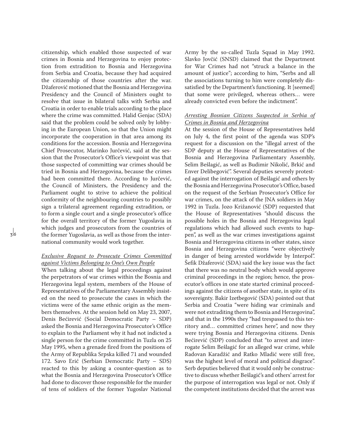citizenship, which enabled those suspected of war crimes in Bosnia and Herzegovina to enjoy protection from extradition to Bosnia and Herzegovina from Serbia and Croatia, because they had acquired the citizenship of those countries after the war. Džaferović motioned that the Bosnia and Herzegovina Presidency and the Council of Ministers ought to resolve that issue in bilateral talks with Serbia and Croatia in order to enable trials according to the place where the crime was committed. Halid Genjac (SDA) said that the problem could be solved only by lobbying in the European Union, so that the Union might incorporate the cooperation in that area among its conditions for the accession. Bosnia and Herzegovina Chief Prosecutor, Marinko Jurčević, said at the session that the Prosecutor's Office's viewpoint was that those suspected of committing war crimes should be tried in Bosnia and Herzegovina, because the crimes had been committed there. According to Jurčević, the Council of Ministers, the Presidency and the Parliament ought to strive to achieve the political conformity of the neighbouring countries to possibly sign a trilateral agreement regarding extradition, or to form a single court and a single prosecutor's office for the overall territory of the former Yugoslavia in which judges and prosecutors from the countries of the former Yugoslavia, as well as those from the international community would work together.

#### *Exclusive Request to Prosecute Crimes Committed against Victims Belonging to One's Own People*

When talking about the legal proceedings against the perpetrators of war crimes within the Bosnia and Herzegovina legal system, members of the House of Representatives of the Parliamentary Assembly insisted on the need to prosecute the cases in which the victims were of the same ethnic origin as the members themselves. At the session held on May 23, 2007, Denis Bećirević (Social Democratic Party – SDP) asked the Bosnia and Herzegovina Prosecutor's Office to explain to the Parliament why it had not indicted a single person for the crime committed in Tuzla on 25 May 1995, when a grenade fired from the positions of the Army of Republika Srpska killed 71 and wounded 172. Savo Erić (Serbian Democratic Party – SDS) reacted to this by asking a counter-question as to what the Bosnia and Herzegovina Prosecutor's Office had done to discover those responsible for the murder of tens of soldiers of the former Yugoslav National Army by the so-called Tuzla Squad in May 1992. Slavko Jovčić (SNSD) claimed that the Department for War Crimes had not "struck a balance in the amount of justice"; according to him, "Serbs and all the associations turning to him were completely dissatisfied by the Department's functioning. It [seemed] that some were privileged, whereas others… were already convicted even before the indictment".

## *Arresting Bosnian Citizens Suspected in Serbia of Crimes in Bosnia and Herzegovina*

At the session of the House of Representatives held on July 4, the first point of the agenda was SDP's request for a discussion on the "illegal arrest of the SDP deputy at the House of Representatives of the Bosnia and Herzegovina Parliamentary Assembly, Selim Bešlagić, as well as Budimir Nikolić, Brkić and Enver Delibegović". Several deputies severely protested against the interrogation of Bešlagić and others by the Bosnia and Herzegovina Prosecutor's Office, based on the request of the Serbian Prosecutor's Office for war crimes, on the attack of the JNA soldiers in May 1992 in Tuzla. Jozo Križanović (SDP) requested that the House of Representatives "should discuss the possible holes in the Bosnia and Herzegovina legal regulations which had allowed such events to happen", as well as the war crimes investigations against Bosnia and Herzegovina citizens in other states, since Bosnia and Herzegovina citizens "were objectively in danger of being arrested worldwide by Interpol". Šefik Džaferović (SDA) said the key issue was the fact that there was no neutral body which would approve criminal proceedings in the region; hence, the prosecutor's offices in one state started criminal proceedings against the citizens of another state, in spite of its sovereignty. Bakir Izetbegović (SDA) pointed out that Serbia and Croatia "were hiding war criminals and were not extraditing them to Bosnia and Herzegovina", and that in the 1990s they "had trespassed to this territory and… committed crimes here", and now they were trying Bosnia and Herzegovina citizens. Denis Bećirević (SDP) concluded that "to arrest and interrogate Selim Bešlagić for an alleged war crime, while Radovan Karadžić and Ratko Mladić were still free, was the highest level of moral and political disgrace". Serb deputies believed that it would only be constructive to discuss whether Bešlagić's and others' arrest for the purpose of interrogation was legal or not. Only if the competent institutions decided that the arrest was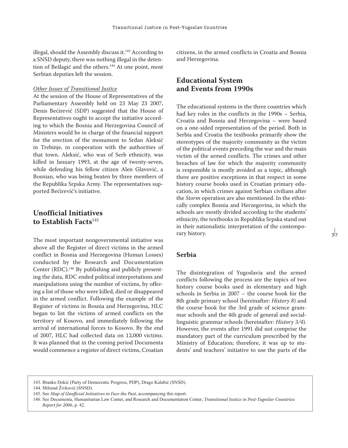illegal, should the Assembly discuss it.<sup>143</sup> According to a SNSD deputy, there was nothing illegal in the detention of Bešlagić and the others.<sup>144</sup> At one point, most Serbian deputies left the session.

#### *Other Issues of Transitional Justice*

At the session of the House of Representatives of the Parliamentary Assembly held on 23 May 23 2007, Denis Bećirević (SDP) suggested that the House of Representatives ought to accept the initiative according to which the Bosnia and Herzegovina Council of Ministers would be in charge of the financial support for the erection of the monument to Srđan Aleksić in Trebinje, in cooperation with the authorities of that town. Aleksić, who was of Serb ethnicity, was killed in January 1993, at the age of twenty-seven, while defending his fellow citizen Alen Glavović, a Bosnian, who was being beaten by three members of the Republika Srpska Army. The representatives supported Bećirević's initiative.

# **Unofficial Initiatives to Establish Facts**<sup>145</sup>

The most important nongovernmental initiative was above all the Register of direct victims in the armed conflict in Bosnia and Herzegovina (Human Losses) conducted by the Research and Documentation Center (RDC).146 By publishing and publicly presenting the data, RDC ended political interpretations and manipulations using the number of victims, by offering a list of those who were killed, died or disappeared in the armed conflict. Following the example of the Register of victims in Bosnia and Herzegovina, HLC began to list the victims of armed conflicts on the territory of Kosovo, and immediately following the arrival of international forces to Kosovo. By the end of 2007, HLC had collected data on 12,000 victims. It was planned that in the coming period Documenta would commence a register of direct victims, Croatian

citizens, in the armed conflicts in Croatia and Bosnia and Herzegovina.

# **Educational System and Events from 1990s**

The educational systems in the three countries which had key roles in the conflicts in the 1990s – Serbia, Croatia and Bosnia and Herzegovina – were based on a one-sided representation of the period. Both in Serbia and Croatia the textbooks primarily show the stereotypes of the majority community as the victim of the political events preceding the war and the main victim of the armed conflicts. The crimes and other breaches of law for which the majority community is responsible is mostly avoided as a topic, although there are positive exceptions in that respect in some history course books used in Croatian primary education, in which crimes against Serbian civilians after the *Storm* operation are also mentioned. In the ethnically complex Bosnia and Herzegovina, in which the schools are mostly divided according to the students' ethnicity, the textbooks in Republika Srpska stand out in their nationalistic interpretation of the contemporary history.

# **Serbia**

The disintegration of Yugoslavia and the armed conflicts following the process are the topics of two history course books used in elementary and high schools in Serbia in 2007 – the course book for the 8th grade primary school (hereinafter: *History 8*) and the course book for the 3rd grade of science grammar schools and the 4th grade of general and sociallinguistic grammar schools (hereinafter: *History 3/4*). However, the events after 1991 did not comprise the mandatory part of the curriculum prescribed by the Ministry of Education; therefore, it was up to students' and teachers' initiative to use the parts of the

<sup>143.</sup> Branko Dokić (Party of Democratic Progress, PDP), Drago Kalabić (SNSD).

<sup>144.</sup> Milorad Živković (SNSD).

<sup>145.</sup> See *Map of Unofficial Initiatives to Face the Past,* accompanying this report.

<sup>146.</sup> See Documenta, Humanitarian Law Center, and Research and Documentation Center, *Transitional Justice in Post-Yugoslav Countries: Report for 2006*, p. 42.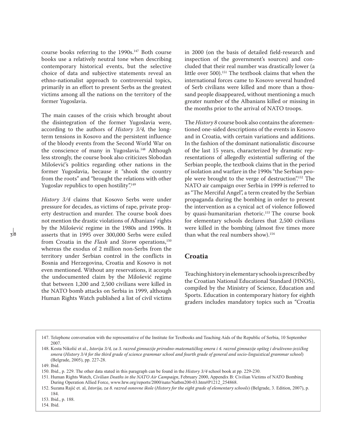course books referring to the 1990s.147 Both course books use a relatively neutral tone when describing contemporary historical events, but the selective choice of data and subjective statements reveal an ethno-nationalist approach to controversial topics, primarily in an effort to present Serbs as the greatest victims among all the nations on the territory of the former Yugoslavia.

The main causes of the crisis which brought about the disintegration of the former Yugoslavia were, according to the authors of *History 3/4,* the longterm tensions in Kosovo and the persistent influence of the bloody events from the Second World War on the conscience of many in Yugoslavia.<sup>148</sup> Although less strongly, the course book also criticizes Slobodan Milošević's politics regarding other nations in the former Yugoslavia, because it "shook the country from the roots" and "brought the relations with other Yugoslav republics to open hostility".<sup>149</sup>

*History 3/4* claims that Kosovo Serbs were under pressure for decades, as victims of rape, private property destruction and murder. The course book does not mention the drastic violations of Albanians' rights by the Milošević regime in the 1980s and 1990s. It asserts that in 1995 over 300,000 Serbs were exiled from Croatia in the *Flash* and *Storm* operations,<sup>150</sup> whereas the exodus of 2 million non-Serbs from the territory under Serbian control in the conflicts in Bosnia and Herzegovina, Croatia and Kosovo is not even mentioned. Without any reservations, it accepts the undocumented claim by the Milošević regime that between 1,200 and 2,500 civilians were killed in the NATO bomb attacks on Serbia in 1999, although Human Rights Watch published a list of civil victims in 2000 (on the basis of detailed field-research and inspection of the government's sources) and concluded that their real number was drastically lower (a little over 500).<sup>151</sup> The textbook claims that when the international forces came to Kosovo several hundred of Serb civilians were killed and more than a thousand people disappeared, without mentioning a much greater number of the Albanians killed or missing in the months prior to the arrival of NATO troops.

The *History 8* course book also contains the aforementioned one-sided descriptions of the events in Kosovo and in Croatia, with certain variations and additions. In the fashion of the dominant nationalistic discourse of the last 15 years, characterized by dramatic representations of allegedly existential suffering of the Serbian people, the textbook claims that in the period of isolation and warfare in the 1990s "the Serbian people were brought to the verge of destruction".152 The NATO air campaign over Serbia in 1999 is referred to as "The Merciful Angel", a term created by the Serbian propaganda during the bombing in order to present the intervention as a cynical act of violence followed by quasi-humanitarian rhetoric.<sup>153</sup> The course book for elementary schools declares that 2,500 civilians were killed in the bombing (almost five times more than what the real numbers show).154

# **Croatia**

Teaching history in elementary schools is prescribed by the Croatian National Educational Standard (HNOS), compiled by the Ministry of Science, Education and Sports. Education in contemporary history for eighth graders includes mandatory topics such as "Croatia

<sup>147.</sup> Telephone conversation with the representative of the Institute for Textbooks and Teaching Aids of the Republic of Serbia, 10 September 2007.

<sup>148.</sup> Kosta Nikolić et al., *Istorija 3/4, za 3. razred gimnazije prirodno-matematičkog smera i 4. razred gimnazije opšteg i društveno-jezičkog smera* (*History 3/4 for the third grade of science grammar school and fourth grade of general and socio-linguistical grammar school*) (Belgrade, 2005), pp. 227-28.

<sup>149.</sup> Ibid.

<sup>150.</sup> Ibid., p. 229. The other data stated in this paragraph can be found in the *History 3/4* school book at pp. 229-230.

<sup>151.</sup> Human Rights Watch, *Civilian Deaths in the NATO Air Campaign*, February 2000, Appendix B: Civilian Victims of NATO Bombing During Operation Allied Force, www.hrw.org/reports/2000/nato/Natbm200-03.htm#P1212\_254868.

<sup>152.</sup> Suzana Rajić et. al, *Istorija, za 8. razred osnovne škole* (*History for the eight grade of elementary schools*) (Belgrade, 3. Edition, 2007), p. 184.

<sup>153.</sup> Ibid., p. 188.

<sup>154.</sup> Ibid.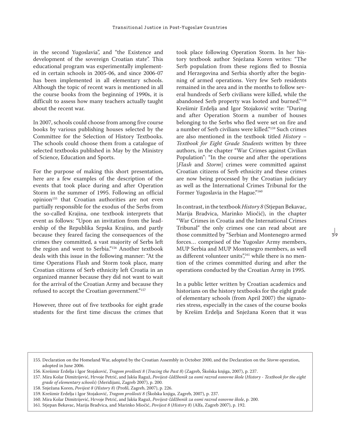in the second Yugoslavia", and "the Existence and development of the sovereign Croatian state". This educational program was experimentally implemented in certain schools in 2005-06, and since 2006-07 has been implemented in all elementary schools. Although the topic of recent wars is mentioned in all the course books from the beginning of 1990s, it is difficult to assess how many teachers actually taught about the recent war.

In 2007, schools could choose from among five course books by various publishing houses selected by the Committee for the Selection of History Textbooks. The schools could choose them from a catalogue of selected textbooks published in May by the Ministry of Science, Education and Sports.

For the purpose of making this short presentation, here are a few examples of the description of the events that took place during and after Operation Storm in the summer of 1995. Following an official opinion<sup>155</sup> that Croatian authorities are not even partially responsible for the exodus of the Serbs from the so-called Krajina, one textbook interprets that event as follows: "Upon an invitation from the leadership of the Republika Srpska Krajina, and partly because they feared facing the consequences of the crimes they committed, a vast majority of Serbs left the region and went to Serbia."156 Another textbook deals with this issue in the following manner: "At the time Operations Flash and Storm took place, many Croatian citizens of Serb ethnicity left Croatia in an organized manner because they did not want to wait for the arrival of the Croatian Army and because they refused to accept the Croatian government."157

However, three out of five textbooks for eight grade students for the first time discuss the crimes that took place following Operation Storm. In her history textbook author Snježana Koren writes: "The Serb population from these regions fled to Bosnia and Herzegovina and Serbia shortly after the beginning of armed operations. Very few Serb residents remained in the area and in the months to follow several hundreds of Serb civilians were killed, while the abandoned Serb property was looted and burned."158 Krešimir Erdelja and Igor Stojaković write: "During and after Operation Storm a number of houses belonging to the Serbs who fled were set on fire and a number of Serb civilians were killed."159 Such crimes are also mentioned in the textbook titled *History – Textbook for Eight Grade Students* written by three authors, in the chapter "War Crimes against Civilian Population": "In the course and after the operations [*Flash* and *Storm*] crimes were committed against Croatian citizens of Serb ethnicity and these crimes are now being processed by the Croatian judiciary as well as the International Crimes Tribunal for the Former Yugoslavia in the Hague."<sup>160</sup>

In contrast, in the textbook *History 8* (Stjepan Bekavac, Marija Bradvica, Marinko Miočić), in the chapter "War Crimes in Croatia and the International Crimes Tribunal" the only crimes one can read about are those committed by "Serbian and Montenegro armed forces… comprised of the Yugoslav Army members, MUP Serbia and MUP Montenegro members, as well as different volunteer units",<sup>161</sup> while there is no mention of the crimes committed during and after the operations conducted by the Croatian Army in 1995.

In a public letter written by Croatian academics and historians on the history textbooks for the eight grade of elementary schools (from April 2007) the signatories stress, especially in the cases of the course books by Krešim Erdelja and Snježana Koren that it was

<sup>155.</sup> Declaration on the Homeland War, adopted by the Croatian Assembly in October 2000, and the Declaration on the *Storm* operation, adopted in June 2006.

<sup>156.</sup> Krešimir Erdelja i Igor Stojaković, *Tragom prošlosti 8* (*Tracing the Past 8*) (Zagreb, Školska knjiga, 2007), p. 237.

<sup>157.</sup> Mira Kolar Dimitrijević, Hrvoje Petrić, and Jakša Raguž, *Povijest-Udžbenik za osmi razred osnovne škole* (*History - Textbook for the eight grade of elementary schools*) (Meridijani, Zagreb 2007), p. 200.

<sup>158.</sup> Snježana Koren, *Povijest 8* (*History 8*) (Profil, Zagreb, 2007), p. 226.

<sup>159.</sup> Krešimir Erdelja i Igor Stojaković, *Tragom prošlosti 8* (Školska knjiga, Zagreb, 2007), p. 237.

<sup>160.</sup> Mira Kolar Dimitrijević, Hrvoje Petrić, and Jakša Raguž, *Povijest-Udžbenik za osmi razred osnovne škole*, p. 200.

<sup>161.</sup> Stjepan Bekavac, Marija Bradvica, and Marinko Miočić, *Povijest 8* (*History 8*) (Alfa, Zagreb 2007), p. 192.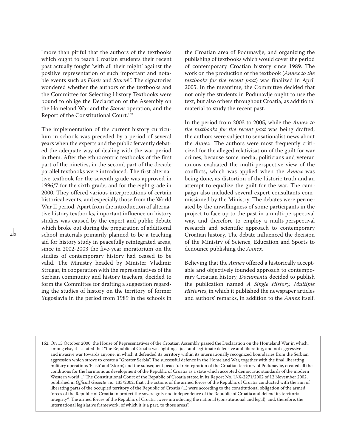"more than pitiful that the authors of the textbooks which ought to teach Croatian students their recent past actually fought 'with all their might' against the positive representation of such important and notable events such as *Flash* and *Storm*!". The signatories wondered whether the authors of the textbooks and the Committee for Selecting History Textbooks were bound to oblige the Declaration of the Assembly on the Homeland War and the *Storm* operation, and the Report of the Constitutional Court.162

The implementation of the current history curriculum in schools was preceded by a period of several years when the experts and the public fervently debated the adequate way of dealing with the war period in them. After the ethnocentric textbooks of the first part of the nineties, in the second part of the decade parallel textbooks were introduced. The first alternative textbook for the seventh grade was approved in 1996/7 for the sixth grade, and for the eight grade in 2000. They offered various interpretations of certain historical events, and especially those from the World War II period. Apart from the introduction of alternative history textbooks, important influence on history studies was caused by the expert and public debate which broke out during the preparation of additional school materials primarily planned to be a teaching aid for history study in peacefully reintegrated areas, since in 2002-2003 the five-year moratorium on the studies of contemporary history had ceased to be valid. The Ministry headed by Minister Vladimir Strugar, in cooperation with the representatives of the Serbian community and history teachers, decided to form the Committee for drafting a suggestion regarding the studies of history on the territory of former Yugoslavia in the period from 1989 in the schools in

 $\frac{1}{4}$ 

the Croatian area of Podunavlje, and organizing the publishing of textbooks which would cover the period of contemporary Croatian history since 1989. The work on the production of the textbook (*Annex to the textbooks for the recent past*) was finalized in April 2005. In the meantime, the Committee decided that not only the students in Podunavlje ought to use the text, but also others throughout Croatia, as additional material to study the recent past.

In the period from 2003 to 2005, while the *Annex to the textbooks for the recent past* was being drafted, the authors were subject to sensationalist news about the *Annex.* The authors were most frequently criticized for the alleged relativisation of the guilt for war crimes, because some media, politicians and veteran unions evaluated the multi-perspective view of the conflicts, which was applied when the *Annex* was being done, as distortion of the historic truth and an attempt to equalize the guilt for the war. The campaign also included several expert consultants commissioned by the Ministry. The debates were permeated by the unwillingness of some participants in the project to face up to the past in a multi-perspectival way, and therefore to employ a multi-perspectival research and scientific approach to contemporary Croatian history. The debate influenced the decision of the Ministry of Science, Education and Sports to denounce publishing the *Annex*.

Believing that the *Annex* offered a historically acceptable and objectively founded approach to contemporary Croatian history, *Documenta* decided to publish the publication named *A Single History, Multiple Histories*, in which it published the newspaper articles and authors' remarks, in addition to the *Annex* itself.

<sup>162.</sup> On 13 October 2000, the House of Representatives of the Croatian Assembly passed the Declaration on the Homeland War in which, among else, it is stated that "the Republic of Croatia was fighting a just and legitimate defensive and liberating, and not aggressive and invasive war towards anyone, in which it defended its territory within its internationally recognized boundaries from the Serbian aggression which strove to create a "Greater Serbia". The successful defence in the Homeland War, together with the final liberating military operations 'Flash' and 'Storm', and the subsequent peaceful reintegration of the Croatian territory of Podunavlje, created all the conditions for the harmonious development of the Republic of Croatia as a state which accepted democratic standards of the modern Western world…" The Constitutional Court of the Republic of Croatia stated in its Report No. U-X-2271/2002 of 12 November 2002, published in *Official Gazette* no. 133/2002, that "the actions of the armed forces of the Republic of Croatia conducted with the aim of liberating parts of the occupied territory of the Republic of Croatia (...) were according to the constitutional obligation of the armed forces of the Republic of Croatia to protect the sovereignty and independence of the Republic of Croatia and defend its territorial integrity". The armed forces of the Republic of Croatia "were introducing the national (constitutional and legal), and, therefore, the international legislative framework, of which it is a part, to those areas".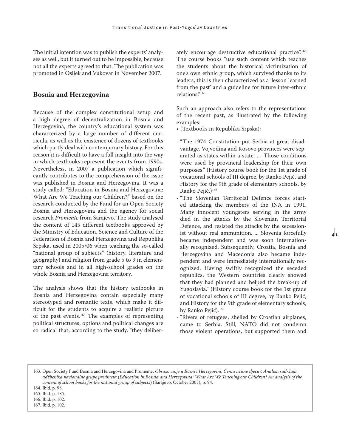The initial intention was to publish the experts' analyses as well, but it turned out to be impossible, because not all the experts agreed to that. The publication was promoted in Osijek and Vukovar in November 2007.

#### **Bosnia and Herzegovina**

Because of the complex constitutional setup and a high degree of decentralization in Bosnia and Herzegovina, the country's educational system was characterized by a large number of different curricula, as well as the existence of dozens of textbooks which partly deal with contemporary history. For this reason it is difficult to have a full insight into the way in which textbooks represent the events from 1990s. Nevertheless, in 2007 a publication which significantly contributes to the comprehension of the issue was published in Bosnia and Herzegovina. It was a study called: "Education in Bosnia and Herzegovina: What Are We Teaching our Children?," based on the research conducted by the Fund for an Open Society Bosnia and Herzegovina and the agency for social research *Promente* from Sarajevo. The study analysed the content of 145 different textbooks approved by the Ministry of Education, Science and Culture of the Federation of Bosnia and Herzegovina and Republika Srpska, used in 2005/06 when teaching the so-called "national group of subjects" (history, literature and geography) and religion from grade 5 to 9 in elementary schools and in all high-school grades on the whole Bosnia and Herzegovina territory.

The analysis shows that the history textbooks in Bosnia and Herzegovina contain especially many stereotyped and romantic texts, which make it difficult for the students to acquire a realistic picture of the past events.<sup>163</sup> The examples of representing political structures, options and political changes are so radical that, according to the study, "they deliberately encourage destructive educational practice".<sup>164</sup> The course books "use such content which teaches the students about the historical victimization of one's own ethnic group, which survived thanks to its leaders; this is then characterized as a 'lesson learned from the past' and a guideline for future inter-ethnic relations."165

Such an approach also refers to the representations of the recent past, as illustrated by the following examples:

- (Textbooks in Republika Srpska):
- "The 1974 Constitution put Serbia at great disadvantage. Vojvodina and Kosovo provinces were separated as states within a state. … Those conditions were used by provincial leadership for their own purposes." (History course book for the 1st grade of vocational schools of III degree, by Ranko Pejić, and History for the 9th grade of elementary schools, by Ranko Pejić.)<sup>166</sup>
- "The Slovenian Territorial Defence forces started attacking the members of the JNA in 1991. Many innocent youngsters serving in the army died in the attacks by the Slovenian Territorial Defence, and resisted the attacks by the secessionist without real ammunition. ... Slovenia forcefully became independent and was soon internationally recognized. Subsequently, Croatia, Bosnia and Herzegovina and Macedonia also became independent and were immediately internationally recognized. Having swiftly recognized the seceded republics, the Western countries clearly showed that they had planned and helped the break-up of Yugoslavia." (History course book for the 1st grade of vocational schools of III degree, by Ranko Pejić, and History for the 9th grade of elementary schools, by Ranko Pejić).<sup>167</sup>

 $\frac{1}{4}$ 

- "Rivers of refugees, shelled by Croatian airplanes, came to Serbia. Still, NATO did not condemn those violent operations, but supported them and
- 163. Open Society Fund Bosnia and Herzegovina and Promente, *Obrazovanje u Bosni i Hercegovini: Čemu učimo djecu?, Analiza sadržaja udžbenika nacionalne grupe predmeta* (*Education in Bosnia and Herzegovina: What Are We Teaching our Children? An analysis of the content of school books for the national group of subjects*) (Sarajevo, October 2007), p. 94.

<sup>164.</sup> Ibid, p. 98.

<sup>165.</sup> Ibid. p. 185.

<sup>166.</sup> Ibid. p. 102.

<sup>167.</sup> Ibid, p. 102.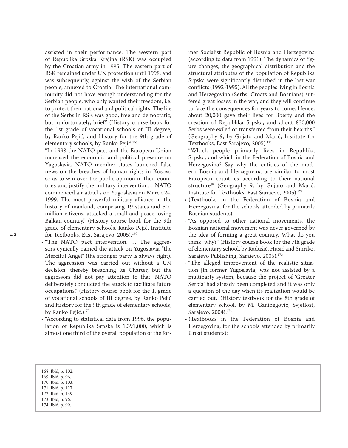assisted in their performance. The western part of Republika Srpska Krajina (RSK) was occupied by the Croatian army in 1995. The eastern part of RSK remained under UN protection until 1998, and was subsequently, against the wish of the Serbian people, annexed to Croatia. The international community did not have enough understanding for the Serbian people, who only wanted their freedom, i.e. to protect their national and political rights. The life of the Serbs in RSK was good, free and democratic, but, unfortunately, brief." (History course book for the 1st grade of vocational schools of III degree, by Ranko Pejić, and History for the 9th grade of elementary schools, by Ranko Pejić.168

- "In 1998 the NATO pact and the European Union increased the economic and political pressure on Yugoslavia. NATO member states launched false news on the breaches of human rights in Kosovo so as to win over the public opinion in their countries and justify the military intervention… NATO commenced air attacks on Yugoslavia on March 24, 1999. The most powerful military alliance in the history of mankind, comprising 19 states and 500 million citizens, attacked a small and peace-loving Balkan country." (History course book for the 9th grade of elementary schools, Ranko Pejić, Institute for Textbooks, East Sarajevo, 2005).<sup>169</sup>
- "The NATO pact intervention. … The aggressors cynically named the attack on Yugoslavia "the Merciful Angel" (the stronger party is always right). The aggression was carried out without a UN decision, thereby breaching its Charter, but the aggressors did not pay attention to that. NATO deliberately conducted the attack to facilitate future occupations." (History course book for the 1. grade of vocational schools of III degree, by Ranko Pejić and History for the 9th grade of elementary schools, by Ranko Pejić.)<sup>170</sup>
- "According to statistical data from 1996, the population of Republika Srpska is 1,391,000, which is almost one third of the overall population of the for-

mer Socialist Republic of Bosnia and Herzegovina (according to data from 1991). The dynamics of figure changes, the geographical distribution and the structural attributes of the population of Republika Srpska were significantly disturbed in the last war conflicts (1992-1995). All the peoples living in Bosnia and Herzegovina (Serbs, Croats and Bosnians) suffered great losses in the war, and they will continue to face the consequences for years to come. Hence, about 20,000 gave their lives for liberty and the creation of Republika Srpska, and about 830,000 Serbs were exiled or transferred from their hearths." (Geography 9, by Gnjato and Marić, Institute for Textbooks, East Sarajevo, 2005).171

- "Which people primarily lives in Republika Srpska, and which in the Federation of Bosnia and Herzegovina? Say why the entities of the modern Bosnia and Herzegovina are similar to most European countries according to their national structure!" (Geography 9, by Gnjato and Marić, Institute for Textbooks, East Sarajevo, 2005).172
- (Textbooks in the Federation of Bosnia and Herzegovina, for the schools attended by primarily Bosnian students):
- "As opposed to other national movements, the Bosnian national movement was never governed by the idea of forming a great country. What do you think, why?" (History course book for the 7th grade of elementary school, by Radušić, Husić and Smriko, Sarajevo Publishing, Sarajevo, 2005).<sup>173</sup>
- "The alleged improvement of the realistic situation [in former Yugoslavia] was not assisted by a multiparty system, because the project of 'Greater Serbia' had already been completed and it was only a question of the day when its realization would be carried out." (History textbook for the 8th grade of elementary school, by M. Ganibegović, Svjetlost, Sarajevo, 2004).174
- (Textbooks in the Federation of Bosnia and Herzegovina, for the schools attended by primarily Croat students):

 $\mathbf{a}$   $\mathbf{a}$ 

- 169. Ibid, p. 96.
- 170. Ibid. p. 103.
- 171. Ibid, p. 127. 172. Ibid. p, 139.
- 173. Ibid, p. 96.
- 174. Ibid, p. 99.

<sup>168.</sup> Ibid, p. 102.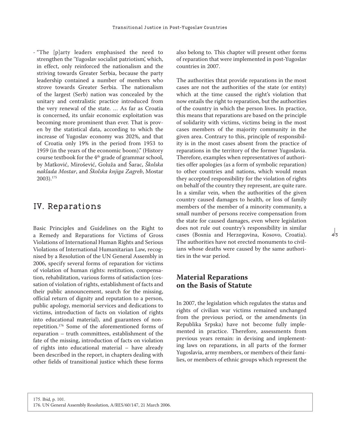- "The [p]arty leaders emphasised the need to strengthen the 'Yugoslav socialist patriotism', which, in effect, only reinforced the nationalism and the striving towards Greater Serbia, because the party leadership contained a number of members who strove towards Greater Serbia. The nationalism of the largest (Serb) nation was concealed by the unitary and centralistic practice introduced from the very renewal of the state. … As far as Croatia is concerned, its unfair economic exploitation was becoming more prominent than ever. That is proven by the statistical data, according to which the increase of Yugoslav economy was 202%, and that of Croatia only 19% in the period from 1953 to 1959 (in the years of the economic boom)." (History course textbook for the 4th grade of grammar school, by Matković, Mirošević, Goluža and Šarac, *Školska naklada Mostar*, and *Školska knjiga Zagreb*, Mostar 2003).175

# IV. Reparations

Basic Principles and Guidelines on the Right to a Remedy and Reparations for Victims of Gross Violations of International Human Rights and Serious Violations of International Humanitarian Law, recognised by a Resolution of the UN General Assembly in 2006, specify several forms of reparation for victims of violation of human rights: restitution, compensation, rehabilitation, various forms of satisfaction (cessation of violation of rights, establishment of facts and their public announcement, search for the missing, official return of dignity and reputation to a person, public apology, memorial services and dedications to victims, introduction of facts on violation of rights into educational material), and guarantees of nonrepetition.176 Some of the aforementioned forms of reparation – truth committees, establishment of the fate of the missing, introduction of facts on violation of rights into educational material – have already been described in the report, in chapters dealing with other fields of transitional justice which these forms

also belong to. This chapter will present other forms of reparation that were implemented in post-Yugoslav countries in 2007.

The authorities thtat provide reparations in the most cases are not the authorities of the state (or entity) which at the time caused the right's violation that now entails the right to reparation, but the authorities of the country in which the person lives. In practice, this means that reparations are based on the principle of solidarity with victims, victims being in the most cases members of the majority community in the given area. Contrary to this, principle of responsibility is in the most cases absent from the practice of reparations in the territory of the former Yugoslavia. Therefore, examples when representatives of authorities offer apologies (as a form of symbolic reparation) to other countries and nations, which would mean they accepted responsibility for the violation of rights on behalf of the country they represent, are quite rare. In a similar vein, when the authorities of the given country caused damages to health, or loss of family members of the member of a minority community, a small number of persons receive compensation from the state for caused damages, even where legislation does not rule out country's responsibility in similar cases (Bosnia and Herzegovina, Kosovo, Croatia). The authorities have not erected monuments to civilians whose deaths were caused by the same authorities in the war period.

# **Material Reparations on the Basis of Statute**

In 2007, the legislation which regulates the status and rights of civilian war victims remained unchanged from the previous period, or the amendments (in Republika Srpska) have not become fully implemented in practice. Therefore, assessments from previous years remain: in devising and implementing laws on reparations, in all parts of the former Yugoslavia, army members, or members of their families, or members of ethnic groups which represent the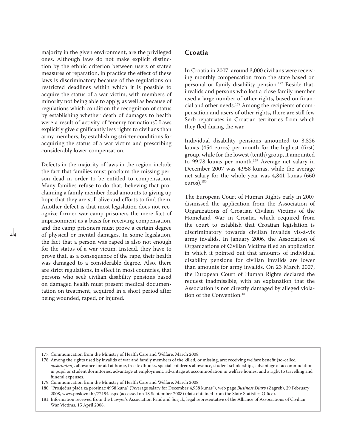majority in the given environment, are the privileged ones. Although laws do not make explicit distinction by the ethnic criterion between users of state's measures of reparation, in practice the effect of these laws is discriminatory because of the regulations on restricted deadlines within which it is possible to acquire the status of a war victim, with members of minority not being able to apply, as well as because of regulations which condition the recognition of status by establishing whether death of damages to health were a result of activity of "enemy formations". Laws explicitly give significantly less rights to civilians than army members, by establishing stricter conditions for acquiring the status of a war victim and prescribing considerably lower compensation.

Defects in the majority of laws in the region include the fact that families must proclaim the missing person dead in order to be entitled to compensation. Many families refuse to do that, believing that proclaiming a family member dead amounts to giving up hope that they are still alive and efforts to find them. Another defect is that most legislation does not recognize former war camp prisoners the mere fact of imprisonment as a basis for receiving compensation, and the camp prisoners must prove a certain degree of physical or mental damages. In some legislation, the fact that a person was raped is also not enough for the status of a war victim. Instead, they have to prove that, as a consequence of the rape, their health was damaged to a considerable degree. Also, there are strict regulations, in effect in most countries, that persons who seek civilian disability pensions based on damaged health must present medical documentation on treatment, acquired in a short period after being wounded, raped, or injured.

a a

# **Croatia**

In Croatia in 2007, around 3,000 civilians were receiving monthly compensation from the state based on personal or family disability pension.177 Beside that, invalids and persons who lost a close family member used a large number of other rights, based on financial and other needs.178 Among the recipients of compensation and users of other rights, there are still few Serb repatriates in Croatian territories from which they fled during the war.

Individual disability pensions amounted to 3,326 kunas (454 euros) per month for the highest (first) group, while for the lowest (tenth) group, it amounted to 99.78 kunas per month.179 Average net salary in December 2007 was 4,958 kunas, while the average net salary for the whole year was 4,841 kunas (660 euros).180

The European Court of Human Rights early in 2007 dismissed the application from the Association of Organizations of Croatian Civilian Victims of the Homeland War in Croatia, which required from the court to establish that Croatian legislation is discriminatory towards civilian invalids vis-à-vis army invalids. In January 2006, the Association of Organizations of Civilian Victims filed an application in which it pointed out that amounts of individual disability pensions for civilian invalids are lower than amounts for army invalids. On 23 March 2007, the European Court of Human Rights declared the request inadmissible, with an explanation that the Association is not directly damaged by alleged violation of the Convention.<sup>181</sup>

<sup>177.</sup> Communication from the Ministry of Health Care and Welfare, March 2008.

<sup>178.</sup> Among the rights used by invalids of war and family members of the killed, or missing, are: receiving welfare benefit (so-called *opskrbnina*), allowance for aid at home, free textbooks, special children's allowance, student scholarships, advantage at accommodation in pupil or student dormitories, advantage at employment, advantage at accommodation in welfare homes, and a right to travelling and funeral expenses.

<sup>179.</sup> Communication from the Ministry of Health Care and Welfare, March 2008.

<sup>180. &</sup>quot;Prosječna plaća za prosinac 4958 kuna" ("Average salary for December 4,958 kunas"), web page *Business Diary* (Zagreb), 29 February 2008, www.poslovni.hr/72194.aspx (accessed on 18 September 2008) (data obtained from the State Statistics Office).

<sup>181.</sup> Information received from the Lawyer's Association Palić and Šurjak, legal representative of the Alliance of Associations of Civilian War Victims, 15 April 2008.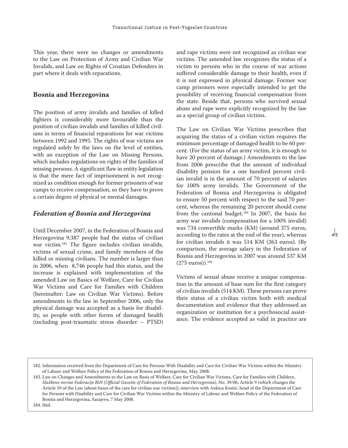This year, there were no changes or amendments to the Law on Protection of Army and Civilian War Invalids, and Law on Rights of Croatian Defenders in part where it deals with reparations.

#### **Bosnia and Herzegovina**

The position of army invalids and families of killed fighters is considerably more favourable than the position of civilian invalids and families of killed civilians in terms of financial reparations for war victims between 1992 and 1995. The rights of war victims are regulated solely by the laws on the level of entities, with an exception of the Law on Missing Persons, which includes regulations on rights of the families of missing persons. A significant flaw in entity legislation is that the mere fact of imprisonment is not recognized as condition enough for former prisoners of war camps to receive compensation, so they have to prove a certain degree of physical or mental damages.

### *Federation of Bosnia and Herzegovina*

Until December 2007, in the Federation of Bosnia and Herzegovina 9,387 people had the status of civilian war victim.182 The figure includes civilian invalids, victims of sexual crime, and family members of the killed or missing civilians. The number is larger than in 2006, when 8,746 people had this status, and the increase is explained with implementation of the amended Law on Basics of Welfare, Care for Civilian War Victims and Care for Families with Children (hereinafter: Law on Civilian War Victims). Before amendments to the law in September 2006, only the physical damage was accepted as a basis for disability, so people with other forms of damaged health (including post-traumatic stress disorder – PTSD) and rape victims were not recognized as civilian war victims. The amended law recognizes the status of a victim to persons who in the course of war actions suffered considerable damage to their health, even if it is not expressed in physical damage. Former war camp prisoners were especially intended to get the possibility of receiving financial compensation from the state. Beside that, persons who survived sexual abuse and rape were explicitly recognized by the law as a special group of civilian victims.

The Law on Civilian War Victims prescribes that acquiring the status of a civilian victim requires the minimum percentage of damaged health to be 60 percent. (For the status of an army victim, it is enough to have 20 percent of damage.) Amendments to the law from 2006 prescribe that the amount of individual disability pension for a one hundred percent civilian invalid is in the amount of 70 percent of salaries for 100% army invalids. The Government of the Federation of Bosnia and Herzegovina is obligated to ensure 50 percent with respect to the said 70 percent, whereas the remaining 20 percent should come from the cantonal budget.<sup>183</sup> In 2007, the basis for army war invalids (compensation for a 100% invalid) was 734 convertible marks (KM) (around 375 euros, according to the rates at the end of the year), whereas for civilian invalids it was 514 KM (263 euros). (By comparison, the average salary in the Federation of Bosnia and Herzegovina in 2007 was around 537 KM (275 euros)).184

 $\frac{1}{4}$ 5

Victims of sexual abuse receive a unique compensation in the amount of base sum for the first category of civilian invalids (514 KM). These persons can prove their status of a civilian victim both with medical documentation and evidence that they addressed an organization or institution for a psychosocial assistance. The evidence accepted as valid in practice are

184. Ibid.

<sup>182.</sup> Information received from the Department of Care for Persons With Disability and Care for Civilian War Victims within the Ministry of Labour and Welfare Policy of the Federation of Bosnia and Herzegovina, May, 2008.

<sup>183.</sup> Law on Changes and Amendments to the Law on Basis of Welfare, Care for Civilian War Victims, Care for Families with Children, *Službene novine Federacije BiH* (*Official Gazette of Federation of Bosnia and Herzegovina*), No. 39/06, Article 9 (which changes the Article 59 of the Law [about bases of the care for civilian war victims]); interview with Ankica Kostić, head of the Department of Care for Persons with Disability and Care for Civilian War Victims within the Ministry of Labour and Welfare Policy of the Federation of Bosnia and Herzegovina, Sarajevo, 7 May 2008.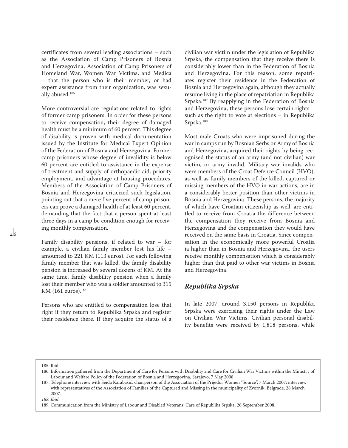certificates from several leading associations – such as the Association of Camp Prisoners of Bosnia and Herzegovina, Association of Camp Prisoners of Homeland War, Women War Victims, and Medica – that the person who is their member, or had expert assistance from their organization, was sexually abused.185

More controversial are regulations related to rights of former camp prisoners. In order for these persons to receive compensation, their degree of damaged health must be a minimum of 60 percent. This degree of disability is proven with medical documentation issued by the Institute for Medical Expert Opinion of the Federation of Bosnia and Herzegovina. Former camp prisoners whose degree of invalidity is below 60 percent are entitled to assistance in the expense of treatment and supply of orthopaedic aid, priority employment, and advantage at housing procedures. Members of the Association of Camp Prisoners of Bosnia and Herzegovina criticized such legislation, pointing out that a mere five percent of camp prisoners can prove a damaged health of at least 60 percent, demanding that the fact that a person spent at least three days in a camp be condition enough for receiving monthly compensation.

Family disability pensions, if related to war – for example, a civilian family member lost his life – amounted to 221 KM (113 euros). For each following family member that was killed, the family disability pension is increased by several dozens of KM. At the same time, family disability pension when a family lost their member who was a soldier amounted to 315 KM (161 euros).<sup>186</sup>

Persons who are entitled to compensation lose that right if they return to Republika Srpska and register their residence there. If they acquire the status of a civilian war victim under the legislation of Republika Srpska, the compensation that they receive there is considerably lower than in the Federation of Bosnia and Herzegovina. For this reason, some repatriates register their residence in the Federation of Bosnia and Herzegovina again, although they actually resume living in the place of repatriation in Republika Srpska.187 By reapplying in the Federation of Bosnia and Herzegovina, these persons lose certain rights – such as the right to vote at elections – in Republika Srpska.188

Most male Croats who were imprisoned during the war in camps run by Bosnian Serbs or Army of Bosnia and Herzegovina, acquired their rights by being recognised the status of an army (and not civilian) war victim, or army invalid. Military war invalids who were members of the Croat Defence Council (HVO), as well as family members of the killed, captured or missing members of the HVO in war actions, are in a considerably better position than other victims in Bosnia and Herzegovina. These persons, the majority of which have Croatian citizenship as well, are entitled to receive from Croatia the difference between the compensation they receive from Bosnia and Herzegovina and the compensation they would have received on the same basis in Croatia. Since compensation in the economically more powerful Croatia ia higher than in Bosnia and Herzegovina, the users receive monthly compensation which is considerably higher than that paid to other war victims in Bosnia and Herzegovina.

# *Republika Srpska*

In late 2007, around 3,150 persons in Republika Srpska were exercising their rights under the Law on Civilian War Victims. Civilian personal disability benefits were received by 1,818 persons, while

185. Ibid.

<sup>186.</sup> Information gathered from the Department of Care for Persons with Disability and Care for Civilian War Victims within the Ministry of Labour and Welfare Policy of the Federation of Bosnia and Herzegovina, Sarajevo, 7 May 2008.

<sup>187.</sup> Telephone interview with Seida Karabašić, chairperson of the Association of the Prijedor Women "Source", 7 March 2007; interview with representatives of the Association of Families of the Captured and Missing in the municipality of Zvornik, Belgrade, 28 March 2007.

*<sup>188.</sup> Ibid*.

<sup>189.</sup> Communication from the Ministry of Labour and Disabled Veterans' Care of Republika Srpska, 26 September 2008.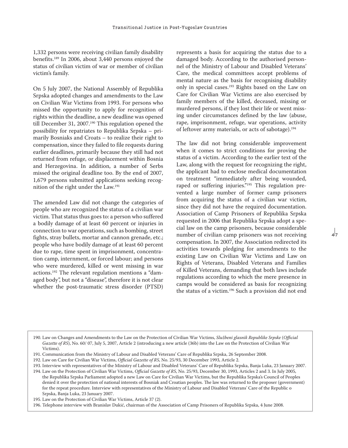1,332 persons were receiving civilian family disability benefits.189 In 2006, about 3,440 persons enjoyed the status of civilian victim of war or member of civilian victim's family.

On 5 July 2007, the National Assembly of Republika Srpska adopted changes and amendments to the Law on Civilian War Victims from 1993. For persons who missed the opportunity to apply for recognition of rights within the deadline, a new deadline was opened till December 31, 2007.<sup>190</sup> This regulation opened the possibility for repatriates to Republika Srpska – primarily Bosniaks and Croats – to realize their right to compensation, since they failed to file requests during earlier deadlines, primarily because they still had not returned from refuge, or displacement within Bosnia and Herzegovina. In addition, a number of Serbs missed the original deadline too. By the end of 2007, 1,679 persons submitted applications seeking recognition of the right under the Law.191

The amended Law did not change the categories of people who are recognized the status of a civilian war victim. That status thus goes to: a person who suffered a bodily damage of at least 60 percent or injuries in connection to war operations, such as bombing, street fights, stray bullets, mortar and cannon grenade, etc.; people who have bodily damage of at least 60 percent due to rape, time spent in imprisonment, concentration camp, internment, or forced labour; and persons who were murdered, killed or went missing in war actions.192 The relevant regulation mentions a "damaged body", but not a "disease", therefore it is not clear whether the post-traumatic stress disorder (PTSD)

represents a basis for acquiring the status due to a damaged body. According to the authorised personnel of the Ministry of Labour and Disabled Veterans' Care, the medical committees accept problems of mental nature as the basis for recognising disability only in special cases.193 Rights based on the Law on Care for Civilian War Victims are also exercised by family members of the killed, deceased, missing or murdered persons, if they lost their life or went missing under circumstances defined by the law (abuse, rape, imprisonment, refuge, war operations, activity of leftover army materials, or acts of sabotage).194

The law did not bring considerable improvement when it comes to strict conditions for proving the status of a victim. According to the earlier text of the Law, along with the request for recognizing the right, the applicant had to enclose medical documentation on treatment "immediately after being wounded, raped or suffering injuries."195 This regulation prevented a large number of former camp prisoners from acquiring the status of a civilian war victim, since they did not have the required documentation. Association of Camp Prisoners of Republika Srpska requested in 2006 that Republika Srpska adopt a special law on the camp prisoners, because considerable number of civilian camp prisoners was not receiving compensation. In 2007, the Association redirected its activities towards pledging for amendments to the existing Law on Civilian War Victims and Law on Rights of Veterans, Disabled Veterans and Families of Killed Veterans, demanding that both laws include regulations according to which the mere presence in camps would be considered as basis for recognizing the status of a victim.196 Such a provision did not end

 $47$ 

193. Interview with representatives of the Ministry of Labour and Disabled Veterans' Care of Republika Srpska, Banja Luka, 23 January 2007.

<sup>190.</sup> Law on Changes and Amendments to the Law on the Protection of Civilian War Victims, *Službeni glasnik Republike Srpske* (*Official Gazette of RS*), No. 60/ 07, July 5, 2007, Article 2 (introducing a new article (36b) into the Law on the Protection of Civilian War Victims).

<sup>191.</sup> Communication from the Ministry of Labour and Disabled Veterans' Care of Republika Srpska, 26 September 2008.

<sup>192.</sup> Law on Care for Civilian War Victims, *Official Gazette of RS*, No. 25/93, 30 December 1993, Article 2.

<sup>194.</sup> Law on the Protection of Civilian War Victims, *Official Gazette of RS*, No. 25/93, December 30, 1993, Articles 2 and 3. In July 2005, the Republika Srpska Parliament adopted a new Law on Care for Civilian War Victims, but the Republika Srpska's Council of Peoples denied it over the protection of national interests of Bosniak and Croatian peoples. The law was returned to the proposer (government) for the repeat procedure. Interview with representatives of the Ministry of Labour and Disabled Veterans' Care of the Republic o Srpska, Banja Luka, 23 January 2007.

<sup>195.</sup> Law on the Protection of Civilian War Victims, Article 37 (2).

<sup>196.</sup> Telephone interview with Branislav Dukić, chairman of the Association of Camp Prisoners of Republika Srpska, 4 June 2008.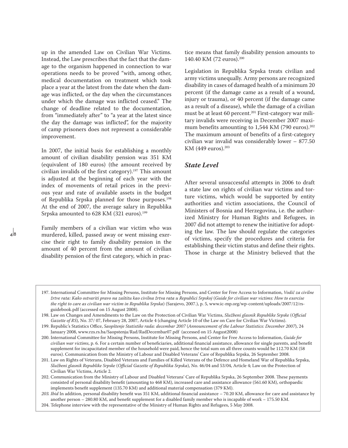up in the amended Law on Civilian War Victims. Instead, the Law prescribes that the fact that the damage to the organism happened in connection to war operations needs to be proved "with, among other, medical documentation on treatment which took place a year at the latest from the date when the damage was inflicted, or the day when the circumstances under which the damage was inflicted ceased." The change of deadline related to the documentation, from "immediately after" to "a year at the latest since the day the damage was inflicted", for the majority of camp prisoners does not represent a considerable improvement.

In 2007, the initial basis for establishing a monthly amount of civilian disability pension was 351 KM (equivalent of 180 euros) (the amount received by civilian invalids of the first category).197 This amount is adjusted at the beginning of each year with the index of movements of retail prices in the previous year and rate of available assets in the budget of Republika Srpska planned for those purposes.198 At the end of 2007, the average salary in Republika Srpska amounted to 628 KM (321 euros).<sup>199</sup>

Family members of a civilian war victim who was murdered, killed, passed away or went missing exercise their right to family disability pension in the amount of 40 percent from the amount of civilian disability pension of the first category, which in prac-

 $\mathbf{a}$  8

tice means that family disability pension amounts to 140.40 KM (72 euros).200

Legislation in Republika Srpska treats civilian and army victims unequally. Army persons are recognized disability in cases of damaged health of a minimum 20 percent (if the damage came as a result of a wound, injury or trauma), or 40 percent (if the damage came as a result of a disease), while the damage of a civilian must be at least 60 percent.<sup>201</sup> First-category war military invalids were receiving in December 2007 maximum benefits amounting to 1,544 KM (790 euros).<sup>202</sup> The maximum amount of benefits of a first-category civilian war invalid was considerably lower – 877.50 KM (449 euros).<sup>203</sup>

### *State Level*

After several unsuccessful attempts in 2006 to draft a state law on rights of civilian war victims and torture victims, which would be supported by entity authorities and victim associations, the Council of Ministers of Bosnia and Herzegovina, i.e. the authorized Ministry for Human Rights and Refugees, in 2007 did not attempt to renew the initiative for adopting the law. The law should regulate the categories of victims, specify the procedures and criteria for establishing their victim status and define their rights. Those in charge at the Ministry believed that the

197. International Committee for Missing Persons, Institute for Missing Persons, and Center for Free Access to Information, *Vodič za civilne žrtve rata: Kako ostvariti pravo na zaštitu kao civilna žrtva rata u Republici Srpskoj* (*Guide for civilian war victims: How to exercise the right to care as civilian war victim in Republika Srpska*) (Sarajevo, 2007.), p. 5, www.ic-mp.org/wp-content/uploads/2007/12/rsguidebook.pdf (accessed on 15 August 2008).

<sup>198.</sup> Law on Changes and Amendments to the Law on the Protection of Civilian War Victims, *Službeni glasnik Republike Srpske* (*Official Gazette of RS*), No. 37/ 07, February 28, 2007, Article 4 (changing Article 10 of the Law on Care for Civilian War Victims).

<sup>199.</sup> Republic's Statistics Office, *Saopštenje Statistike rada: decembar 2007* (*Announcement of the Labour Statistics: December 2007*), 24 January 2008, www.rzs.rs.ba/Saopstenja/Rad/RadDecembar07.pdf (accessed on 15 August2008)

<sup>200.</sup> International Committee for Missing Persons, Institute for Missing Persons, and Center for Free Access to Information, *Guide for civilian war victims*, p. 6. For a certain number of beneficiaries, additional financial assistance, allowance for single parents, and benefit supplement for incapacitated member of the household were paid, hence the total sum on all three counts would be 112.70 KM (58 euros). Communication from the Ministry of Labour and Disabled Veterans' Care of Republika Srpska, 26 September 2008.

<sup>201.</sup> Law on Rights of Veterans, Disabled Veterans and Families of Killed Veterans of the Defence and Homeland War of Republika Srpska, *Službeni glasnik Republike Srpske* (*Official Gazette of Republika Srpska*), No. 46/04 and 53/04, Article 4; Law on the Protection of Civilian War Victims, Article 2.

<sup>202.</sup> Communication from the Ministry of Labour and Disabled Veterans' Care of Republika Srpska, 26 September 2008. These payments consisted of personal disability benefit (amounting to 468 КМ), increased care and assistance allowance (561.60 КМ), orthopaedic implements benefit supplement (135.70 КМ) and additional material compensation (379 KM).

*<sup>203.</sup> Ibid* In addition, personal disability benefit was 351 КМ, additional financial assistance – 70.20 КМ, allowance for care and assistance by another person – 280.80 КМ, and benefit supplement for a disabled family member who is incapable of work – 175.50 KM. 204. Telephone interview with the representative of the Ministry of Human Rights and Refugees, 5 May 2008.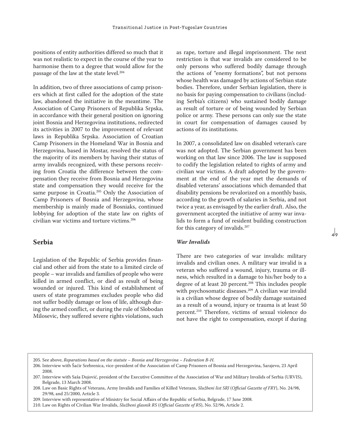positions of entity authorities differed so much that it was not realistic to expect in the course of the year to harmonise them to a degree that would allow for the passage of the law at the state level.204

In addition, two of three associations of camp prisoners which at first called for the adoption of the state law, abandoned the initiative in the meantime. The Association of Camp Prisoners of Republika Srpska, in accordance with their general position on ignoring joint Bosnia and Herzegovina institutions, redirected its activities in 2007 to the improvement of relevant laws in Republika Srpska. Association of Croatian Camp Prisoners in the Homeland War in Bosnia and Herzegovina, based in Mostar, resolved the status of the majority of its members by having their status of army invalids recognized, with these persons receiving from Croatia the difference between the compensation they receive from Bosnia and Herzegovina state and compensation they would receive for the same purpose in Croatia.<sup>205</sup> Only the Association of Camp Prisoners of Bosnia and Herzegovina, whose membership is mainly made of Bosniaks, continued lobbying for adoption of the state law on rights of civilian war victims and torture victims.206

### **Serbia**

Legislation of the Republic of Serbia provides financial and other aid from the state to a limited circle of people – war invalids and families of people who were killed in armed conflict, or died as result of being wounded or injured. This kind of establishment of users of state programmes excludes people who did not suffer bodily damage or loss of life, although during the armed conflict, or during the rule of Slobodan Milosevic, they suffered severe rights violations, such

as rape, torture and illegal imprisonment. The next restriction is that war invalids are considered to be only persons who suffered bodily damage through the actions of "enemy formations", but not persons whose health was damaged by actions of Serbian state bodies. Therefore, under Serbian legislation, there is no basis for paying compensation to civilians (including Serbia's citizens) who sustained bodily damage as result of torture or of being wounded by Serbian police or army. These persons can only sue the state in court for compensation of damages caused by actions of its institutions.

In 2007, a consolidated law on disabled veteran's care was not adopted. The Serbian government has been working on that law since 2006. The law is supposed to codify the legislation related to rights of army and civilian war victims. A draft adopted by the government at the end of the year met the demands of disabled veterans' associations which demanded that disability pensions be revalorized on a monthly basis, according to the growth of salaries in Serbia, and not twice a year, as envisaged by the earlier draft. Also, the government accepted the initiative of army war invalids to form a fund of resident building construction for this category of invalids.207

⊿lo

#### *War Invalids*

There are two categories of war invalids: military invalids and civilian ones. A military war invalid is a veteran who suffered a wound, injury, trauma or illness, which resulted in a damage to his/her body to a degree of at least 20 percent.208 This includes people with psychosomatic diseases.209 A civilian war invalid is a civilian whose degree of bodily damage sustained as a result of a wound, injury or trauma is at least 50 percent.210 Therefore, victims of sexual violence do not have the right to compensation, except if during

<sup>205.</sup> See above, *Reparations based on the statute – Bosnia and Herzegovina – Federation B-H*.

<sup>206.</sup> Interview with Šaćir Srebrenica, vice-president of the Association of Camp Prisoners of Bosnia and Herzegovina, Sarajevo, 23 April 2008.

<sup>207.</sup> Interview with Saša Dujović, president of the Executive Committee of the Association of War and Military Invalids of Serbia (URVIS), Belgrade, 13 March 2008.

<sup>208.</sup> Law on Basic Rights of Veterans, Army Invalids and Families of Killed Veterans, *Službeni list SRJ* (*Official Gazette of FRY*), No. 24/98, 29/98, and 25/2000, Article 3.

<sup>209.</sup> Interview with representative of Ministry for Social Affairs of the Republic of Serbia, Belgrade, 17 June 2008.

<sup>210.</sup> Law on Rights of Civilian War Invalids, *Službeni glasnik RS* (*Official Gazette of RS*), No. 52/96, Article 2.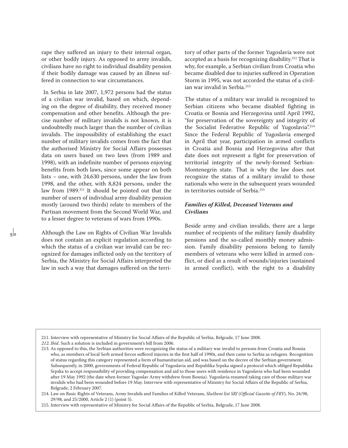rape they suffered an injury to their internal organ, or other bodily injury. As opposed to army invalids, civilians have no right to individual disability pension if their bodily damage was caused by an illness suffered in connection to war circumstances.

 In Serbia in late 2007, 1,972 persons had the status of a civilian war invalid, based on which, depending on the degree of disability, they received money compensation and other benefits. Although the precise number of military invalids is not known, it is undoubtedly much larger than the number of civilian invalids. The impossibility of establishing the exact number of military invalids comes from the fact that the authorised Ministry for Social Affairs possesses data on users based on two laws (from 1989 and 1998), with an indefinite number of persons enjoying benefits from both laws, since some appear on both lists – one, with 24,630 persons, under the law from 1998, and the other, with 8,824 persons, under the law from 1989.211 It should be pointed out that the number of users of individual army disability pension mostly (around two thirds) relate to members of the Partisan movement from the Second World War, and to a lesser degree to veterans of wars from 1990s.

Although the Law on Rights of Civilian War Invalids does not contain an explicit regulation according to which the status of a civilian war invalid can be recognized for damages inflicted only on the territory of Serbia, the Ministry for Social Affairs interpreted the law in such a way that damages suffered on the territory of other parts of the former Yugoslavia were not accepted as a basis for recognizing disability.212 That is why, for example, a Serbian civilian from Croatia who became disabled due to injuries suffered in Operation Storm in 1995, was not accorded the status of a civilian war invalid in Serbia.<sup>213</sup>

The status of a military war invalid is recognized to Serbian citizens who became disabled fighting in Croatia or Bosnia and Herzegovina until April 1992, "for preservation of the sovereignty and integrity of the Socialist Federative Republic of Yugoslavia".<sup>214</sup> Since the Federal Republic of Yugoslavia emerged in April that year, participation in armed conflicts in Croatia and Bosnia and Herzegovina after that date does not represent a fight for preservation of territorial integrity of the newly-formed Serbian-Montenegrin state. That is why the law does not recognize the status of a military invalid to those nationals who were in the subsequent years wounded in territories outside of Serbia.215

### *Families of Killed, Deceased Veterans and Civilians*

Beside army and civilian invalids, there are a large number of recipients of the military family disability pensions and the so-called monthly money admission. Family disability pensions belong to family members of veterans who were killed in armed conflict, or died as a result of wounds/injuries (sustained in armed conflict), with the right to a disability

<sup>211.</sup> Interview with representative of Ministry for Social Affairs of the Republic of Serbia, Belgrade, 17 June 2008.

*<sup>212.</sup> Ibid*. Such a solution is included in government's bill from 2006.

<sup>213.</sup> As opposed to this, the Serbian authorities were recognizing the status of a military war invalid to persons from Croatia and Bosnia who, as members of local Serb armed forces suffered injuries in the first half of 1990s, and then came to Serbia as refugees. Recognition of status regarding this category represented a form of humanitarian aid, and was based on the decree of the Serbian government. Subsequently, in 2000, governments of Federal Republic of Yugoslavia and Republika Srpska signed a protocol which obliged Republika Srpska to accept responsibility of providing compensation and aid to those users with residence in Yugoslavia who had been wounded after 19 May 1992 (the date when former Yugoslav Army withdrew from Bosnia). Yugoslavia resumed taking care of those military war invalids who had been wounded before 19 May. Interview with representative of Ministry for Social Affairs of the Republic of Serbia, Belgrade, 2 February 2007.

<sup>214.</sup> Law on Basic Rights of Veterans, Army Invalids and Families of Killed Veterans, *Službeni list SRJ* (*Official Gazette of FRY*), No. 24/98, 29/98, and 25/2000, Article 2 (1) (point 5).

<sup>215.</sup> Interview with representative of Ministry for Social Affairs of the Republic of Serbia, Belgrade, 17 June 2008.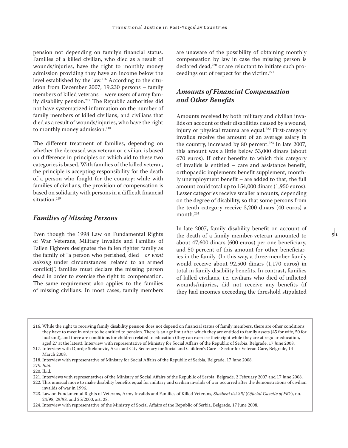pension not depending on family's financial status. Families of a killed civilian, who died as a result of wounds/injuries, have the right to monthly money admission providing they have an income below the level established by the law.216 According to the situation from December 2007, 19,230 persons – family members of killed veterans – were users of army family disability pension.217 The Republic authorities did not have systematized information on the number of family members of killed civilians, and civilians that died as a result of wounds/injuries, who have the right to monthly money admission.<sup>218</sup>

The different treatment of families, depending on whether the deceased was veteran or civilian, is based on difference in principles on which aid to these two categories is based. With families of the killed veteran, the principle is accepting responsibility for the death of a person who fought for the country; while with families of civilians, the provision of compensation is based on solidarity with persons in a difficult financial situation.<sup>219</sup>

### *Families of Missing Persons*

Even though the 1998 Law on Fundamental Rights of War Veterans, Military Invalids and Families of Fallen Fighters designates the fallen fighter family as the family of "a person who perished, died *or went missing* under circumstances [related to an armed conflict]", families must declare the missing person dead in order to exercise the right to compensation. The same requirement also applies to the families of missing civilians. In most cases, family members

are unaware of the possibility of obtaining monthly compensation by law in case the missing person is declared dead,<sup>220</sup> or are reluctant to initiate such proceedings out of respect for the victim.221

# *Amounts of Financial Compensation and Other Benefits*

Amounts received by both military and civilian invalids on account of their disabilities caused by a wound, injury or physical trauma are equal.<sup>222</sup> First-category invalids receive the amount of an average salary in the country, increased by 80 percent.<sup>223</sup> In late 2007, this amount was a little below 53,000 dinars (about 670 euros). If other benefits to which this category of invalids is entitled – care and assistance benefit, orthopaedic implements benefit supplement, monthly unemployment benefit – are added to that, the full amount could total up to 154,000 dinars (1,950 euros). Lesser categories receive smaller amounts, depending on the degree of disability, so that some persons from the tenth category receive 3,200 dinars (40 euros) a month.224

In late 2007, family disability benefit on account of the death of a family member-veteran amounted to about 47,600 dinars (600 euros) per one beneficiary, and 50 percent of this amount for other beneficiaries in the family. (In this way, a three-member family would receive about 92,500 dinars (1,170 euros) in total in family disability benefits. In contrast, families of killed civilians, i.e. civilians who died of inflicted wounds/injuries, did not receive any benefits (if they had incomes exceeding the threshold stipulated

 $\frac{1}{5}$ 

220. Ibid.

<sup>216.</sup> While the right to receiving family disability pension does not depend on financial status of family members, there are other conditions they have to meet in order to be entitled to pension. There is an age limit after which they are entitled to family assets (45 for wife, 50 for husband), and there are conditions for children related to education (they can exercise their right while they are at regular education, aged 27 at the latest). Interview with representative of Ministry for Social Affairs of the Republic of Serbia, Belgrade, 17 June 2008. 217. Interview with Djordje Stefanović, Assistant City Secretary for Social and Children's Care - Sector for Veteran Care, Belgrade, 14

March 2008.

<sup>218.</sup> Interview with representative of Ministry for Social Affairs of the Republic of Serbia, Belgrade, 17 June 2008.

*<sup>219.</sup> Ibid*.

<sup>221.</sup> Interviews with representatives of the Ministry of Social Affairs of the Republic of Serbia, Belgrade, 2 February 2007 and 17 June 2008.

<sup>222.</sup> This unusual move to make disability benefits equal for military and civilian invalids of war occurred after the demonstrations of civilian invalids of war in 1996.

<sup>223.</sup> Law on Fundamental Rights of Veterans, Army Invalids and Families of Killed Veterans, *Službeni list SRJ* (*Official Gazette of FRY*), no. 24/98, 29/98, and 25/2000, art. 28.

<sup>224.</sup> Interview with representative of the Ministry of Social Affairs of the Republic of Serbia, Belgrade, 17 June 2008.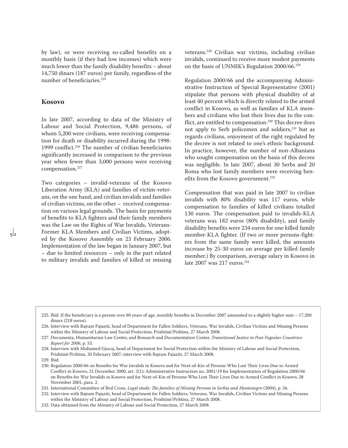by law), or were receiving so-called benefits on a monthly basis (if they had low incomes) which were much lower than the family disability benefits – about 14,750 dinars (187 euros) per family, regardless of the number of beneficiaries.<sup>225</sup>

### **Kosovo**

In late 2007, according to data of the Ministry of Labour and Social Protection, 9,486 persons, of whom 5,200 were civilians, were receiving compensation for death or disability incurred during the 1998- 1999 conflict.<sup>226</sup> The number of civilian beneficiaries significantly increased in comparison to the previous year when fewer than 3,000 persons were receiving compensation.<sup>227</sup>

Two categories – invalid-veterans of the Kosovo Liberation Army (KLA) and families of victim-veterans, on the one hand, and civilian invalids and families of civilian victims, on the other – received compensation on various legal grounds. The basis for payments of benefits to KLA fighters and their family members was the Law on the Rights of War Invalids, Veterans-Former KLA Members and Civilian Victims, adopted by the Kosovo Assembly on 23 February 2006. Implementation of the law began in January 2007, but – due to limited resources – only in the part related to military invalids and families of killed or missing veterans.228 Civilian war victims, including civilian invalids, continued to receive more modest payments on the basis of UNMIK's Regulation 2000/66.229

Regulation 2000/66 and the accompanying Administrative Instruction of Special Representative (2001) stipulate that persons with physical disability of at least 40 percent which is directly related to the armed conflict in Kosovo, as well as families of KLA members and civilians who lost their lives due to the conflict, are entitled to compensation.<sup>230</sup> This decree does not apply to Serb policemen and soldiers,<sup>231</sup> but as regards civilians, enjoyment of the right regulated by the decree is not related to one's ethnic background. In practice, however, the number of non-Albanians who sought compensation on the basis of this decree was negligible. In late 2007, about 30 Serbs and 20 Roma who lost family members were receiving benefits from the Kosovo government.<sup>232</sup>

Compensation that was paid in late 2007 to civilian invalids with 80% disability was 117 euros, while compensation to families of killed civilians totalled 130 euros. The compensation paid to invalids-KLA veterans was 182 euros (80% disability), and family disability benefits were 234 euros for one killed family member-KLA fighter. (If two or more persons-fighters from the same family were killed, the amounts increase by 25-30 euros on average per killed family member.) By comparison, average salary in Kosovo in late 2007 was 217 euros.<sup>233</sup>

229. Ibid.

 $\frac{1}{5}$ 

231. International Committee of Red Cross, *Legal study: The families of Missing Persons in Serbia and Montenegro* (2004), p. 56.

232. Interview with Bajram Pajaziti, head of Department for Fallen Soldiers, Veterans, War Invalids, Civilian Victims and Missing Persons within the Ministry of Labour and Social Protection, Prishtinë/Priština, 27 March 2008.

233. Data obtained from the Ministry of Labour and Social Protection, 27 March 2008.

<sup>225.</sup> Ibid. If the beneficiary is a person over 80 years of age, monthly benefits in December 2007 amounted to a slightly higher sum – 17,200 dinars (218 euros).

<sup>226.</sup> Interview with Bajram Pajaziti, head of Department for Fallen Soldiers, Veterans, War Invalids, Civilian Victims and Missing Persons within the Ministry of Labour and Social Protection, Prishtinë/Priština, 27 March 2008.

<sup>227.</sup> Documenta, Humanitarian Law Center, and Research and Documentation Center, *Transitional Justice in Post-Yugoslav Countries: Report for 2006*, p. 53.

<sup>228.</sup> Interview with Muhamed Gjocaj, head of Department for Social Protection within the Ministry of Labour and Social Protection, Prishtinë/Priština, 20 February 2007; interview with Bajram Pajaziti, 27 March 2008.

<sup>230.</sup> Regulation 2000/66 on Benefits for War Invalids in Kosovo and for Next-of-Kin of Persons Who Lost Their Lives Due to Armed Conflict in Kosovo, 21 December 2000, art. 2(1); Administrative Instruction no. 2001/19 for Implementation of Regulation 2000/66 on Benefits for War Invalids in Kosovo and for Next-of-Kin of Persons Who Lost Their Lives Due to Armed Conflict in Kosovo, 28 November 2001, para. 2.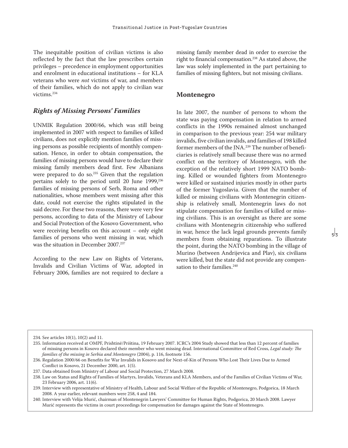The inequitable position of civilian victims is also reflected by the fact that the law prescribes certain privileges – precedence in employment opportunities and enrolment in educational institutions – for KLA veterans who were *not* victims of war, and members of their families, which do not apply to civilian war victims.234

### *Rights of Missing Persons' Families*

UNMIK Regulation 2000/66, which was still being implemented in 2007 with respect to families of killed civilians, does not explicitly mention families of missing persons as possible recipients of monthly compensation. Hence, in order to obtain compensation, the families of missing persons would have to declare their missing family members dead first. Few Albanians were prepared to do so.<sup>235</sup> Given that the regulation pertains solely to the period until 20 June 1999,<sup>236</sup> families of missing persons of Serb, Roma and other nationalities, whose members went missing after this date, could not exercise the rights stipulated in the said decree. For these two reasons, there were very few persons, according to data of the Ministry of Labour and Social Protection of the Kosovo Government, who were receiving benefits on this account – only eight families of persons who went missing in war, which was the situation in December 2007.237

According to the new Law on Rights of Veterans, Invalids and Civilian Victims of War, adopted in February 2006, families are not required to declare a

missing family member dead in order to exercise the right to financial compensation.238 As stated above, the law was solely implemented in the part pertaining to families of missing fighters, but not missing civilians.

#### **Montenegro**

In late 2007, the number of persons to whom the state was paying compensation in relation to armed conflicts in the 1990s remained almost unchanged in comparison to the previous year: 254 war military invalids, five civilian invalids, and families of 198 killed former members of the JNA.239 The number of beneficiaries is relatively small because there was no armed conflict on the territory of Montenegro, with the exception of the relatively short 1999 NATO bombing. Killed or wounded fighters from Montenegro were killed or sustained injuries mostly in other parts of the former Yugoslavia. Given that the number of killed or missing civilians with Montenegrin citizenship is relatively small, Montenegrin laws do not stipulate compensation for families of killed or missing civilians. This is an oversight as there are some civilians with Montenegrin citizenship who suffered in war, hence the lack legal grounds prevents family members from obtaining reparations. To illustrate the point, during the NATO bombing in the village of Murino (between Andrijevica and Plav), six civilians were killed, but the state did not provide any compensation to their families.<sup>240</sup>

<sup>234.</sup> See articles 10(1), 10(2) and 11.

<sup>235.</sup> Information received at OMPF, Prishtinë/Priština, 19 February 2007. ICRC's 2004 Study showed that less than 12 percent of families of missing persons in Kosovo declared their member who went missing dead. International Committee of Red Cross, *Legal study: The families of the missing in Serbia and Montenegro* (2004), p. 116, footnote 156.

<sup>236.</sup> Regulation 2000/66 on Benefits for War Invalids in Kosovo and for Next-of-Kin of Persons Who Lost Their Lives Due to Armed Conflict in Kosovo, 21 December 2000, art. 1(5).

<sup>237.</sup> Data obtained from Ministry of Labour and Social Protection, 27 March 2008.

<sup>238.</sup> Law on Status and Rights of Families of Martyrs, Invalids, Veterans and KLA Members, and of the Families of Civilian Victims of War, 23 February 2006, art. 11(6).

<sup>239.</sup> Interview with representative of Ministry of Health, Labour and Social Welfare of the Republic of Montenegro, Podgorica, 18 March 2008. A year earlier, relevant numbers were 258, 4 and 184.

<sup>240.</sup> Interview with Velija Murić, chairman of Montenegrin Lawyers' Committee for Human Rights, Podgorica, 20 March 2008. Lawyer Murić represents the victims in court proceedings for compensation for damages against the State of Montenegro.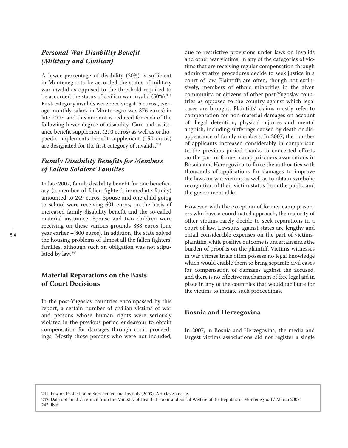# *Personal War Disability Benefit (Military and Civilian)*

A lower percentage of disability (20%) is sufficient in Montenegro to be accorded the status of military war invalid as opposed to the threshold required to be accorded the status of civilian war invalid  $(50\%)$ .<sup>241</sup> First-category invalids were receiving 415 euros (average monthly salary in Montenegro was 376 euros) in late 2007, and this amount is reduced for each of the following lower degree of disability. Care and assistance benefit supplement (270 euros) as well as orthopaedic implements benefit supplement (150 euros) are designated for the first category of invalids.<sup>242</sup>

# *Family Disability Benefits for Members of Fallen Soldiers' Families*

In late 2007, family disability benefit for one beneficiary (a member of fallen fighter's immediate family) amounted to 249 euros. Spouse and one child going to school were receiving 601 euros, on the basis of increased family disability benefit and the so-called material insurance. Spouse and two children were receiving on these various grounds 888 euros (one year earlier – 800 euros). In addition, the state solved the housing problems of almost all the fallen fighters' families, although such an obligation was not stipulated by law.<sup>243</sup>

# **Material Reparations on the Basis of Court Decisions**

In the post-Yugoslav countries encompassed by this report, a certain number of civilian victims of war and persons whose human rights were seriously violated in the previous period endeavour to obtain compensation for damages through court proceedings. Mostly those persons who were not included,

due to restrictive provisions under laws on invalids and other war victims, in any of the categories of victims that are receiving regular compensation through administrative procedures decide to seek justice in a court of law. Plaintiffs are often, though not exclusively, members of ethnic minorities in the given community, or citizens of other post-Yugoslav countries as opposed to the country against which legal cases are brought. Plaintiffs' claims mostly refer to compensation for non-material damages on account of illegal detention, physical injuries and mental anguish, including sufferings caused by death or disappearance of family members. In 2007, the number of applicants increased considerably in comparison to the previous period thanks to concerted efforts on the part of former camp prisoners associations in Bosnia and Herzegovina to force the authorities with thousands of applications for damages to improve the laws on war victims as well as to obtain symbolic recognition of their victim status from the public and the government alike.

However, with the exception of former camp prisoners who have a coordinated approach, the majority of other victims rarely decide to seek reparations in a court of law. Lawsuits against states are lengthy and entail considerable expenses on the part of victimsplaintiffs, while positive outcome is uncertain since the burden of proof is on the plaintiff. Victims-witnesses in war crimes trials often possess no legal knowledge which would enable them to bring separate civil cases for compensation of damages against the accused, and there is no effective mechanism of free legal aid in place in any of the countries that would facilitate for the victims to initiate such proceedings.

### **Bosnia and Herzegovina**

In 2007, in Bosnia and Herzegovina, the media and largest victims associations did not register a single

241. Law on Protection of Servicemen and Invalids (2003), Articles 8 and 18.

242. Data obtained via e-mail from the Ministry of Health, Labour and Social Welfare of the Republic of Montenegro, 17 March 2008. 243. Ibid.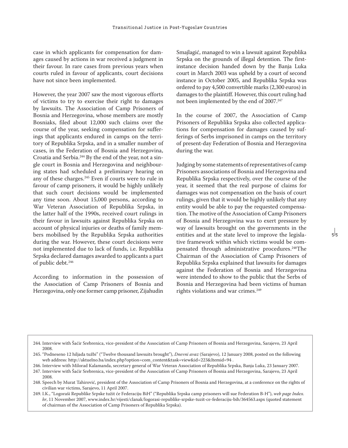case in which applicants for compensation for damages caused by actions in war received a judgment in their favour. In rare cases from previous years when courts ruled in favour of applicants, court decisions have not since been implemented.

However, the year 2007 saw the most vigorous efforts of victims to try to exercise their right to damages by lawsuits. The Association of Camp Prisoners of Bosnia and Herzegovina, whose members are mostly Bosniaks, filed about 12,000 such claims over the course of the year, seeking compensation for sufferings that applicants endured in camps on the territory of Republika Srpska, and in a smaller number of cases, in the Federation of Bosnia and Herzegovina, Croatia and Serbia.244 By the end of the year, not a single court in Bosnia and Herzegovina and neighbouring states had scheduled a preliminary hearing on any of these charges.245 Even if courts were to rule in favour of camp prisoners, it would be highly unlikely that such court decisions would be implemented any time soon. About 15,000 persons, according to War Veteran Association of Republika Srpska, in the latter half of the 1990s, received court rulings in their favour in lawsuits against Republika Srpska on account of physical injuries or deaths of family members mobilised by the Republika Srpska authorities during the war. However, these court decisions were not implemented due to lack of funds, i.e. Republika Srpska declared damages awarded to applicants a part of public debt.246

According to information in the possession of the Association of Camp Prisoners of Bosnia and Herzegovina, only one former camp prisoner, Zijahudin

Smajlagić, managed to win a lawsuit against Republika Srpska on the grounds of illegal detention. The firstinstance decision handed down by the Banja Luka court in March 2003 was upheld by a court of second instance in October 2005, and Republika Srpska was ordered to pay 4,500 convertible marks (2,300 euros) in damages to the plaintiff. However, this court ruling had not been implemented by the end of 2007.<sup>247</sup>

In the course of 2007, the Association of Camp Prisoners of Republika Srpska also collected applications for compensation for damages caused by sufferings of Serbs imprisoned in camps on the territory of present-day Federation of Bosnia and Herzegovina during the war.

Judging by some statements of representatives of camp Prisoners associations of Bosnia and Herzegovina and Republika Srpska respectively, over the course of the year, it seemed that the real purpose of claims for damages was not compensation on the basis of court rulings, given that it would be highly unlikely that any entity would be able to pay the requested compensation. The motive of the Association of Camp Prisoners of Bosnia and Herzegovina was to exert pressure by way of lawsuits brought on the governments in the entities and at the state level to improve the legislative framework within which victims would be compensated through administrative procedures.248The Chairman of the Association of Camp Prisoners of Republika Srpska explained that lawsuits for damages against the Federation of Bosnia and Herzegovina were intended to show to the public that the Serbs of Bosnia and Herzegovina had been victims of human rights violations and war crimes.<sup>249</sup>

- 246. Interview with Milorad Kalamanda, secretary general of War Veteran Association of Republika Srpska, Banja Luka, 23 January 2007.
- 247. Interview with Šaćir Srebrenica, vice-president of the Association of Camp Prisoners of Bosnia and Herzegovina, Sarajevo, 23 April 2008.

249. I.K., "Logoraši Republike Srpske tužit će Federaciju BiH" ("Republika Srpska camp prisoners will sue Federation B-H"), *web page Index. hr*, 11 November 2007, www.index.hr/vijesti/clanak/logorasi-republike-srpske-tuzit-ce-federaciju-bih/364563.aspx (quoted statement of chairman of the Association of Camp Prisoners of Republika Srpska).

<sup>244.</sup> Interview with Šaćir Srebrenica, vice-president of the Association of Camp Prisoners of Bosnia and Herzegovina, Sarajevo, 23 April 2008.

<sup>245. &</sup>quot;Podneseno 12 hiljada tužbi" ("Twelve thousand lawsuits brought"), *Dnevni avaz* (Sarajevo), 12 January 2008, posted on the following web address: http://aktuelno.ba/index.php?option=com\_content&task=view&id=223&Itemid=94 .

<sup>248.</sup> Speech by Murat Tahirović, president of the Association of Camp Prisoners of Bosnia and Herzegovina, at a conference on the rights of civilian war victims, Sarajevo, 11 April 2007.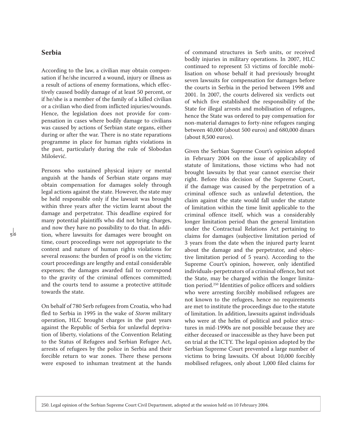### **Serbia**

According to the law, a civilian may obtain compensation if he/she incurred a wound, injury or illness as a result of actions of enemy formations, which effectively caused bodily damage of at least 50 percent, or if he/she is a member of the family of a killed civilian or a civilian who died from inflicted injuries/wounds. Hence, the legislation does not provide for compensation in cases where bodily damage to civilians was caused by actions of Serbian state organs, either during or after the war. There is no state reparations programme in place for human rights violations in the past, particularly during the rule of Slobodan Milošević.

Persons who sustained physical injury or mental anguish at the hands of Serbian state organs may obtain compensation for damages solely through legal actions against the state. However, the state may be held responsible only if the lawsuit was brought within three years after the victim learnt about the damage and perpetrator. This deadline expired for many potential plaintiffs who did not bring charges, and now they have no possibility to do that. In addition, where lawsuits for damages were brought on time, court proceedings were not appropriate to the context and nature of human rights violations for several reasons: the burden of proof is on the victim; court proceedings are lengthy and entail considerable expenses; the damages awarded fail to correspond to the gravity of the criminal offences committed; and the courts tend to assume a protective attitude towards the state.

On behalf of 780 Serb refugees from Croatia, who had fled to Serbia in 1995 in the wake of *Storm* military operation, HLC brought charges in the past years against the Republic of Serbia for unlawful deprivation of liberty, violations of the Convention Relating to the Status of Refugees and Serbian Refugee Act, arrests of refugees by the police in Serbia and their forcible return to war zones. There these persons were exposed to inhuman treatment at the hands of command structures in Serb units, or received bodily injuries in military operations. In 2007, HLC continued to represent 53 victims of forcible mobilisation on whose behalf it had previously brought seven lawsuits for compensation for damages before the courts in Serbia in the period between 1998 and 2001. In 2007, the courts delivered six verdicts out of which five established the responsibility of the State for illegal arrests and mobilisation of refugees, hence the State was ordered to pay compensation for non-material damages to forty-nine refugees ranging between 40,000 (about 500 euros) and 680,000 dinars (about 8,500 euros).

Given the Serbian Supreme Court's opinion adopted in February 2004 on the issue of applicability of statute of limitations, those victims who had not brought lawsuits by that year cannot exercise their right. Before this decision of the Supreme Court, if the damage was caused by the perpetration of a criminal offence such as unlawful detention, the claim against the state would fall under the statute of limitation within the time limit applicable to the criminal offence itself, which was a considerably longer limitation period than the general limitation under the Contractual Relations Act pertaining to claims for damages (subjective limitation period of 3 years from the date when the injured party learnt about the damage and the perpetrator, and objective limitation period of 5 years). According to the Supreme Court's opinion, however, only identified individuals-perpetrators of a criminal offence, but not the State, may be charged within the longer limitation period.250 Identities of police officers and soldiers who were arresting forcibly mobilised refugees are not known to the refugees, hence no requirements are met to institute the proceedings due to the statute of limitation. In addition, lawsuits against individuals who were at the helm of political and police structures in mid-1990s are not possible because they are either deceased or inaccessible as they have been put on trial at the ICTY. The legal opinion adopted by the Serbian Supreme Court prevented a large number of victims to bring lawsuits. Of about 10,000 forcibly mobilised refugees, only about 1,000 filed claims for

250. Legal opinion of the Serbian Supreme Court Civil Department, adopted at the session held on 10 February 2004.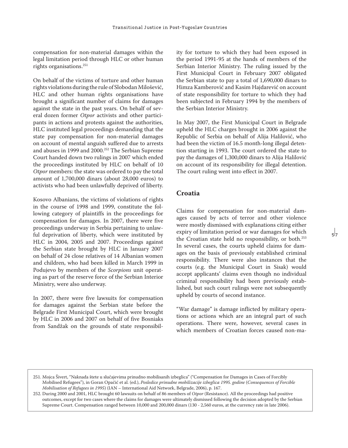compensation for non-material damages within the legal limitation period through HLC or other human rights organisations.251

On behalf of the victims of torture and other human rights violations during the rule of Slobodan Milošević, HLC and other human rights organisations have brought a significant number of claims for damages against the state in the past years. On behalf of several dozen former *Otpor* activists and other participants in actions and protests against the authorities, HLC instituted legal proceedings demanding that the state pay compensation for non-material damages on account of mental anguish suffered due to arrests and abuses in 1999 and 2000.252 The Serbian Supreme Court handed down two rulings in 2007 which ended the proceedings instituted by HLC on behalf of 10 *Otpor* members: the state was ordered to pay the total amount of 1,700,000 dinars (about 28,000 euros) to activists who had been unlawfully deprived of liberty.

Kosovo Albanians, the victims of violations of rights in the course of 1998 and 1999, constitute the following category of plaintiffs in the proceedings for compensation for damages. In 2007, there were five proceedings underway in Serbia pertaining to unlawful deprivation of liberty, which were instituted by HLC in 2004, 2005 and 2007. Proceedings against the Serbian state brought by HLC in January 2007 on behalf of 24 close relatives of 14 Albanian women and children, who had been killed in March 1999 in Podujevo by members of the *Scorpions* unit operating as part of the reserve force of the Serbian Interior Ministry, were also underway.

In 2007, there were five lawsuits for compensation for damages against the Serbian state before the Belgrade First Municipal Court, which were brought by HLC in 2006 and 2007 on behalf of five Bosniaks from Sandžak on the grounds of state responsibility for torture to which they had been exposed in the period 1991-95 at the hands of members of the Serbian Interior Ministry. The ruling issued by the First Municipal Court in February 2007 obligated the Serbian state to pay a total of 1,690,000 dinars to Himza Kamberović and Kasim Hajdarević on account of state responsibility for torture to which they had been subjected in February 1994 by the members of the Serbian Interior Ministry.

In May 2007, the First Municipal Court in Belgrade upheld the HLC charges brought in 2006 against the Republic of Serbia on behalf of Alija Halilović, who had been the victim of 16.5 month-long illegal detention starting in 1993. The court ordered the state to pay the damages of 1,300,000 dinars to Alija Halilović on account of its responsibility for illegal detention. The court ruling went into effect in 2007.

## **Croatia**

Claims for compensation for non-material damages caused by acts of terror and other violence were mostly dismissed with explanations citing either expiry of limitation period or war damages for which the Croatian state held no responsibility, or both.<sup>253</sup> In several cases, the courts upheld claims for damages on the basis of previously established criminal responsibility. There were also instances that the courts (e.g. the Municipal Court in Sisak) would accept applicants' claims even though no individual criminal responsibility had been previously established, but such court rulings were not subsequently upheld by courts of second instance.

"War damage" is damage inflicted by military operations or actions which are an integral part of such operations. There were, however, several cases in which members of Croatian forces caused non-ma-

<sup>251.</sup> Mojca Šivert, "Naknada štete u slučajevima prinudno mobilisanih izbeglica" ("Compensation for Damages in Cases of Forcibly Mobilised Refugees"), in Goran Opačić et al. (ed.), *Posledice prinudne mobilizacije izbeglica 1995. godine* (*Consequences of Forcible Mobilisation of Refugees in 1995*) (IAN – International Aid Network, Belgrade, 2006), p. 167.

<sup>252.</sup> During 2000 and 2001, HLC brought 60 lawsuits on behalf of 86 members of *Otpor* (Resistance). All the proceedings had positive outcomes, except for two cases where the claims for damages were ultimately dismissed following the decision adopted by the Serbian Supreme Court. Compensation ranged between 10,000 and 200,000 dinars (130 - 2,560 euros, at the currency rate in late 2006).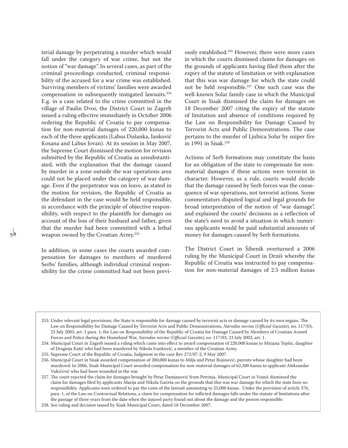terial damage by perpetrating a murder which would fall under the category of war crime, but not the notion of "war damage". In several cases, as part of the criminal proceedings conducted, criminal responsibility of the accused for a war crime was established. Surviving members of victims' families were awarded compensation in subsequently instigated lawsuits.254 E.g. in a case related to the crime committed in the village of Paulin Dvor, the District Court in Zagreb issued a ruling effective immediately in October 2006 ordering the Republic of Croatia to pay compensation for non-material damages of 220,000 kunas to each of the three applicants (Labus Dušanka, Janković Kosana and Labus Jovan). At its session in May 2007, the Supreme Court dismissed the motion for revision submitted by the Republic of Croatia as unsubstantiated, with the explanation that the damage caused by murder in a zone outside the war operations area could not be placed under the category of war damage. Even if the perpetrator was on leave, as stated in the motion for revision, the Republic of Croatia as the defendant in the case would be held responsible, in accordance with the principle of objective responsibility, with respect to the plaintiffs for damages on account of the loss of their husband and father, given that the murder had been committed with a lethal weapon owned by the Croatian Army.255

In addition, in some cases the courts awarded compensation for damages to members of murdered Serbs' families, although individual criminal responsibility for the crime committed had not been previously established.256 However, there were more cases in which the courts dismissed claims for damages on the grounds of applicants having filed them after the expiry of the statute of limitation or with explanation that this was war damage for which the state could not be held responsible.257 One such case was the well-known Solar family case in which the Municipal Court in Sisak dismissed the claim for damages on 18 December 2007 citing the expiry of the statute of limitation and absence of conditions required by the Law on Responsibility for Damage Caused by Terrorist Acts and Public Demonstrations. The case pertains to the murder of Ljubica Solar by sniper fire in 1991 in Sisak.258

Actions of Serb formations may constitute the basis for an obligation of the state to compensate for nonmaterial damages if these actions were terrorist in character. However, as a rule, courts would decide that the damage caused by Serb forces was the consequence of war operations, not terrorist actions. Some commentators disputed logical and legal grounds for broad interpretation of the notion of "war damage", and explained the courts' decisions as a reflection of the state's need to avoid a situation in which numerous applicants would be paid substantial amounts of money for damages caused by Serb formations.

The District Court in Šibenik overturned a 2006 ruling by the Municipal Court in Drniš whereby the Republic of Croatia was instructed to pay compensation for non-material damages of 2.5 million kunas

<sup>253.</sup> Under relevant legal provisions, the State is responsible for damage caused by terrorist acts or damage caused by its own organs. The Law on Responsibility for Damage Caused by Terrorist Acts and Public Demonstrations, *Narodne novine* (*Official Gazette*)*,* no. 117/03, 23 July 2003, art. 1 para. 1; the Law on Responsibility of the Republic of Croatia for Damage Caused by Members of Croatian Armed Forces and Police during the Homeland War, *Narodne novine* (*Official Gazette*)*, no.* 117/03, 23 July 2003, art. 1.

<sup>254.</sup> Municipal Court in Zagreb issued a ruling which came into effect to award compensation of 220,000 kunas to Mirjana Tepšić, daughter of Draginja Katić who had been murdered by Nikola Ivanković, a member of the Croatian Army.

<sup>255.</sup> Supreme Court of the Republic of Croatia, Judgment in the case Rev 272/07-2, 9 May 2007.

<sup>256.</sup> Municipal Court in Sisak awarded compensation of 200,000 kunas to Milja and Petar Bojinović, parents whose daughter had been murdered. In 2006, Sisak Municipal Court awarded compensation for non-material damages of 62,300 kunas to applicant Aleksandar Vukičević who had been wounded in the war.

<sup>257.</sup> The court rejected the claim for damages brought by Petar Damjanović from Petrinja. Municipal Court in Vojnić dismissed the claim for damages filed by applicants Marija and Nikola Gaćeša on the grounds that this was war damage for which the state bore no responsibility. Applicants were ordered to pay the costs of the lawsuit amounting to 25,000 kunas. Under the provision of article 376, para. 1, of the Law on Contractual Relations, a claim for compensation for inflicted damages falls under the statute of limitations after the passage of three years from the date when the injured party found out about the damage and the person responsible.

<sup>258.</sup> See ruling and decision issued by Sisak Municipal Court, dated 18 December 2007.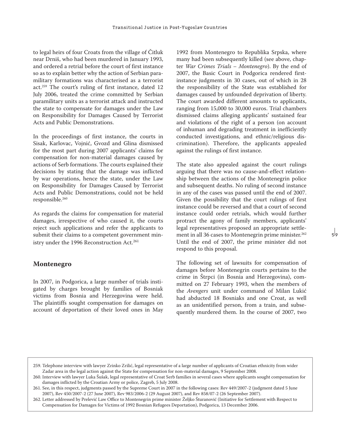to legal heirs of four Croats from the village of Čitluk near Drniš, who had been murdered in January 1993, and ordered a retrial before the court of first instance so as to explain better why the action of Serbian paramilitary formations was characterised as a terrorist act.259 The court's ruling of first instance, dated 12 July 2006, treated the crime committed by Serbian paramilitary units as a terrorist attack and instructed the state to compensate for damages under the Law on Responsibility for Damages Caused by Terrorist Acts and Public Demonstrations.

In the proceedings of first instance, the courts in Sisak, Karlovac, Vojnić, Gvozd and Glina dismissed for the most part during 2007 applicants' claims for compensation for non-material damages caused by actions of Serb formations. The courts explained their decisions by stating that the damage was inflicted by war operations, hence the state, under the Law on Responsibility for Damages Caused by Terrorist Acts and Public Demonstrations, could not be held responsible.260

As regards the claims for compensation for material damages, irrespective of who caused it, the courts reject such applications and refer the applicants to submit their claims to a competent government ministry under the 1996 Reconstruction Act.<sup>261</sup>

#### **Montenegro**

In 2007, in Podgorica, a large number of trials instigated by charges brought by families of Bosniak victims from Bosnia and Herzegovina were held. The plaintiffs sought compensation for damages on account of deportation of their loved ones in May 1992 from Montenegro to Republika Srpska, where many had been subsequently killed (see above, chapter *War Crimes Trials – Montenegro*). By the end of 2007, the Basic Court in Podgorica rendered firstinstance judgments in 30 cases, out of which in 28 the responsibility of the State was established for damages caused by unfounded deprivation of liberty. The court awarded different amounts to applicants, ranging from 15,000 to 30,000 euros. Trial chambers dismissed claims alleging applicants' sustained fear and violations of the right of a person (on account of inhuman and degrading treatment in inefficiently conducted investigations, and ethnic/religious discrimination). Therefore, the applicants appealed against the rulings of first instance.

The state also appealed against the court rulings arguing that there was no cause-and-effect relationship between the actions of the Montenegrin police and subsequent deaths. No ruling of second instance in any of the cases was passed until the end of 2007. Given the possibility that the court rulings of first instance could be reversed and that a court of second instance could order retrials, which would further protract the agony of family members, applicants' legal representatives proposed an appropriate settlement in all 36 cases to Montenegrin prime minister.<sup>262</sup> Until the end of 2007, the prime minister did not respond to this proposal.

The following set of lawsuits for compensation of damages before Montenegrin courts pertains to the crime in Štrpci (in Bosnia and Herzegovina), committed on 27 February 1993, when the members of the *Avengers* unit under command of Milan Lukić had abducted 18 Bosniaks and one Croat, as well as an unidentified person, from a train, and subsequently murdered them. In the course of 2007, two

<sup>259.</sup> Telephone interview with lawyer Zrinko Zrilić, legal representative of a large number of applicants of Croatian ethnicity from wider Zadar area in the legal action against the State for compensation for non-material damages, 9 September 2008.

<sup>260.</sup> Interview with lawyer Luka Šušak, legal representative of Croat Serb families in several cases where applicants sought compensation for damages inflicted by the Croatian Army or police, Zagreb, 5 July 2008.

<sup>261.</sup> See, in this respect, judgments passed by the Supreme Court in 2007 in the following cases: Rev 449/2007-2 (judgment dated 5 June 2007), Rev 450/2007-2 (27 June 2007), Rev 983/2006-2 (29 August 2007), and Rev 858/07-2 (26 September 2007).

<sup>262.</sup> Letter addressed by Prelević Law Office to Montenegrin prime minister Željko Šturanović (Initiative for Settlement with Respect to Compensation for Damages for Victims of 1992 Bosnian Refugees Deportation), Podgorica, 13 December 2006.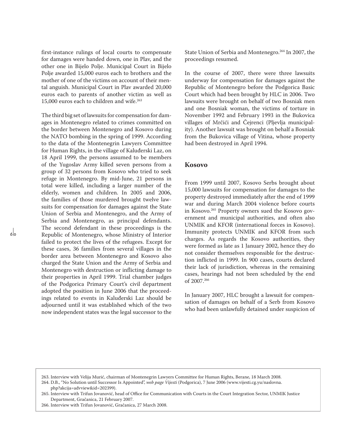first-instance rulings of local courts to compensate for damages were handed down, one in Plav, and the other one in Bijelo Polje. Municipal Court in Bijelo Polie awarded 15,000 euros each to brothers and the mother of one of the victims on account of their mental anguish. Municipal Court in Plav awarded 20,000 euros each to parents of another victim as well as 15,000 euros each to children and wife.<sup>263</sup>

The third big set of lawsuits for compensation for damages in Montenegro related to crimes committed on the border between Montenegro and Kosovo during the NATO bombing in the spring of 1999. According to the data of the Montenegrin Lawyers Committee for Human Rights, in the village of Kaluđerski Laz, on 18 April 1999, the persons assumed to be members of the Yugoslav Army killed seven persons from a group of 32 persons from Kosovo who tried to seek refuge in Montenegro. By mid-June, 21 persons in total were killed, including a larger number of the elderly, women and children. In 2005 and 2006, the families of those murdered brought twelve lawsuits for compensation for damages against the State Union of Serbia and Montenegro, and the Army of Serbia and Montenegro, as principal defendants. The second defendant in these proceedings is the Republic of Montenegro, whose Ministry of Interior failed to protect the lives of the refugees. Except for these cases, 36 families from several villages in the border area between Montenegro and Kosovo also charged the State Union and the Army of Serbia and Montenegro with destruction or inflicting damage to their properties in April 1999. Trial chamber judges of the Podgorica Primary Court's civil department adopted the position in June 2006 that the proceedings related to events in Kaluđerski Laz should be adjourned until it was established which of the two now independent states was the legal successor to the State Union of Serbia and Montenegro.264 In 2007, the proceedings resumed.

In the course of 2007, there were three lawsuits underway for compensation for damages against the Republic of Montenegro before the Podgorica Basic Court which had been brought by HLC in 2006. Two lawsuits were brought on behalf of two Bosniak men and one Bosniak woman, the victims of torture in November 1992 and February 1993 in the Bukovica villages of Mrčići and Čejrenci (Pljevlja municipality). Another lawsuit was brought on behalf a Bosniak from the Bukovica village of Vitina, whose property had been destroyed in April 1994.

### **Kosovo**

From 1999 until 2007, Kosovo Serbs brought about 15,000 lawsuits for compensation for damages to the property destroyed immediately after the end of 1999 war and during March 2004 violence before courts in Kosovo.265 Property owners sued the Kosovo government and municipal authorities, and often also UNMIK and KFOR (international forces in Kosovo). Immunity protects UNMIK and KFOR from such charges. As regards the Kosovo authorities, they were formed as late as 1 January 2002, hence they do not consider themselves responsible for the destruction inflicted in 1999. In 900 cases, courts declared their lack of jurisdiction, whereas in the remaining cases, hearings had not been scheduled by the end of 2007.266

In January 2007, HLC brought a lawsuit for compensation of damages on behalf of a Serb from Kosovo who had been unlawfully detained under suspicion of

263. Interview with Velija Murić, chairman of Montenegrin Lawyers Committee for Human Rights, Berane, 18 March 2008. 264. D.B., "No Solution until Successor Is Appointed", *web page Vijesti* (Podgorica), 7 June 2006 (www.vijesti.cg.yu/naslovna. php?akcija=advview&id=202399).

265. Interview with Trifun Jovanović, head of Office for Communication with Courts in the Court Integration Sector, UNMIK Justice Department, Gračanica, 21 February 2007.

266. Interview with Trifun Jovanović, Gračanica, 27 March 2008.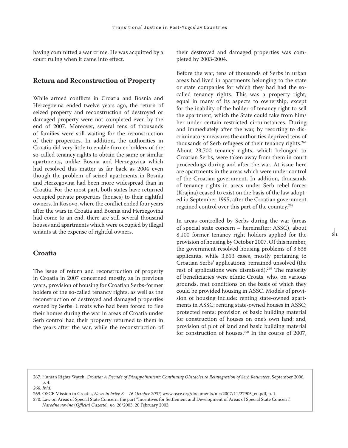having committed a war crime. He was acquitted by a court ruling when it came into effect.

### **Return and Reconstruction of Property**

While armed conflicts in Croatia and Bosnia and Herzegovina ended twelve years ago, the return of seized property and reconstruction of destroyed or damaged property were not completed even by the end of 2007. Moreover, several tens of thousands of families were still waiting for the reconstruction of their properties. In addition, the authorities in Croatia did very little to enable former holders of the so-called tenancy rights to obtain the same or similar apartments, unlike Bosnia and Herzegovina which had resolved this matter as far back as 2004 even though the problem of seized apartments in Bosnia and Herzegovina had been more widespread than in Croatia. For the most part, both states have returned occupied private properties (houses) to their rightful owners. In Kosovo, where the conflict ended four years after the wars in Croatia and Bosnia and Herzegovina had come to an end, there are still several thousand houses and apartments which were occupied by illegal tenants at the expense of rightful owners.

# **Croatia**

The issue of return and reconstruction of property in Croatia in 2007 concerned mostly, as in previous years, provision of housing for Croatian Serbs-former holders of the so-called tenancy rights, as well as the reconstruction of destroyed and damaged properties owned by Serbs. Croats who had been forced to flee their homes during the war in areas of Croatia under Serb control had their property returned to them in the years after the war, while the reconstruction of their destroyed and damaged properties was completed by 2003-2004.

Before the war, tens of thousands of Serbs in urban areas had lived in apartments belonging to the state or state companies for which they had had the socalled tenancy rights. This was a property right, equal in many of its aspects to ownership, except for the inability of the holder of tenancy right to sell the apartment, which the State could take from him/ her under certain restricted circumstances. During and immediately after the war, by resorting to discriminatory measures the authorities deprived tens of thousands of Serb refugees of their tenancy rights.<sup>267</sup> About 23,700 tenancy rights, which belonged to Croatian Serbs, were taken away from them in court proceedings during and after the war. At issue here are apartments in the areas which were under control of the Croatian government. In addition, thousands of tenancy rights in areas under Serb rebel forces (Krajina) ceased to exist on the basis of the law adopted in September 1995, after the Croatian government regained control over this part of the country.268

In areas controlled by Serbs during the war (areas of special state concern – hereinafter: ASSC), about 8,100 former tenancy right holders applied for the provision of housing by October 2007. Of this number, the government resolved housing problems of 3,638 applicants, while 3,653 cases, mostly pertaining to Croatian Serbs' applications, remained unsolved (the rest of applications were dismissed).<sup>269</sup> The majority of beneficiaries were ethnic Croats, who, on various grounds, met conditions on the basis of which they could be provided housing in ASSC. Models of provision of housing include: renting state-owned apartments in ASSC; renting state-owned houses in ASSC; protected rents; provision of basic building material for construction of houses on one's own land; and, provision of plot of land and basic building material for construction of houses.270 In the course of 2007,

 $\frac{1}{6}$ 

<sup>267.</sup> Human Rights Watch, *Croatia: A Decade of Disappointment: Continuing Obstacles to Reintegration of Serb Returnees*, September 2006, p. 4.

*<sup>268.</sup> Ibid.*

<sup>269.</sup> OSCE Mission to Croatia, *News in brief*: *3 – 16 October 2007*, www.osce.org/documents/mc/2007/11/27905\_en.pdf, p. 1.

<sup>270.</sup> Law on Areas of Special State Concern, the part "Incentives for Settlement and Development of Areas of Special State Concern", *Narodne novine* (*Official Gazette*)*, no.* 26/2003, 20 February 2003.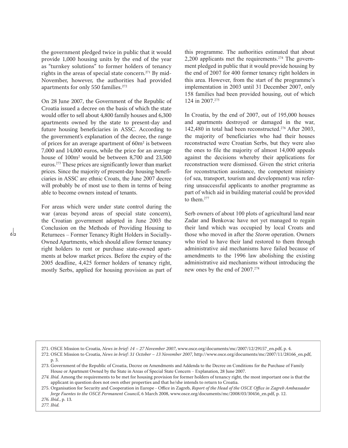the government pledged twice in public that it would provide 1,000 housing units by the end of the year as "turnkey solutions" to former holders of tenancy rights in the areas of special state concern.<sup>271</sup> By mid-November, however, the authorities had provided apartments for only 550 families.272

On 28 June 2007, the Government of the Republic of Croatia issued a decree on the basis of which the state would offer to sell about 4,800 family houses and 6,300 apartments owned by the state to present-day and future housing beneficiaries in ASSC. According to the government's explanation of the decree, the range of prices for an average apartment of 60m<sup>2</sup> is between 7,000 and 14,000 euros, while the price for an average house of 100m2 would be between 8,700 and 23,500 euros.273 These prices are significantly lower than market prices. Since the majority of present-day housing beneficiaries in ASSC are ethnic Croats, the June 2007 decree will probably be of most use to them in terms of being able to become owners instead of tenants.

For areas which were under state control during the war (areas beyond areas of special state concern), the Croatian government adopted in June 2003 the Conclusion on the Methods of Providing Housing to Returnees – Former Tenancy Right Holders in Socially-Owned Apartments, which should allow former tenancy right holders to rent or purchase state-owned apartments at below market prices. Before the expiry of the 2005 deadline, 4,425 former holders of tenancy right, mostly Serbs, applied for housing provision as part of this programme. The authorities estimated that about 2,200 applicants met the requirements.274 The government pledged in public that it would provide housing by the end of 2007 for 400 former tenancy right holders in this area. However, from the start of the programme's implementation in 2003 until 31 December 2007, only 158 families had been provided housing, out of which 124 in 2007.<sup>275</sup>

In Croatia, by the end of 2007, out of 195,000 houses and apartments destroyed or damaged in the war, 142,480 in total had been reconstructed.276 After 2003, the majority of beneficiaries who had their houses reconstructed were Croatian Serbs, but they were also the ones to file the majority of almost 14,000 appeals against the decisions whereby their applications for reconstruction were dismissed. Given the strict criteria for reconstruction assistance, the competent ministry (of sea, transport, tourism and development) was referring unsuccessful applicants to another programme as part of which aid in building material could be provided to them.277

Serb owners of about 100 plots of agricultural land near Zadar and Benkovac have not yet managed to regain their land which was occupied by local Croats and those who moved in after the *Storm* operation. Owners who tried to have their land restored to them through administrative aid mechanisms have failed because of amendments to the 1996 law abolishing the existing administrative aid mechanisms without introducing the new ones by the end of 2007.<sup>278</sup>

<sup>271.</sup> OSCE Mission to Croatia, *News in brief: 14 – 27 November 2007*, www.osce.org/documents/mc/2007/12/29157\_en.pdf, p. 4.

<sup>272.</sup> OSCE Mission to Croatia, *News in brief: 31 October – 13 November 2007*, http://www.osce.org/documents/mc/2007/11/28166\_en.pdf, p. 3.

<sup>273.</sup> Government of the Republic of Croatia, Decree on Amendments and Addenda to the Decree on Conditions for the Purchase of Family House or Apartment Owned by the State in Areas of Special State Concern – Explanation, 28 June 2007.

*<sup>274.</sup> Ibid.* Among the requirements to be met for housing provision for former holders of tenancy right, the most important one is that the applicant in question does not own other properties and that he/she intends to return to Croatia.

<sup>275.</sup> Organisation for Security and Cooperation in Europe - Office in Zagreb, *Report of the Head of the OSCE Office in Zagreb Ambassador Jorge Fuentes to the OSCE Permanent Council*, 6 March 2008, www.osce.org/documents/mc/2008/03/30456\_en.pdf, p. 12.

*<sup>276.</sup> Ibid.*, p. 13.

*<sup>277.</sup> Ibid.*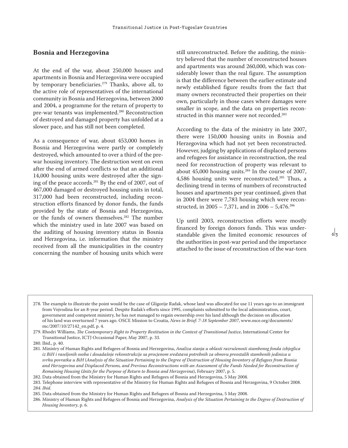## **Bosnia and Herzegovina**

At the end of the war, about 250,000 houses and apartments in Bosnia and Herzegovina were occupied by temporary beneficiaries.279 Thanks, above all, to the active role of representatives of the international community in Bosnia and Herzegovina, between 2000 and 2004, a programme for the return of property to pre-war tenants was implemented.280 Reconstruction of destroyed and damaged property has unfolded at a slower pace, and has still not been completed.

As a consequence of war, about 453,000 homes in Bosnia and Herzegovina were partly or completely destroyed, which amounted to over a third of the prewar housing inventory. The destruction went on even after the end of armed conflicts so that an additional 14,000 housing units were destroyed after the signing of the peace accords.281 By the end of 2007, out of 467,000 damaged or destroyed housing units in total, 317,000 had been reconstructed, including reconstruction efforts financed by donor funds, the funds provided by the state of Bosnia and Herzegovina, or the funds of owners themselves.282 The number which the ministry used in late 2007 was based on the auditing of housing inventory status in Bosnia and Herzegovina, i.e. information that the ministry received from all the municipalities in the country concerning the number of housing units which were

still unreconstructed. Before the auditing, the ministry believed that the number of reconstructed houses and apartments was around 260,000, which was considerably lower than the real figure. The assumption is that the difference between the earlier estimate and newly established figure results from the fact that many owners reconstructed their properties on their own, particularly in those cases where damages were smaller in scope, and the data on properties reconstructed in this manner were not recorded.283

According to the data of the ministry in late 2007, there were 150,000 housing units in Bosnia and Herzegovina which had not yet been reconstructed. However, judging by applications of displaced persons and refugees for assistance in reconstruction, the real need for reconstruction of property was relevant to about 45,000 housing units.284 In the course of 2007, 4,586 housing units were reconstructed.285 Thus, a declining trend in terms of numbers of reconstructed houses and apartments per year continued, given that in 2004 there were 7,783 housing which were reconstructed, in  $2005 - 7,371$ , and in  $2006 - 5,476$ .<sup>286</sup>

Up until 2003, reconstruction efforts were mostly financed by foreign donors funds. This was understandable given the limited economic resources of the authorities in post-war period and the importance attached to the issue of reconstruction of the war-torn

 $\frac{1}{6}$ 

279. Rhodri Williams, *The Contemporary Right to Property Restitution in the Context of Transitional Justice*, International Center for Transitional Justice, ICTJ Occasional Paper, May 2007, p. 33.

282. Data obtained from the Ministry for Human Rights and Refugees of Bosnia and Herzegovina, 5 May 2008*.* 

<sup>278.</sup> The example to illustrate the point would be the case of Gligorije Radak, whose land was allocated for use 11 years ago to an immigrant from Vojvodina for an 8-year period. Despite Radak's efforts since 1995, complaints submitted to the local administration, court, government and competent ministry, he has not managed to regain ownership over his land although the decision on allocation of his land was overturned 7 years ago. OSCE Mission to Croatia, *News in Brief*: *7-18 September 2007*, www.osce.org/documents/ mc/2007/10/27142\_en.pdf, p. 4.

<sup>280.</sup> Ibid., p. 40.

<sup>281.</sup> Ministry of Human Rights and Refugees of Bosnia and Herzegovina, *Analiza stanja u oblasti razrušenosti stambenog fonda izbjeglica iz BiH i raseljenih osoba i dosadašnje rekonstrukcije sa procjenom sredstava potrebnih za obnovu preostalih stambenih jedinica u svrhu povratka u BiH* (*Analysis of the Situation Pertaining to the Degree of Destruction of Housing Inventory of Refugees from Bosnia and Herzegovina and Displaced Persons, and Previous Reconstructions with an Assessment of the Funds Needed for Reconstruction of Remaining Housing Units for the Purpose of Return to Bosnia and Herzegovina*), February 2007, p. 5.

<sup>283.</sup> Telephone interview with representative of the Ministry for Human Rights and Refugees of Bosnia and Herzegovina, 9 October 2008. *284. Ibid*.

<sup>285.</sup> Data obtained from the Ministry for Human Rights and Refugees of Bosnia and Herzegovina, 5 May 2008.

<sup>286.</sup> Ministry of Human Rights and Refugees of Bosnia and Herzegovina, *Analysis of the Situation Pertaining to the Degree of Destruction of Housing Inventory*, p. 6.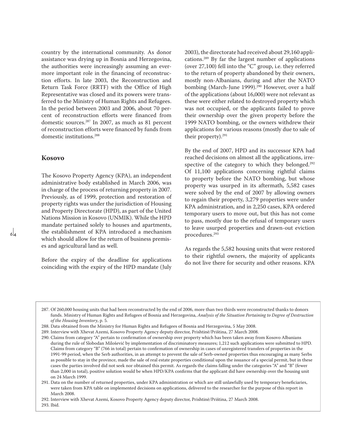country by the international community. As donor assistance was drying up in Bosnia and Herzegovina, the authorities were increasingly assuming an evermore important role in the financing of reconstruction efforts. In late 2003, the Reconstruction and Return Task Force (RRTF) with the Office of High Representative was closed and its powers were transferred to the Ministry of Human Rights and Refugees. In the period between 2003 and 2006, about 70 percent of reconstruction efforts were financed from domestic sources.287 In 2007, as much as 81 percent of reconstruction efforts were financed by funds from domestic institutions.<sup>288</sup>

### **Kosovo**

 $\overline{\delta}$ 

The Kosovo Property Agency (KPA), an independent administrative body established in March 2006, was in charge of the process of returning property in 2007. Previously, as of 1999, protection and restoration of property rights was under the jurisdiction of Housing and Property Directorate (HPD), as part of the United Nations Mission in Kosovo (UNMIK). While the HPD mandate pertained solely to houses and apartments, the establishment of KPA introduced a mechanism which should allow for the return of business premises and agricultural land as well.

Before the expiry of the deadline for applications coinciding with the expiry of the HPD mandate (July 2003), the directorate had received about 29,160 applications.289 By far the largest number of applications (over 27,100) fell into the "C" group, i.e. they referred to the return of property abandoned by their owners, mostly non-Albanians, during and after the NATO bombing (March-June 1999).<sup>290</sup> However, over a half of the applications (about 16,000) were not relevant as these were either related to destroyed property which was not occupied, or the applicants failed to prove their ownership over the given property before the 1999 NATO bombing, or the owners withdrew their applications for various reasons (mostly due to sale of their property).291

By the end of 2007, HPD and its successor KPA had reached decisions on almost all the applications, irrespective of the category to which they belonged.<sup>292</sup> Of 11,100 applications concerning rightful claims to property before the NATO bombing, but whose property was usurped in its aftermath, 5,582 cases were solved by the end of 2007 by allowing owners to regain their property, 3,279 properties were under KPA administration, and in 2,250 cases, KPA ordered temporary users to move out, but this has not come to pass, mostly due to the refusal of temporary users to leave usurped properties and drawn-out eviction procedures.293

As regards the 5,582 housing units that were restored to their rightful owners, the majority of applicants do not live there for security and other reasons. KPA

287. Of 260,000 housing units that had been reconstructed by the end of 2006, more than two thirds were reconstructed thanks to donors funds. Ministry of Human Rights and Refugees of Bosnia and Herzegovina, *Analysis of the Situation Pertaining to Degree of Destruction of the Housing Inventory*, p. 5.

291. Data on the number of returned properties, under KPA administration or which are still unlawfully used by temporary beneficiaries, were taken from KPA table on implemented decisions on applications, delivered to the researcher for the purpose of this report in March 2008.

292. Interview with Xhevat Azemi, Kosovo Property Agency deputy director, Prishtinë/Priština, 27 March 2008.

293. Ibid.

<sup>288.</sup> Data obtained from the Ministry for Human Rights and Refugees of Bosnia and Herzegovina, 5 May 2008.

<sup>289.</sup> Interview with Xhevat Azemi, Kosovo Property Agency deputy director, Prishtinë/Priština, 27 March 2008.

<sup>290.</sup> Claims from category "A" pertain to confirmation of ownership over property which has been taken away from Kosovo Albanians during the rule of Slobodan Milošević by implementation of discriminatory measures; 1,212 such applications were submitted to HPD. Claims from category "B" (766 in total) pertain to confirmation of ownership in cases of unregistered transfers of properties in the 1991-99 period, when the Serb authorities, in an attempt to prevent the sale of Serb-owned properties thus encouraging as many Serbs as possible to stay in the province, made the sale of real estate properties conditional upon the issuance of a special permit, but in these cases the parties involved did not seek nor obtained this permit. As regards the claims falling under the categories "A" and "B" (fewer than 2,000 in total), positive solution would be when HPD/KPA confirms that the applicant did have ownership over the housing unit on 24 March 1999.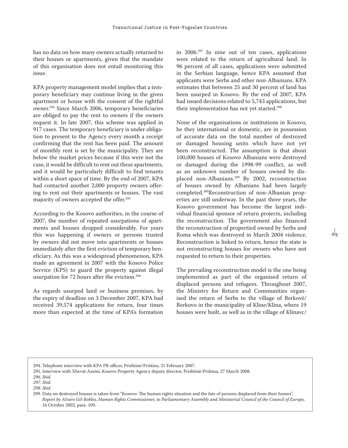has no data on how many owners actually returned to their houses or apartments, given that the mandate of this organisation does not entail monitoring this issue.

KPA property management model implies that a temporary beneficiary may continue living in the given apartment or house with the consent of the rightful owner.294 Since March 2006, temporary beneficiaries are obliged to pay the rent to owners if the owners request it. In late 2007, this scheme was applied in 917 cases. The temporary beneficiary is under obligation to present to the Agency every month a receipt confirming that the rent has been paid. The amount of monthly rent is set by the municipality. They are below the market prices because if this were not the case, it would be difficult to rent out these apartments, and it would be particularly difficult to find tenants within a short space of time. By the end of 2007, KPA had contacted another 2,000 property owners offering to rent out their apartments or houses. The vast majority of owners accepted the offer.295

According to the Kosovo authorities, in the course of 2007, the number of repeated usurpations of apartments and houses dropped considerably. For years this was happening if owners or persons trusted by owners did not move into apartments or houses immediately after the first eviction of temporary beneficiary. As this was a widespread phenomenon, KPA made an agreement in 2007 with the Kosovo Police Service (KPS) to guard the property against illegal usurpation for 72 hours after the eviction.296

As regards usurped land or business premises, by the expiry of deadline on 3 December 2007, KPA had received 39,574 applications for return, four times more than expected at the time of KPA's formation

in 2006.297 In nine out of ten cases, applications were related to the return of agricultural land. In 96 percent of all cases, applications were submitted in the Serbian language, hence KPA assumed that applicants were Serbs and other non-Albanians. KPA estimates that between 25 and 30 percent of land has been usurped in Kosovo. By the end of 2007, KPA had issued decisions related to 5,743 applications, but their implementation has not yet started.<sup>298</sup>

None of the organisations or institutions in Kosovo, be they international or domestic, are in possession of accurate data on the total number of destroyed or damaged housing units which have not yet been reconstructed. The assumption is that about 100,000 houses of Kosovo Albanians were destroyed or damaged during the 1998-99 conflict, as well as an unknown number of houses owned by displaced non-Albanians.299 By 2002, reconstruction of houses owned by Albanians had been largely completed.300Reconstruction of non-Albanian properties are still underway. In the past three years, the Kosovo government has become the largest individual financial sponsor of return projects, including the reconstruction. The government also financed the reconstruction of propertied owned by Serbs and Roma which was destroyed in March 2004 violence. Reconstruction is linked to return, hence the state is not reconstructing houses for owners who have not requested to return to their properties.

 $6<sub>5</sub>$ 

The prevailing reconstruction model is the one being implemented as part of the organised return of displaced persons and refugees. Throughout 2007, the Ministry for Return and Communities organised the return of Serbs to the village of Berkovë/ Berkovo in the municipality of Kline/Klina, where 19 houses were built, as well as in the village of Klinavc/

<sup>294.</sup> Telephone interview with KPA PR officer, Prishtinë/Priština, 21 February 2007.

<sup>295.</sup> Interview with Xhevat Azemi, Kosovo Property Agency deputy director, Prishtinë/Priština, 27 March 2008.

*<sup>296.</sup> Ibid.*

*<sup>297.</sup> Ibid.*

*<sup>298.</sup> Ibid.*

<sup>299.</sup> Data on destroyed houses is taken from "Kosovo: The human rights situation and the fate of persons displaced from their homes", *Report by Alvaro Gil-Robles, Human Rights Commissioner, to Parliamentary Assembly and Ministerial Council of the Council of Europe,*  16 October 2002, para. 109.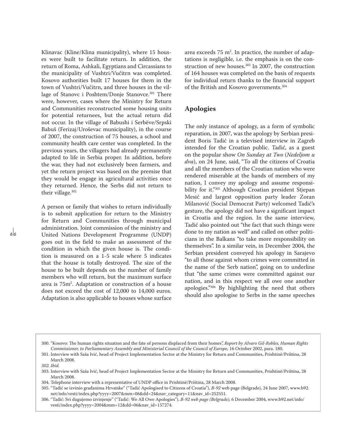Klinavac (Kline/Klina municipality), where 15 houses were built to facilitate return. In addition, the return of Roma, Ashkali, Egyptians and Circassians to the municipality of Vushtri/Vučitrn was completed. Kosovo authorities built 17 houses for them in the town of Vushtri/Vučitrn, and three houses in the village of Stanovc i Poshtem/Donje Stanovce.<sup>301</sup> There were, however, cases where the Ministry for Return and Communities reconstructed some housing units for potential returnees, but the actual return did not occur. In the village of Babushi i Serbëve/Srpski Babuš (Ferizaj/Uroševac municipality), in the course of 2007, the construction of 75 houses, a school and community health care center was completed. In the previous years, the villagers had already permanently adapted to life in Serbia proper. In addition, before the war, they had not exclusively been farmers, and yet the return project was based on the premise that they would be engage in agricultural activities once they returned. Hence, the Serbs did not return to their village.302

A person or family that wishes to return individually is to submit application for return to the Ministry for Return and Communities through municipal administration. Joint commission of the ministry and United Nations Development Programme (UNDP) goes out in the field to make an assessment of the condition in which the given house is. The condition is measured on a 1-5 scale where 5 indicates that the house is totally destroyed. The size of the house to be built depends on the number of family members who will return, but the maximum surface area is 75m2 . Adaptation or construction of a house does not exceed the cost of 12,000 to 14,000 euros. Adaptation is also applicable to houses whose surface

area exceeds  $75 \text{ m}^2$ . In practice, the number of adaptations is negligible, i.e. the emphasis is on the construction of new houses.<sup>303</sup> In 2007, the construction of 164 houses was completed on the basis of requests for individual return thanks to the financial support of the British and Kosovo governments.304

## **Apologies**

The only instance of apology, as a form of symbolic reparation, in 2007, was the apology by Serbian president Boris Tadić in a televised interview in Zagreb intended for the Croatian public. Tadić, as a guest on the popular show *On Sunday at Two* (*Nedeljom u dva*), on 24 June, said, "To all the citizens of Croatia and all the members of the Croatian nation who were rendered miserable at the hands of members of my nation, I convey my apology and assume responsibility for it."305 Although Croatian president Stjepan Mesić and largest opposition party leader Zoran Milanović (Social Democrat Party) welcomed Tadić's gesture, the apology did not have a significant impact in Croatia and the region. In the same interview, Tadić also pointed out "the fact that such things were done to my nation as well" and called on other politicians in the Balkans "to take more responsibility on themselves". In a similar vein, in December 2004, the Serbian president conveyed his apology in Sarajevo "to all those against whom crimes were committed in the name of the Serb nation", going on to underline that "the same crimes were committed against our nation, and in this respect we all owe one another apologies."306 By highlighting the need that others should also apologise to Serbs in the same speeches

ہ ا

<sup>300. &</sup>quot;Kosovo: The human rights situation and the fate of persons displaced from their homes", *Report by Alvaro Gil-Robles, Human Rights Commissioner, to Parliamentary Assembly and Ministerial Council of the Council of Europe,* 16 October 2002, para. 180.

<sup>301.</sup> Interview with Saša Ivić, head of Project Implementation Sector at the Ministry for Return and Communities, Prishtinë/Priština, 28 March 2008.

*<sup>302.</sup> Ibid.*

<sup>303.</sup> Interview with Saša Ivić, head of Project Implementation Sector at the Ministry for Return and Communities, Prishtinë/Priština, 28 March 2008.

<sup>304.</sup> Telephone interview with a representative of UNDP office in Prishtinë/Priština, 28 March 2008.

<sup>305. &</sup>quot;Tadić se izvinio građanima Hrvatske" ("Tadić Apologised to Citizens of Croatia"), *B-92* web page (Belgrade), 24 June 2007, www.b92. net/info/vesti/index.php?yyyy=2007&mm=06&dd=24&nav\_category=11&nav\_id=252551.

<sup>306. &</sup>quot;Tadić: Svi dugujemo izvinjenje" ("Tadić: We All Owe Apologies"), *B-92 web page (Belgrade)*, 6 December 2004, www.b92.net/info/ vesti/index.php?yyyy=2004&mm=12&dd=06&nav\_id=157274.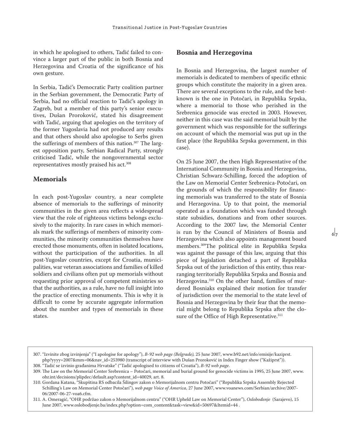in which he apologised to others, Tadić failed to convince a larger part of the public in both Bosnia and Herzegovina and Croatia of the significance of his own gesture.

In Serbia, Tadić's Democratic Party coalition partner in the Serbian government, the Democratic Party of Serbia, had no official reaction to Tadić's apology in Zagreb, but a member of this party's senior executives, Dušan Proroković, stated his disagreement with Tadić, arguing that apologies on the territory of the former Yugoslavia had not produced any results and that others should also apologise to Serbs given the sufferings of members of this nation.<sup>307</sup> The largest opposition party, Serbian Radical Party, strongly criticised Tadić, while the nongovernmental sector representatives mostly praised his act.<sup>308</sup>

### **Memorials**

In each post-Yugoslav country, a near complete absence of memorials to the sufferings of minority communities in the given area reflects a widespread view that the role of righteous victims belongs exclusively to the majority. In rare cases in which memorials mark the sufferings of members of minority communities, the minority communities themselves have erected those monuments, often in isolated locations, without the participation of the authorities. In all post-Yugoslav countries, except for Croatia, municipalities, war veteran associations and families of killed soldiers and civilians often put up memorials without requesting prior approval of competent ministries so that the authorities, as a rule, have no full insight into the practice of erecting monuments. This is why it is difficult to come by accurate aggregate information about the number and types of memorials in these states.

### **Bosnia and Herzegovina**

In Bosnia and Herzegovina, the largest number of memorials is dedicated to members of specific ethnic groups which constitute the majority in a given area. There are several exceptions to the rule, and the bestknown is the one in Potočari, in Republika Srpska, where a memorial to those who perished in the Srebrenica genocide was erected in 2003. However, neither in this case was the said memorial built by the government which was responsible for the sufferings on account of which the memorial was put up in the first place (the Republika Srpska government, in this case).

On 25 June 2007, the then High Representative of the International Community in Bosnia and Herzegovina, Christian Schwarz-Schilling, forced the adoption of the Law on Memorial Center Srebrenica-Potočari, on the grounds of which the responsibility for financing memorials was transferred to the state of Bosnia and Herzegovina. Up to that point, the memorial operated as a foundation which was funded through state subsidies, donations and from other sources. According to the 2007 law, the Memorial Center is run by the Council of Ministers of Bosnia and Herzegovina which also appoints management board members.309The political elite in Republika Srpska was against the passage of this law, arguing that this piece of legislation detached a part of Republika Srpska out of the jurisdiction of this entity, thus rearranging territorially Republika Srpska and Bosnia and Herzegovina.310 On the other hand, families of murdered Bosniaks explained their motion for transfer of jurisdiction over the memorial to the state level of Bosnia and Herzegovina by their fear that the memorial might belong to Republika Srpska after the closure of the Office of High Representative.<sup>311</sup>

<sup>307. &</sup>quot;Izvinite zbog izvinjenja" ("I apologise for apology"), *B-92 web page (Belgrade),* 25 June 2007, www.b92.net/info/emisije/kaziprst. php?yyyy=2007&mm=06&nav\_id=253980 (transcript of interview with Dušan Proroković in Index Finger show ("Kažiprst")). 308. "Tadić se izvinio građanima Hrvatske" ("Tadić apologised to citizens of Croatia"), *B-92 web page*.

<sup>309.</sup> The Law on the Memorial Center Srebrenica – Potočari, memorial and burial ground for genocide victims in 1995, 25 June 2007, www. ohr.int/decisions/plipdec/default.asp?content\_id=40029, art. 8.

<sup>310.</sup> Gordana Katana, "Skupština RS odbacila Šilingov zakon o Memorijalnom centru Potočari" ("Republika Srpska Assembly Rejected Schilling's Law on Memorial Center Potočari"), *web page Voice of America*, 27 June 2007, www.voanews.com/Serbian/archive/2007- 06/2007-06-27-voa6.cfm.

<sup>311.</sup> A. Omeragić, "OHR podržao zakon o Memorijalnom centru" ("OHR Upheld Law on Memorial Center"), *Oslobođenje* (Sarajevo), 15 June 2007, www.oslobodjenje.ba/index.php?option=com\_content&task=view&id=50697&Itemid=44 .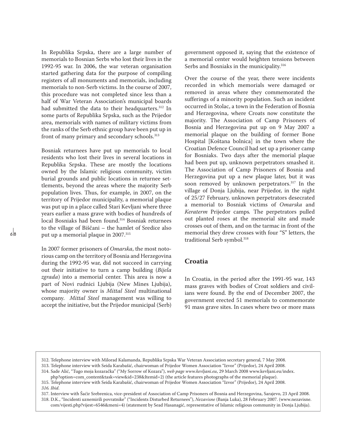In Republika Srpska, there are a large number of memorials to Bosnian Serbs who lost their lives in the 1992-95 war. In 2006, the war veteran organisation started gathering data for the purpose of compiling registers of all monuments and memorials, including memorials to non-Serb victims. In the course of 2007, this procedure was not completed since less than a half of War Veteran Association's municipal boards had submitted the data to their headquarters.<sup>312</sup> In some parts of Republika Srpska, such as the Prijedor area, memorials with names of military victims from the ranks of the Serb ethnic group have been put up in front of many primary and secondary schools.<sup>313</sup>

Bosniak returnees have put up memorials to local residents who lost their lives in several locations in Republika Srpska. These are mostly the locations owned by the Islamic religious community, victim burial grounds and public locations in returnee settlements, beyond the areas where the majority Serb population lives. Thus, for example, in 2007, on the territory of Prijedor municipality, a memorial plaque was put up in a place called Stari Kevljani where three years earlier a mass grave with bodies of hundreds of local Bosniaks had been found.314 Bosniak returnees to the village of Biščani – the hamlet of Sredice also put up a memorial plaque in 2007.315

In 2007 former prisoners of *Omarska*, the most notorious camp on the territory of Bosnia and Herzegovina during the 1992-95 war, did not succeed in carrying out their initiative to turn a camp building (*Bijela zgrada*) into a memorial center. This area is now a part of Novi rudnici Ljubija (New Mines Ljubija), whose majority owner is *Mittal Steel* multinational company. *Mittal Steel* management was willing to accept the initiative, but the Prijedor municipal (Serb) government opposed it, saying that the existence of a memorial center would heighten tensions between Serbs and Bosniaks in the municipality.<sup>316</sup>

Over the course of the year, there were incidents recorded in which memorials were damaged or removed in areas where they commemorated the sufferings of a minority population. Such an incident occurred in Stolac, a town in the Federation of Bosnia and Herzegovina, where Croats now constitute the majority. The Association of Camp Prisoners of Bosnia and Herzegovina put up on 9 May 2007 a memorial plaque on the building of former Bone Hospital [Koštana bolnica] in the town where the Croatian Defence Council had set up a prisoner camp for Bosniaks. Two days after the memorial plaque had been put up, unknown perpetrators smashed it. The Association of Camp Prisoners of Bosnia and Herzegovina put up a new plaque later, but it was soon removed by unknown perpetrators.<sup>317</sup> In the village of Donja Ljubija, near Prijedor, in the night of 25/27 February, unknown perpetrators desecrated a memorial to Bosniak victims of *Omarska* and *Keraterm* Prijedor camps*.* The perpetrators pulled out planted roses at the memorial site and made crosses out of them, and on the tarmac in front of the memorial they drew crosses with four "S" letters, the traditional Serb symbol.<sup>318</sup>

## **Croatia**

In Croatia, in the period after the 1991-95 war, 143 mass graves with bodies of Croat soldiers and civilians were found. By the end of December 2007, the government erected 51 memorials to commemorate 91 mass grave sites. In cases where two or more mass

317. Interview with Šaćir Srebrenica, vice-president of Association of Camp Prisoners of Bosnia and Herzegovina, Sarajevo, 23 April 2008.

318. D.K., "Incidenti uznemirili povratnike" ("Incidents Disturbed Returnees"), *Nezavisne* (Banja Luka), 28 February 2007. (www.nezavisne. com/vijesti.php?vijest=6546&meni=4) (statement by Sead Hasanagić, representative of Islamic religious community in Donja Ljubija).

<sup>312.</sup> Telephone interview with Milorad Kalamanda, Republika Srpska War Veteran Association secretary general, 7 May 2008.

<sup>313.</sup> Telephone interview with Seida Karabašić, chairwoman of Prijedor Women Association "Izvor" (Prijedor), 24 April 2008.

<sup>314.</sup> Sade Alić, "Tugo moja kozaračka" ("My Sorrow of Kozara"), *web page www.kevljani.eu*, 29 March 2008 www.kevljani.eu/index.

php?option=com\_content&task=view&id=238&Itemid=2) (the article features photographs of the memorial plaque). 315. Telephone interview with Seida Karabašić, chairwoman of Prijedor Women Association "Izvor" (Prijedor), 24 April 2008.

*<sup>316.</sup> Ibid*.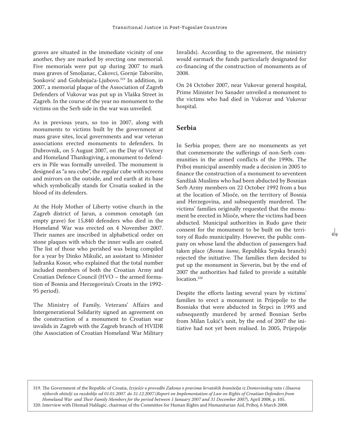graves are situated in the immediate vicinity of one another, they are marked by erecting one memorial. Five memorials were put up during 2007 to mark mass graves of Smoljanac, Čakovci, Gornje Taborište, Sonković and Golubnjača-Ljubovo.319 In addition, in 2007, a memorial plaque of the Association of Zagreb Defenders of Vukovar was put up in Vlaška Street in Zagreb. In the course of the year no monument to the victims on the Serb side in the war was unveiled.

As in previous years, so too in 2007, along with monuments to victims built by the government at mass grave sites, local governments and war veteran associations erected monuments to defenders. In Dubrovnik, on 5 August 2007, on the Day of Victory and Homeland Thanksgiving, a monument to defenders in Pile was formally unveiled. The monument is designed as "a sea cube", the regular cube with screens and mirrors on the outside, and red earth at its base which symbolically stands for Croatia soaked in the blood of its defenders.

At the Holy Mother of Liberty votive church in the Zagreb district of Jarun, a common cenotaph (an empty grave) for 15,840 defenders who died in the Homeland War was erected on 4 November 2007. Their names are inscribed in alphabetical order on stone plaques with which the inner walls are coated. The list of those who perished was being compiled for a year by Dinko Mikulić, an assistant to Minister Jadranka Kosor, who explained that the total number included members of both the Croatian Army and Croatian Defence Council (HVO – the armed formation of Bosnia and Herzegovina's Croats in the 1992- 95 period).

The Ministry of Family, Veterans' Affairs and Intergenerational Solidarity signed an agreement on the construction of a monument to Croatian war invalids in Zagreb with the Zagreb branch of HVIDR (the Association of Croatian Homeland War Military Invalids). According to the agreement, the ministry would earmark the funds particularly designated for co-financing of the construction of monuments as of 2008.

On 24 October 2007, near Vukovar general hospital, Prime Minister Ivo Sanader unveiled a monument to the victims who had died in Vukovar and Vukovar hospital.

### **Serbia**

In Serbia proper, there are no monuments as yet that commemorate the sufferings of non-Serb communities in the armed conflicts of the 1990s. The Priboj municipal assembly made a decision in 2005 to finance the construction of a monument to seventeen Sandžak Muslims who had been abducted by Bosnian Serb Army members on 22 October 1992 from a bus at the location of Mioče, on the territory of Bosnia and Herzegovina, and subsequently murdered. The victims' families originally requested that the monument be erected in Mioče, where the victims had been abducted. Municipal authorities in Rudo gave their consent for the monument to be built on the territory of Rudo municipality. However, the public company on whose land the abduction of passengers had taken place (*Bosna šume*, Republika Srpska branch) rejected the initiative. The families then decided to put up the monument in Sjeverin, but by the end of 2007 the authorities had failed to provide a suitable location.<sup>320</sup>

Despite the efforts lasting several years by victims' families to erect a monument in Prijepolje to the Bosniaks that were abducted in Štrpci in 1993 and subsequently murdered by armed Bosnian Serbs from Milan Lukić's unit, by the end of 2007 the initiative had not yet been realised. In 2005, Prijepolje

319. The Government of the Republic of Croatia, *Izvješće o provedbi Zakona o pravima hrvatskih branitelja iz Domovinskog rata i člnaova njihovih obitelji za razdoblje od 01.01.2007. do 31.12.2007.*(*Report on Implementation of Law on Rights of Croatian Defenders from Homeland War and Their Family Members for the period between 1 January 2007 and 31 December 2007*), April 2008, p. 105. 320. Interview with Džemail Halilagić, chairman of the Committee for Human Rights and Humanitarian Aid, Priboj, 6 March 2008.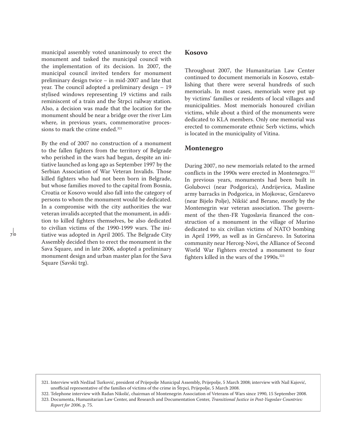municipal assembly voted unanimously to erect the monument and tasked the municipal council with the implementation of its decision. In 2007, the municipal council invited tenders for monument preliminary design twice – in mid-2007 and late that year. The council adopted a preliminary design – 19 stylised windows representing 19 victims and rails reminiscent of a train and the Štrpci railway station. Also, a decision was made that the location for the monument should be near a bridge over the river Lim where, in previous years, commemorative processions to mark the crime ended.<sup>321</sup>

By the end of 2007 no construction of a monument to the fallen fighters from the territory of Belgrade who perished in the wars had begun, despite an initiative launched as long ago as September 1997 by the Serbian Association of War Veteran Invalids. Those killed fighters who had not been born in Belgrade, but whose families moved to the capital from Bosnia, Croatia or Kosovo would also fall into the category of persons to whom the monument would be dedicated. In a compromise with the city authorities the war veteran invalids accepted that the monument, in addition to killed fighters themselves, be also dedicated to civilian victims of the 1990-1999 wars. The initiative was adopted in April 2005. The Belgrade City Assembly decided then to erect the monument in the Sava Square, and in late 2006, adopted a preliminary monument design and urban master plan for the Sava Square (Savski trg).

#### **Kosovo**

Throughout 2007, the Humanitarian Law Center continued to document memorials in Kosovo, establishing that there were several hundreds of such memorials. In most cases, memorials were put up by victims' families or residents of local villages and municipalities. Most memorials honoured civilian victims, while about a third of the monuments were dedicated to KLA members. Only one memorial was erected to commemorate ethnic Serb victims, which is located in the municipality of Vitina.

#### **Montenegro**

During 2007, no new memorials related to the armed conflicts in the 1990s were erected in Montenegro.<sup>322</sup> In previous years, monuments had been built in Golubovci (near Podgorica), Andrijevica, Masline army barracks in Podgorica, in Mojkovac, Grnčarevo (near Bijelo Polje), Nikšić and Berane, mostly by the Montenegrin war veteran association. The government of the then-FR Yugoslavia financed the construction of a monument in the village of Murino dedicated to six civilian victims of NATO bombing in April 1999, as well as in Grnčarevo. In Sutorina community near Herceg-Novi, the Alliance of Second World War Fighters erected a monument to four fighters killed in the wars of the 1990s.<sup>323</sup>

322. Telephone interview with Radan Nikolić, chairman of Montenegrin Association of Veterans of Wars since 1990, 15 September 2008.

<sup>321.</sup> Interview with Nedžad Turković, president of Prijepolje Municipal Assembly, Prijepolje, 5 March 2008; interview with Nail Kajović, unofficial representative of the families of victims of the crime in Štrpci, Prijepolje, 5 March 2008.

<sup>323.</sup> Documenta, Humanitarian Law Center, and Research and Documentation Center, *Transitional Justice in Post-Yugoslav Countries: Report for 2006*, p. 75.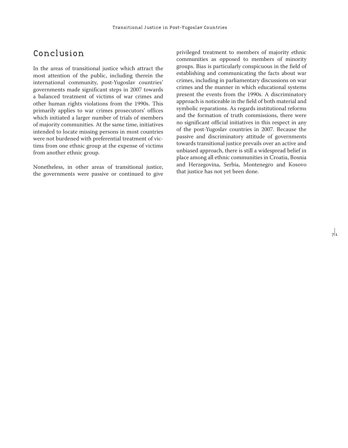# Conclusion

In the areas of transitional justice which attract the most attention of the public, including therein the international community, post-Yugoslav countries' governments made significant steps in 2007 towards a balanced treatment of victims of war crimes and other human rights violations from the 1990s. This primarily applies to war crimes prosecutors' offices which initiated a larger number of trials of members of majority communities. At the same time, initiatives intended to locate missing persons in most countries were not burdened with preferential treatment of victims from one ethnic group at the expense of victims from another ethnic group.

Nonetheless, in other areas of transitional justice, the governments were passive or continued to give privileged treatment to members of majority ethnic communities as opposed to members of minority groups. Bias is particularly conspicuous in the field of establishing and communicating the facts about war crimes, including in parliamentary discussions on war crimes and the manner in which educational systems present the events from the 1990s. A discriminatory approach is noticeable in the field of both material and symbolic reparations. As regards institutional reforms and the formation of truth commissions, there were no significant official initiatives in this respect in any of the post-Yugoslav countries in 2007. Because the passive and discriminatory attitude of governments towards transitional justice prevails over an active and unbiased approach, there is still a widespread belief in place among all ethnic communities in Croatia, Bosnia and Herzegovina, Serbia, Montenegro and Kosovo that justice has not yet been done.